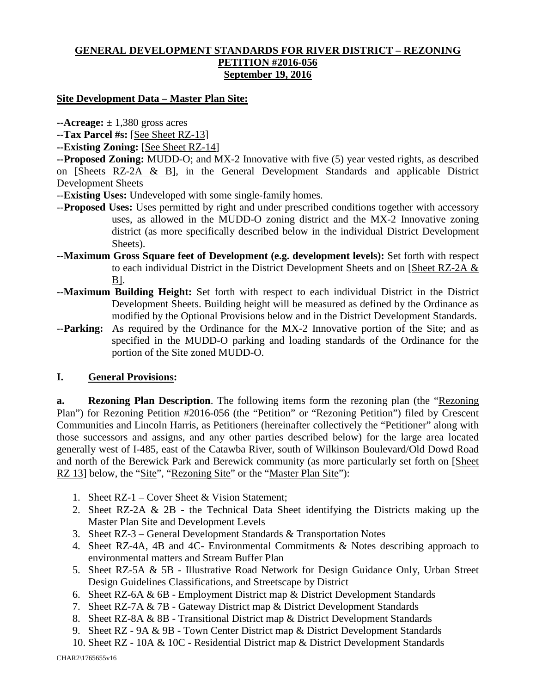## **GENERAL DEVELOPMENT STANDARDS FOR RIVER DISTRICT – REZONING PETITION #2016-056 September 19, 2016**

#### **Site Development Data – Master Plan Site:**

 $\text{-}$ **Acreage:**  $\pm$  1,380 gross acres

--**Tax Parcel #s:** [See Sheet RZ-13]

**--Existing Zoning:** [See Sheet RZ-14]

**--Proposed Zoning:** MUDD-O; and MX-2 Innovative with five (5) year vested rights, as described on [Sheets RZ-2A & B], in the General Development Standards and applicable District Development Sheets

- --**Existing Uses:** Undeveloped with some single-family homes.
- --**Proposed Uses:** Uses permitted by right and under prescribed conditions together with accessory uses, as allowed in the MUDD-O zoning district and the MX-2 Innovative zoning district (as more specifically described below in the individual District Development Sheets).
- --**Maximum Gross Square feet of Development (e.g. development levels):** Set forth with respect to each individual District in the District Development Sheets and on [Sheet RZ-2A & B].
- **--Maximum Building Height:** Set forth with respect to each individual District in the District Development Sheets. Building height will be measured as defined by the Ordinance as modified by the Optional Provisions below and in the District Development Standards.
- --**Parking:** As required by the Ordinance for the MX-2 Innovative portion of the Site; and as specified in the MUDD-O parking and loading standards of the Ordinance for the portion of the Site zoned MUDD-O.

## **I. General Provisions:**

**a. Rezoning Plan Description**. The following items form the rezoning plan (the "Rezoning Plan") for Rezoning Petition #2016-056 (the "Petition" or "Rezoning Petition") filed by Crescent Communities and Lincoln Harris, as Petitioners (hereinafter collectively the "Petitioner" along with those successors and assigns, and any other parties described below) for the large area located generally west of I-485, east of the Catawba River, south of Wilkinson Boulevard/Old Dowd Road and north of the Berewick Park and Berewick community (as more particularly set forth on [Sheet RZ 13] below, the "Site", "Rezoning Site" or the "Master Plan Site"):

- 1. Sheet RZ-1 Cover Sheet & Vision Statement;
- 2. Sheet RZ-2A & 2B the Technical Data Sheet identifying the Districts making up the Master Plan Site and Development Levels
- 3. Sheet RZ-3 General Development Standards & Transportation Notes
- 4. Sheet RZ-4A, 4B and 4C- Environmental Commitments & Notes describing approach to environmental matters and Stream Buffer Plan
- 5. Sheet RZ-5A & 5B Illustrative Road Network for Design Guidance Only, Urban Street Design Guidelines Classifications, and Streetscape by District
- 6. Sheet RZ-6A & 6B Employment District map & District Development Standards
- 7. Sheet RZ-7A & 7B Gateway District map & District Development Standards
- 8. Sheet RZ-8A & 8B Transitional District map & District Development Standards
- 9. Sheet RZ 9A & 9B Town Center District map & District Development Standards
- 10. Sheet RZ 10A & 10C Residential District map & District Development Standards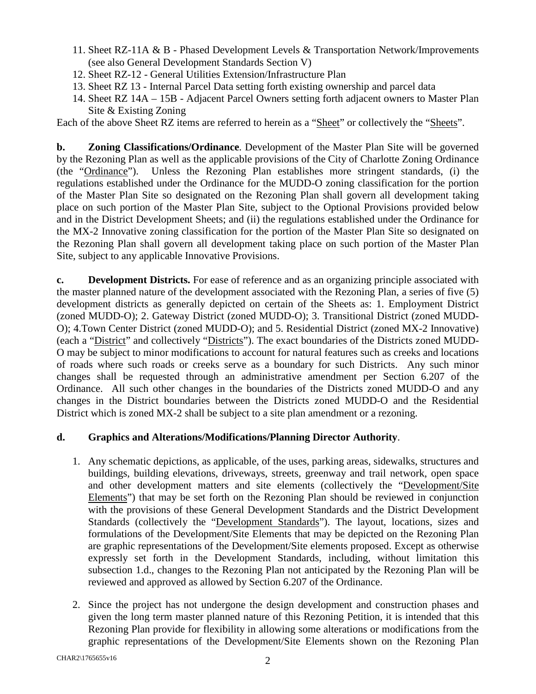- 11. Sheet RZ-11A & B Phased Development Levels & Transportation Network/Improvements (see also General Development Standards Section V)
- 12. Sheet RZ-12 General Utilities Extension/Infrastructure Plan
- 13. Sheet RZ 13 Internal Parcel Data setting forth existing ownership and parcel data
- 14. Sheet RZ 14A 15B Adjacent Parcel Owners setting forth adjacent owners to Master Plan Site & Existing Zoning

Each of the above Sheet RZ items are referred to herein as a "Sheet" or collectively the "Sheets".

**b. Zoning Classifications/Ordinance**. Development of the Master Plan Site will be governed by the Rezoning Plan as well as the applicable provisions of the City of Charlotte Zoning Ordinance (the "Ordinance"). Unless the Rezoning Plan establishes more stringent standards, (i) the regulations established under the Ordinance for the MUDD-O zoning classification for the portion of the Master Plan Site so designated on the Rezoning Plan shall govern all development taking place on such portion of the Master Plan Site, subject to the Optional Provisions provided below and in the District Development Sheets; and (ii) the regulations established under the Ordinance for the MX-2 Innovative zoning classification for the portion of the Master Plan Site so designated on the Rezoning Plan shall govern all development taking place on such portion of the Master Plan Site, subject to any applicable Innovative Provisions.

**c. Development Districts.** For ease of reference and as an organizing principle associated with the master planned nature of the development associated with the Rezoning Plan, a series of five (5) development districts as generally depicted on certain of the Sheets as: 1. Employment District (zoned MUDD-O); 2. Gateway District (zoned MUDD-O); 3. Transitional District (zoned MUDD-O); 4.Town Center District (zoned MUDD-O); and 5. Residential District (zoned MX-2 Innovative) (each a "District" and collectively "Districts"). The exact boundaries of the Districts zoned MUDD-O may be subject to minor modifications to account for natural features such as creeks and locations of roads where such roads or creeks serve as a boundary for such Districts. Any such minor changes shall be requested through an administrative amendment per Section 6.207 of the Ordinance. All such other changes in the boundaries of the Districts zoned MUDD-O and any changes in the District boundaries between the Districts zoned MUDD-O and the Residential District which is zoned MX-2 shall be subject to a site plan amendment or a rezoning.

## **d. Graphics and Alterations/Modifications/Planning Director Authority**.

- 1. Any schematic depictions, as applicable, of the uses, parking areas, sidewalks, structures and buildings, building elevations, driveways, streets, greenway and trail network, open space and other development matters and site elements (collectively the "Development/Site Elements") that may be set forth on the Rezoning Plan should be reviewed in conjunction with the provisions of these General Development Standards and the District Development Standards (collectively the "Development Standards"). The layout, locations, sizes and formulations of the Development/Site Elements that may be depicted on the Rezoning Plan are graphic representations of the Development/Site elements proposed. Except as otherwise expressly set forth in the Development Standards, including, without limitation this subsection 1.d., changes to the Rezoning Plan not anticipated by the Rezoning Plan will be reviewed and approved as allowed by Section 6.207 of the Ordinance.
- 2. Since the project has not undergone the design development and construction phases and given the long term master planned nature of this Rezoning Petition, it is intended that this Rezoning Plan provide for flexibility in allowing some alterations or modifications from the graphic representations of the Development/Site Elements shown on the Rezoning Plan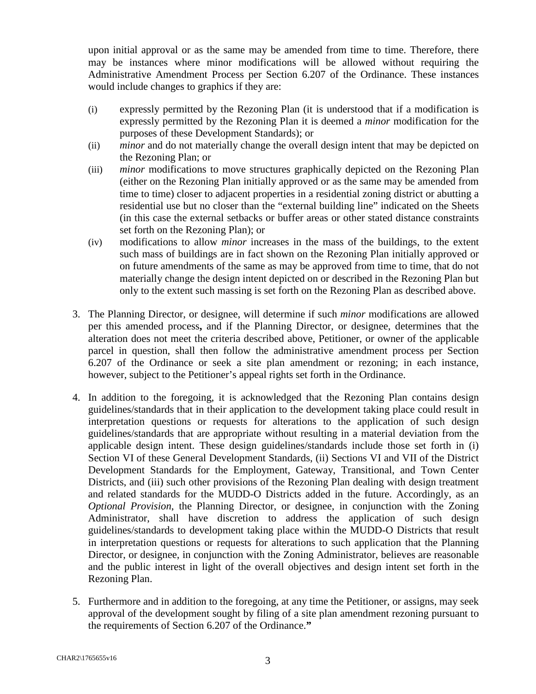upon initial approval or as the same may be amended from time to time. Therefore, there may be instances where minor modifications will be allowed without requiring the Administrative Amendment Process per Section 6.207 of the Ordinance. These instances would include changes to graphics if they are:

- (i) expressly permitted by the Rezoning Plan (it is understood that if a modification is expressly permitted by the Rezoning Plan it is deemed a *minor* modification for the purposes of these Development Standards); or
- (ii) *minor* and do not materially change the overall design intent that may be depicted on the Rezoning Plan; or
- (iii) *minor* modifications to move structures graphically depicted on the Rezoning Plan (either on the Rezoning Plan initially approved or as the same may be amended from time to time) closer to adjacent properties in a residential zoning district or abutting a residential use but no closer than the "external building line" indicated on the Sheets (in this case the external setbacks or buffer areas or other stated distance constraints set forth on the Rezoning Plan); or
- (iv) modifications to allow *minor* increases in the mass of the buildings, to the extent such mass of buildings are in fact shown on the Rezoning Plan initially approved or on future amendments of the same as may be approved from time to time, that do not materially change the design intent depicted on or described in the Rezoning Plan but only to the extent such massing is set forth on the Rezoning Plan as described above.
- 3. The Planning Director, or designee, will determine if such *minor* modifications are allowed per this amended process**,** and if the Planning Director, or designee, determines that the alteration does not meet the criteria described above, Petitioner, or owner of the applicable parcel in question, shall then follow the administrative amendment process per Section 6.207 of the Ordinance or seek a site plan amendment or rezoning; in each instance, however, subject to the Petitioner's appeal rights set forth in the Ordinance.
- 4. In addition to the foregoing, it is acknowledged that the Rezoning Plan contains design guidelines/standards that in their application to the development taking place could result in interpretation questions or requests for alterations to the application of such design guidelines/standards that are appropriate without resulting in a material deviation from the applicable design intent. These design guidelines/standards include those set forth in (i) Section VI of these General Development Standards, (ii) Sections VI and VII of the District Development Standards for the Employment, Gateway, Transitional, and Town Center Districts, and (iii) such other provisions of the Rezoning Plan dealing with design treatment and related standards for the MUDD-O Districts added in the future. Accordingly, as an *Optional Provision*, the Planning Director, or designee, in conjunction with the Zoning Administrator, shall have discretion to address the application of such design guidelines/standards to development taking place within the MUDD-O Districts that result in interpretation questions or requests for alterations to such application that the Planning Director, or designee, in conjunction with the Zoning Administrator, believes are reasonable and the public interest in light of the overall objectives and design intent set forth in the Rezoning Plan.
- 5. Furthermore and in addition to the foregoing, at any time the Petitioner, or assigns, may seek approval of the development sought by filing of a site plan amendment rezoning pursuant to the requirements of Section 6.207 of the Ordinance.**"**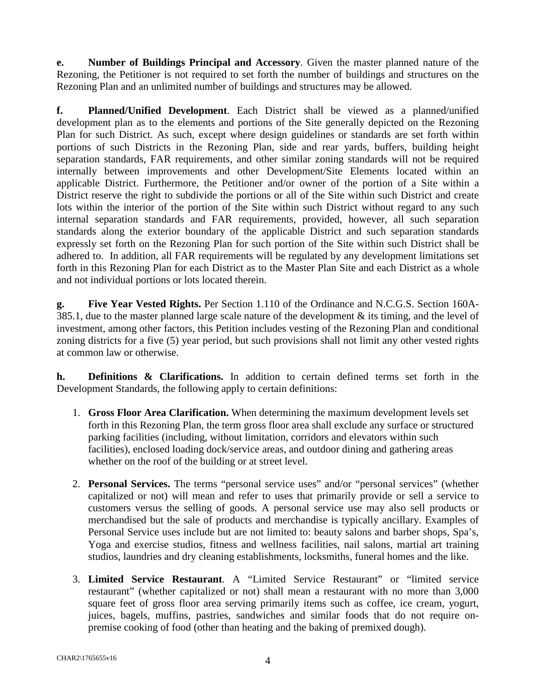**e. Number of Buildings Principal and Accessory**. Given the master planned nature of the Rezoning, the Petitioner is not required to set forth the number of buildings and structures on the Rezoning Plan and an unlimited number of buildings and structures may be allowed.

**f. Planned/Unified Development**. Each District shall be viewed as a planned/unified development plan as to the elements and portions of the Site generally depicted on the Rezoning Plan for such District. As such, except where design guidelines or standards are set forth within portions of such Districts in the Rezoning Plan, side and rear yards, buffers, building height separation standards, FAR requirements, and other similar zoning standards will not be required internally between improvements and other Development/Site Elements located within an applicable District. Furthermore, the Petitioner and/or owner of the portion of a Site within a District reserve the right to subdivide the portions or all of the Site within such District and create lots within the interior of the portion of the Site within such District without regard to any such internal separation standards and FAR requirements, provided, however, all such separation standards along the exterior boundary of the applicable District and such separation standards expressly set forth on the Rezoning Plan for such portion of the Site within such District shall be adhered to. In addition, all FAR requirements will be regulated by any development limitations set forth in this Rezoning Plan for each District as to the Master Plan Site and each District as a whole and not individual portions or lots located therein.

**g. Five Year Vested Rights.** Per Section 1.110 of the Ordinance and N.C.G.S. Section 160A-385.1, due to the master planned large scale nature of the development & its timing, and the level of investment, among other factors, this Petition includes vesting of the Rezoning Plan and conditional zoning districts for a five (5) year period, but such provisions shall not limit any other vested rights at common law or otherwise.

**h. Definitions & Clarifications.** In addition to certain defined terms set forth in the Development Standards, the following apply to certain definitions:

- 1. **Gross Floor Area Clarification.** When determining the maximum development levels set forth in this Rezoning Plan, the term gross floor area shall exclude any surface or structured parking facilities (including, without limitation, corridors and elevators within such facilities), enclosed loading dock/service areas, and outdoor dining and gathering areas whether on the roof of the building or at street level.
- 2. **Personal Services.** The terms "personal service uses" and/or "personal services" (whether capitalized or not) will mean and refer to uses that primarily provide or sell a service to customers versus the selling of goods. A personal service use may also sell products or merchandised but the sale of products and merchandise is typically ancillary. Examples of Personal Service uses include but are not limited to: beauty salons and barber shops, Spa's, Yoga and exercise studios, fitness and wellness facilities, nail salons, martial art training studios, laundries and dry cleaning establishments, locksmiths, funeral homes and the like.
- 3. **Limited Service Restaurant**. A "Limited Service Restaurant" or "limited service restaurant" (whether capitalized or not) shall mean a restaurant with no more than 3,000 square feet of gross floor area serving primarily items such as coffee, ice cream, yogurt, juices, bagels, muffins, pastries, sandwiches and similar foods that do not require onpremise cooking of food (other than heating and the baking of premixed dough).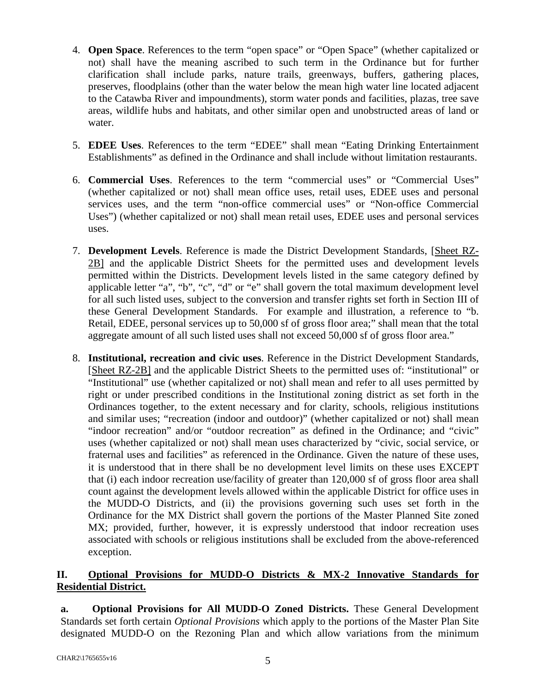- 4. **Open Space**. References to the term "open space" or "Open Space" (whether capitalized or not) shall have the meaning ascribed to such term in the Ordinance but for further clarification shall include parks, nature trails, greenways, buffers, gathering places, preserves, floodplains (other than the water below the mean high water line located adjacent to the Catawba River and impoundments), storm water ponds and facilities, plazas, tree save areas, wildlife hubs and habitats, and other similar open and unobstructed areas of land or water.
- 5. **EDEE Uses**. References to the term "EDEE" shall mean "Eating Drinking Entertainment Establishments" as defined in the Ordinance and shall include without limitation restaurants.
- 6. **Commercial Uses**. References to the term "commercial uses" or "Commercial Uses" (whether capitalized or not) shall mean office uses, retail uses, EDEE uses and personal services uses, and the term "non-office commercial uses" or "Non-office Commercial Uses") (whether capitalized or not) shall mean retail uses, EDEE uses and personal services uses.
- 7. **Development Levels**. Reference is made the District Development Standards, [Sheet RZ-2B] and the applicable District Sheets for the permitted uses and development levels permitted within the Districts. Development levels listed in the same category defined by applicable letter "a", "b", "c", "d" or "e" shall govern the total maximum development level for all such listed uses, subject to the conversion and transfer rights set forth in Section III of these General Development Standards. For example and illustration, a reference to "b. Retail, EDEE, personal services up to 50,000 sf of gross floor area;" shall mean that the total aggregate amount of all such listed uses shall not exceed 50,000 sf of gross floor area."
- 8. **Institutional, recreation and civic uses**. Reference in the District Development Standards, [Sheet RZ-2B] and the applicable District Sheets to the permitted uses of: "institutional" or "Institutional" use (whether capitalized or not) shall mean and refer to all uses permitted by right or under prescribed conditions in the Institutional zoning district as set forth in the Ordinances together, to the extent necessary and for clarity, schools, religious institutions and similar uses; "recreation (indoor and outdoor)" (whether capitalized or not) shall mean "indoor recreation" and/or "outdoor recreation" as defined in the Ordinance; and "civic" uses (whether capitalized or not) shall mean uses characterized by "civic, social service, or fraternal uses and facilities" as referenced in the Ordinance. Given the nature of these uses, it is understood that in there shall be no development level limits on these uses EXCEPT that (i) each indoor recreation use/facility of greater than 120,000 sf of gross floor area shall count against the development levels allowed within the applicable District for office uses in the MUDD-O Districts, and (ii) the provisions governing such uses set forth in the Ordinance for the MX District shall govern the portions of the Master Planned Site zoned MX; provided, further, however, it is expressly understood that indoor recreation uses associated with schools or religious institutions shall be excluded from the above-referenced exception.

## **II. Optional Provisions for MUDD-O Districts & MX-2 Innovative Standards for Residential District.**

**a. Optional Provisions for All MUDD-O Zoned Districts.** These General Development Standards set forth certain *Optional Provisions* which apply to the portions of the Master Plan Site designated MUDD-O on the Rezoning Plan and which allow variations from the minimum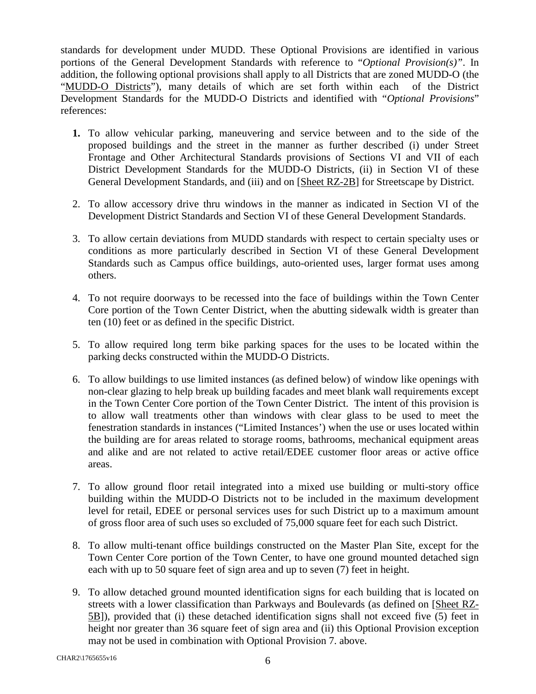standards for development under MUDD. These Optional Provisions are identified in various portions of the General Development Standards with reference to "*Optional Provision(s)"*. In addition, the following optional provisions shall apply to all Districts that are zoned MUDD-O (the "MUDD-O Districts"), many details of which are set forth within each of the District Development Standards for the MUDD-O Districts and identified with "*Optional Provisions*" references:

- **1.** To allow vehicular parking, maneuvering and service between and to the side of the proposed buildings and the street in the manner as further described (i) under Street Frontage and Other Architectural Standards provisions of Sections VI and VII of each District Development Standards for the MUDD-O Districts, (ii) in Section VI of these General Development Standards, and (iii) and on [Sheet RZ-2B] for Streetscape by District.
- 2. To allow accessory drive thru windows in the manner as indicated in Section VI of the Development District Standards and Section VI of these General Development Standards.
- 3. To allow certain deviations from MUDD standards with respect to certain specialty uses or conditions as more particularly described in Section VI of these General Development Standards such as Campus office buildings, auto-oriented uses, larger format uses among others.
- 4. To not require doorways to be recessed into the face of buildings within the Town Center Core portion of the Town Center District, when the abutting sidewalk width is greater than ten (10) feet or as defined in the specific District.
- 5. To allow required long term bike parking spaces for the uses to be located within the parking decks constructed within the MUDD-O Districts.
- 6. To allow buildings to use limited instances (as defined below) of window like openings with non-clear glazing to help break up building facades and meet blank wall requirements except in the Town Center Core portion of the Town Center District. The intent of this provision is to allow wall treatments other than windows with clear glass to be used to meet the fenestration standards in instances ("Limited Instances') when the use or uses located within the building are for areas related to storage rooms, bathrooms, mechanical equipment areas and alike and are not related to active retail/EDEE customer floor areas or active office areas.
- 7. To allow ground floor retail integrated into a mixed use building or multi-story office building within the MUDD-O Districts not to be included in the maximum development level for retail, EDEE or personal services uses for such District up to a maximum amount of gross floor area of such uses so excluded of 75,000 square feet for each such District.
- 8. To allow multi-tenant office buildings constructed on the Master Plan Site, except for the Town Center Core portion of the Town Center, to have one ground mounted detached sign each with up to 50 square feet of sign area and up to seven (7) feet in height.
- 9. To allow detached ground mounted identification signs for each building that is located on streets with a lower classification than Parkways and Boulevards (as defined on [Sheet RZ-5B]), provided that (i) these detached identification signs shall not exceed five (5) feet in height nor greater than 36 square feet of sign area and (ii) this Optional Provision exception may not be used in combination with Optional Provision 7. above.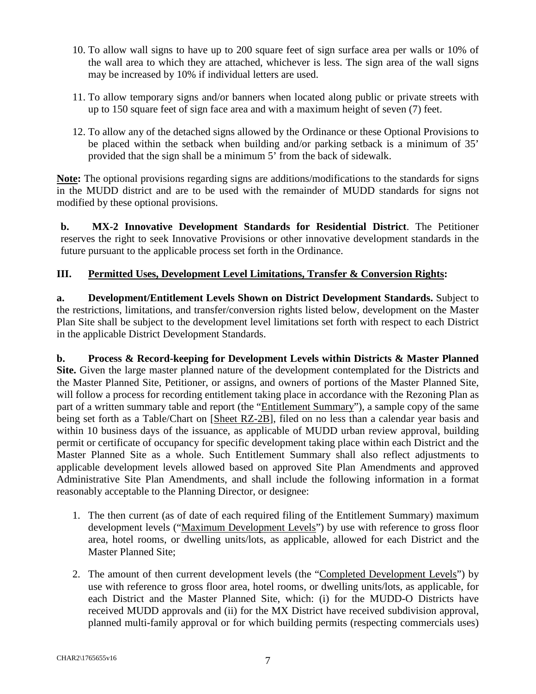- 10. To allow wall signs to have up to 200 square feet of sign surface area per walls or 10% of the wall area to which they are attached, whichever is less. The sign area of the wall signs may be increased by 10% if individual letters are used.
- 11. To allow temporary signs and/or banners when located along public or private streets with up to 150 square feet of sign face area and with a maximum height of seven (7) feet.
- 12. To allow any of the detached signs allowed by the Ordinance or these Optional Provisions to be placed within the setback when building and/or parking setback is a minimum of 35' provided that the sign shall be a minimum 5' from the back of sidewalk.

**Note:** The optional provisions regarding signs are additions/modifications to the standards for signs in the MUDD district and are to be used with the remainder of MUDD standards for signs not modified by these optional provisions.

**b. MX-2 Innovative Development Standards for Residential District**. The Petitioner reserves the right to seek Innovative Provisions or other innovative development standards in the future pursuant to the applicable process set forth in the Ordinance.

## **III. Permitted Uses, Development Level Limitations, Transfer & Conversion Rights:**

**a. Development/Entitlement Levels Shown on District Development Standards.** Subject to the restrictions, limitations, and transfer/conversion rights listed below, development on the Master Plan Site shall be subject to the development level limitations set forth with respect to each District in the applicable District Development Standards.

**b. Process & Record-keeping for Development Levels within Districts & Master Planned Site.** Given the large master planned nature of the development contemplated for the Districts and the Master Planned Site, Petitioner, or assigns, and owners of portions of the Master Planned Site, will follow a process for recording entitlement taking place in accordance with the Rezoning Plan as part of a written summary table and report (the "Entitlement Summary"), a sample copy of the same being set forth as a Table/Chart on [Sheet RZ-2B], filed on no less than a calendar year basis and within 10 business days of the issuance, as applicable of MUDD urban review approval, building permit or certificate of occupancy for specific development taking place within each District and the Master Planned Site as a whole. Such Entitlement Summary shall also reflect adjustments to applicable development levels allowed based on approved Site Plan Amendments and approved Administrative Site Plan Amendments, and shall include the following information in a format reasonably acceptable to the Planning Director, or designee:

- 1. The then current (as of date of each required filing of the Entitlement Summary) maximum development levels ("Maximum Development Levels") by use with reference to gross floor area, hotel rooms, or dwelling units/lots, as applicable, allowed for each District and the Master Planned Site;
- 2. The amount of then current development levels (the "Completed Development Levels") by use with reference to gross floor area, hotel rooms, or dwelling units/lots, as applicable, for each District and the Master Planned Site, which: (i) for the MUDD-O Districts have received MUDD approvals and (ii) for the MX District have received subdivision approval, planned multi-family approval or for which building permits (respecting commercials uses)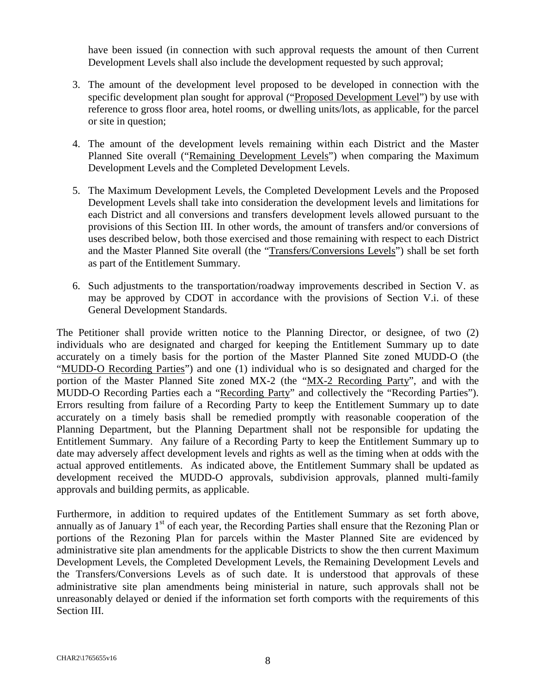have been issued (in connection with such approval requests the amount of then Current Development Levels shall also include the development requested by such approval;

- 3. The amount of the development level proposed to be developed in connection with the specific development plan sought for approval ("Proposed Development Level") by use with reference to gross floor area, hotel rooms, or dwelling units/lots, as applicable, for the parcel or site in question;
- 4. The amount of the development levels remaining within each District and the Master Planned Site overall ("Remaining Development Levels") when comparing the Maximum Development Levels and the Completed Development Levels.
- 5. The Maximum Development Levels, the Completed Development Levels and the Proposed Development Levels shall take into consideration the development levels and limitations for each District and all conversions and transfers development levels allowed pursuant to the provisions of this Section III. In other words, the amount of transfers and/or conversions of uses described below, both those exercised and those remaining with respect to each District and the Master Planned Site overall (the "Transfers/Conversions Levels") shall be set forth as part of the Entitlement Summary.
- 6. Such adjustments to the transportation/roadway improvements described in Section V. as may be approved by CDOT in accordance with the provisions of Section V.i. of these General Development Standards.

The Petitioner shall provide written notice to the Planning Director, or designee, of two (2) individuals who are designated and charged for keeping the Entitlement Summary up to date accurately on a timely basis for the portion of the Master Planned Site zoned MUDD-O (the "MUDD-O Recording Parties") and one (1) individual who is so designated and charged for the portion of the Master Planned Site zoned MX-2 (the "MX-2 Recording Party", and with the MUDD-O Recording Parties each a "Recording Party" and collectively the "Recording Parties"). Errors resulting from failure of a Recording Party to keep the Entitlement Summary up to date accurately on a timely basis shall be remedied promptly with reasonable cooperation of the Planning Department, but the Planning Department shall not be responsible for updating the Entitlement Summary. Any failure of a Recording Party to keep the Entitlement Summary up to date may adversely affect development levels and rights as well as the timing when at odds with the actual approved entitlements. As indicated above, the Entitlement Summary shall be updated as development received the MUDD-O approvals, subdivision approvals, planned multi-family approvals and building permits, as applicable.

Furthermore, in addition to required updates of the Entitlement Summary as set forth above, annually as of January  $1<sup>st</sup>$  of each year, the Recording Parties shall ensure that the Rezoning Plan or portions of the Rezoning Plan for parcels within the Master Planned Site are evidenced by administrative site plan amendments for the applicable Districts to show the then current Maximum Development Levels, the Completed Development Levels, the Remaining Development Levels and the Transfers/Conversions Levels as of such date. It is understood that approvals of these administrative site plan amendments being ministerial in nature, such approvals shall not be unreasonably delayed or denied if the information set forth comports with the requirements of this Section III.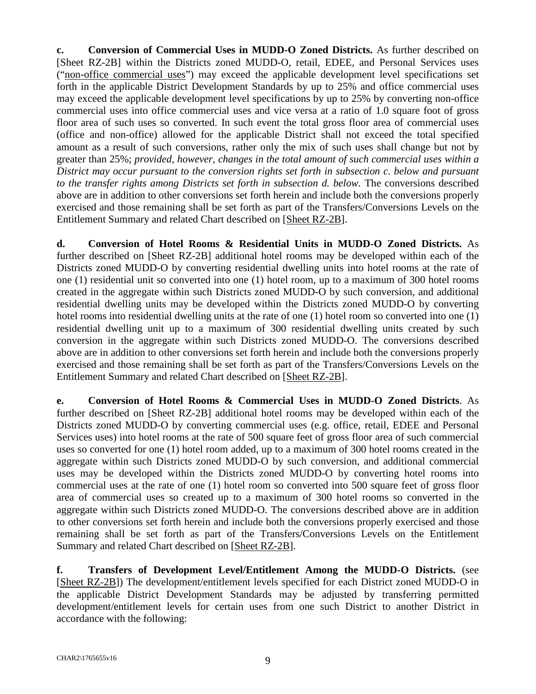**c. Conversion of Commercial Uses in MUDD-O Zoned Districts.** As further described on [Sheet RZ-2B] within the Districts zoned MUDD-O, retail, EDEE, and Personal Services uses ("non-office commercial uses") may exceed the applicable development level specifications set forth in the applicable District Development Standards by up to 25% and office commercial uses may exceed the applicable development level specifications by up to 25% by converting non-office commercial uses into office commercial uses and vice versa at a ratio of 1.0 square foot of gross floor area of such uses so converted. In such event the total gross floor area of commercial uses (office and non-office) allowed for the applicable District shall not exceed the total specified amount as a result of such conversions, rather only the mix of such uses shall change but not by greater than 25%; *provided, however, changes in the total amount of such commercial uses within a District may occur pursuant to the conversion rights set forth in subsection c. below and pursuant to the transfer rights among Districts set forth in subsection d. below.* The conversions described above are in addition to other conversions set forth herein and include both the conversions properly exercised and those remaining shall be set forth as part of the Transfers/Conversions Levels on the Entitlement Summary and related Chart described on [Sheet RZ-2B].

**d. Conversion of Hotel Rooms & Residential Units in MUDD-O Zoned Districts.** As further described on [Sheet RZ-2B] additional hotel rooms may be developed within each of the Districts zoned MUDD-O by converting residential dwelling units into hotel rooms at the rate of one (1) residential unit so converted into one (1) hotel room, up to a maximum of 300 hotel rooms created in the aggregate within such Districts zoned MUDD-O by such conversion, and additional residential dwelling units may be developed within the Districts zoned MUDD-O by converting hotel rooms into residential dwelling units at the rate of one (1) hotel room so converted into one (1) residential dwelling unit up to a maximum of 300 residential dwelling units created by such conversion in the aggregate within such Districts zoned MUDD-O. The conversions described above are in addition to other conversions set forth herein and include both the conversions properly exercised and those remaining shall be set forth as part of the Transfers/Conversions Levels on the Entitlement Summary and related Chart described on [Sheet RZ-2B].

**e. Conversion of Hotel Rooms & Commercial Uses in MUDD-O Zoned Districts**. As further described on [Sheet RZ-2B] additional hotel rooms may be developed within each of the Districts zoned MUDD-O by converting commercial uses (e.g. office, retail, EDEE and Personal Services uses) into hotel rooms at the rate of 500 square feet of gross floor area of such commercial uses so converted for one (1) hotel room added, up to a maximum of 300 hotel rooms created in the aggregate within such Districts zoned MUDD-O by such conversion, and additional commercial uses may be developed within the Districts zoned MUDD-O by converting hotel rooms into commercial uses at the rate of one (1) hotel room so converted into 500 square feet of gross floor area of commercial uses so created up to a maximum of 300 hotel rooms so converted in the aggregate within such Districts zoned MUDD-O. The conversions described above are in addition to other conversions set forth herein and include both the conversions properly exercised and those remaining shall be set forth as part of the Transfers/Conversions Levels on the Entitlement Summary and related Chart described on [Sheet RZ-2B].

**f. Transfers of Development Level/Entitlement Among the MUDD-O Districts.** (see [Sheet RZ-2B]) The development/entitlement levels specified for each District zoned MUDD-O in the applicable District Development Standards may be adjusted by transferring permitted development/entitlement levels for certain uses from one such District to another District in accordance with the following: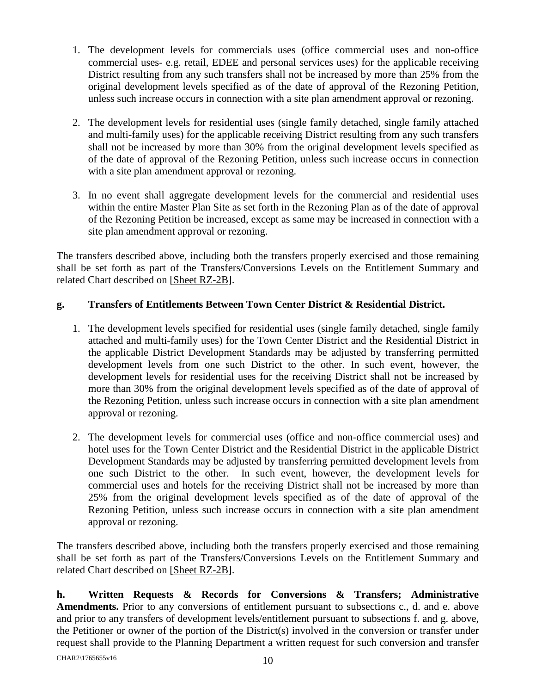- 1. The development levels for commercials uses (office commercial uses and non-office commercial uses- e.g. retail, EDEE and personal services uses) for the applicable receiving District resulting from any such transfers shall not be increased by more than 25% from the original development levels specified as of the date of approval of the Rezoning Petition, unless such increase occurs in connection with a site plan amendment approval or rezoning.
- 2. The development levels for residential uses (single family detached, single family attached and multi-family uses) for the applicable receiving District resulting from any such transfers shall not be increased by more than 30% from the original development levels specified as of the date of approval of the Rezoning Petition, unless such increase occurs in connection with a site plan amendment approval or rezoning.
- 3. In no event shall aggregate development levels for the commercial and residential uses within the entire Master Plan Site as set forth in the Rezoning Plan as of the date of approval of the Rezoning Petition be increased, except as same may be increased in connection with a site plan amendment approval or rezoning.

The transfers described above, including both the transfers properly exercised and those remaining shall be set forth as part of the Transfers/Conversions Levels on the Entitlement Summary and related Chart described on [Sheet RZ-2B].

## **g. Transfers of Entitlements Between Town Center District & Residential District.**

- 1. The development levels specified for residential uses (single family detached, single family attached and multi-family uses) for the Town Center District and the Residential District in the applicable District Development Standards may be adjusted by transferring permitted development levels from one such District to the other. In such event, however, the development levels for residential uses for the receiving District shall not be increased by more than 30% from the original development levels specified as of the date of approval of the Rezoning Petition, unless such increase occurs in connection with a site plan amendment approval or rezoning.
- 2. The development levels for commercial uses (office and non-office commercial uses) and hotel uses for the Town Center District and the Residential District in the applicable District Development Standards may be adjusted by transferring permitted development levels from one such District to the other. In such event, however, the development levels for commercial uses and hotels for the receiving District shall not be increased by more than 25% from the original development levels specified as of the date of approval of the Rezoning Petition, unless such increase occurs in connection with a site plan amendment approval or rezoning.

The transfers described above, including both the transfers properly exercised and those remaining shall be set forth as part of the Transfers/Conversions Levels on the Entitlement Summary and related Chart described on [Sheet RZ-2B].

**h. Written Requests & Records for Conversions & Transfers; Administrative Amendments.** Prior to any conversions of entitlement pursuant to subsections c., d. and e. above and prior to any transfers of development levels/entitlement pursuant to subsections f. and g. above, the Petitioner or owner of the portion of the District(s) involved in the conversion or transfer under request shall provide to the Planning Department a written request for such conversion and transfer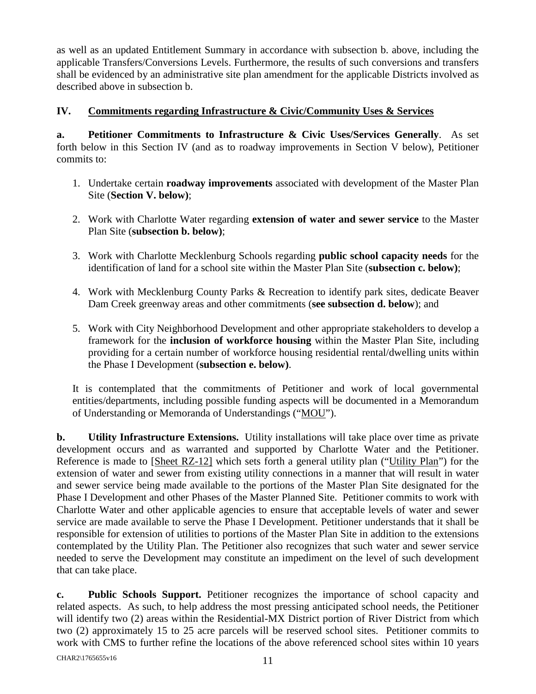as well as an updated Entitlement Summary in accordance with subsection b. above, including the applicable Transfers/Conversions Levels. Furthermore, the results of such conversions and transfers shall be evidenced by an administrative site plan amendment for the applicable Districts involved as described above in subsection b.

## **IV. Commitments regarding Infrastructure & Civic/Community Uses & Services**

**a. Petitioner Commitments to Infrastructure & Civic Uses/Services Generally**. As set forth below in this Section IV (and as to roadway improvements in Section V below), Petitioner commits to:

- 1. Undertake certain **roadway improvements** associated with development of the Master Plan Site (**Section V. below)**;
- 2. Work with Charlotte Water regarding **extension of water and sewer service** to the Master Plan Site (**subsection b. below)**;
- 3. Work with Charlotte Mecklenburg Schools regarding **public school capacity needs** for the identification of land for a school site within the Master Plan Site (**subsection c. below)**;
- 4. Work with Mecklenburg County Parks & Recreation to identify park sites, dedicate Beaver Dam Creek greenway areas and other commitments (**see subsection d. below**); and
- 5. Work with City Neighborhood Development and other appropriate stakeholders to develop a framework for the **inclusion of workforce housing** within the Master Plan Site, including providing for a certain number of workforce housing residential rental/dwelling units within the Phase I Development (**subsection e. below)**.

It is contemplated that the commitments of Petitioner and work of local governmental entities/departments, including possible funding aspects will be documented in a Memorandum of Understanding or Memoranda of Understandings ("MOU").

**b. Utility Infrastructure Extensions.** Utility installations will take place over time as private development occurs and as warranted and supported by Charlotte Water and the Petitioner. Reference is made to [Sheet RZ-12] which sets forth a general utility plan ("Utility Plan") for the extension of water and sewer from existing utility connections in a manner that will result in water and sewer service being made available to the portions of the Master Plan Site designated for the Phase I Development and other Phases of the Master Planned Site. Petitioner commits to work with Charlotte Water and other applicable agencies to ensure that acceptable levels of water and sewer service are made available to serve the Phase I Development. Petitioner understands that it shall be responsible for extension of utilities to portions of the Master Plan Site in addition to the extensions contemplated by the Utility Plan. The Petitioner also recognizes that such water and sewer service needed to serve the Development may constitute an impediment on the level of such development that can take place.

**c. Public Schools Support.** Petitioner recognizes the importance of school capacity and related aspects. As such, to help address the most pressing anticipated school needs, the Petitioner will identify two (2) areas within the Residential-MX District portion of River District from which two (2) approximately 15 to 25 acre parcels will be reserved school sites. Petitioner commits to work with CMS to further refine the locations of the above referenced school sites within 10 years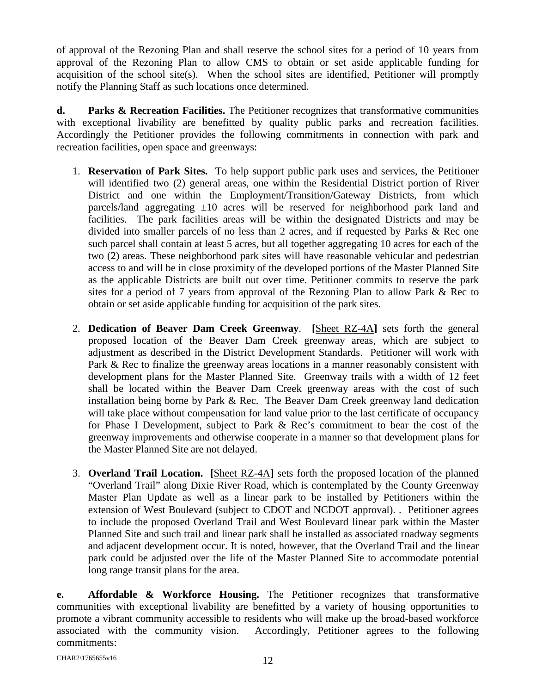of approval of the Rezoning Plan and shall reserve the school sites for a period of 10 years from approval of the Rezoning Plan to allow CMS to obtain or set aside applicable funding for acquisition of the school site(s). When the school sites are identified, Petitioner will promptly notify the Planning Staff as such locations once determined.

**d. Parks & Recreation Facilities.** The Petitioner recognizes that transformative communities with exceptional livability are benefitted by quality public parks and recreation facilities. Accordingly the Petitioner provides the following commitments in connection with park and recreation facilities, open space and greenways:

- 1. **Reservation of Park Sites.** To help support public park uses and services, the Petitioner will identified two (2) general areas, one within the Residential District portion of River District and one within the Employment/Transition/Gateway Districts, from which parcels/land aggregating  $\pm 10$  acres will be reserved for neighborhood park land and facilities. The park facilities areas will be within the designated Districts and may be divided into smaller parcels of no less than 2 acres, and if requested by Parks & Rec one such parcel shall contain at least 5 acres, but all together aggregating 10 acres for each of the two (2) areas. These neighborhood park sites will have reasonable vehicular and pedestrian access to and will be in close proximity of the developed portions of the Master Planned Site as the applicable Districts are built out over time. Petitioner commits to reserve the park sites for a period of 7 years from approval of the Rezoning Plan to allow Park & Rec to obtain or set aside applicable funding for acquisition of the park sites.
- 2. **Dedication of Beaver Dam Creek Greenway**. **[**Sheet RZ-4A**]** sets forth the general proposed location of the Beaver Dam Creek greenway areas, which are subject to adjustment as described in the District Development Standards. Petitioner will work with Park & Rec to finalize the greenway areas locations in a manner reasonably consistent with development plans for the Master Planned Site. Greenway trails with a width of 12 feet shall be located within the Beaver Dam Creek greenway areas with the cost of such installation being borne by Park & Rec. The Beaver Dam Creek greenway land dedication will take place without compensation for land value prior to the last certificate of occupancy for Phase I Development, subject to Park & Rec's commitment to bear the cost of the greenway improvements and otherwise cooperate in a manner so that development plans for the Master Planned Site are not delayed.
- 3. **Overland Trail Location. [**Sheet RZ-4A**]** sets forth the proposed location of the planned "Overland Trail" along Dixie River Road, which is contemplated by the County Greenway Master Plan Update as well as a linear park to be installed by Petitioners within the extension of West Boulevard (subject to CDOT and NCDOT approval). . Petitioner agrees to include the proposed Overland Trail and West Boulevard linear park within the Master Planned Site and such trail and linear park shall be installed as associated roadway segments and adjacent development occur. It is noted, however, that the Overland Trail and the linear park could be adjusted over the life of the Master Planned Site to accommodate potential long range transit plans for the area.

**e. Affordable & Workforce Housing.** The Petitioner recognizes that transformative communities with exceptional livability are benefitted by a variety of housing opportunities to promote a vibrant community accessible to residents who will make up the broad-based workforce associated with the community vision. Accordingly, Petitioner agrees to the following commitments: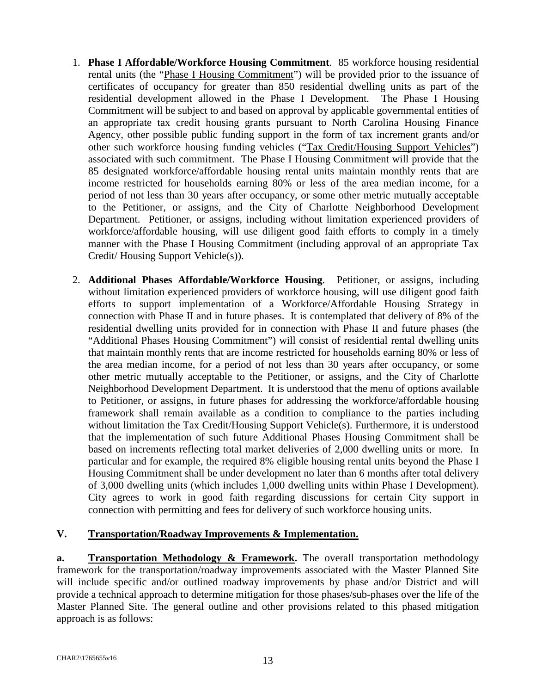- 1. **Phase I Affordable/Workforce Housing Commitment**. 85 workforce housing residential rental units (the "Phase I Housing Commitment") will be provided prior to the issuance of certificates of occupancy for greater than 850 residential dwelling units as part of the residential development allowed in the Phase I Development. The Phase I Housing Commitment will be subject to and based on approval by applicable governmental entities of an appropriate tax credit housing grants pursuant to North Carolina Housing Finance Agency, other possible public funding support in the form of tax increment grants and/or other such workforce housing funding vehicles ("Tax Credit/Housing Support Vehicles") associated with such commitment. The Phase I Housing Commitment will provide that the 85 designated workforce/affordable housing rental units maintain monthly rents that are income restricted for households earning 80% or less of the area median income, for a period of not less than 30 years after occupancy, or some other metric mutually acceptable to the Petitioner, or assigns, and the City of Charlotte Neighborhood Development Department. Petitioner, or assigns, including without limitation experienced providers of workforce/affordable housing, will use diligent good faith efforts to comply in a timely manner with the Phase I Housing Commitment (including approval of an appropriate Tax Credit/ Housing Support Vehicle(s)).
- 2. **Additional Phases Affordable/Workforce Housing**. Petitioner, or assigns, including without limitation experienced providers of workforce housing, will use diligent good faith efforts to support implementation of a Workforce/Affordable Housing Strategy in connection with Phase II and in future phases. It is contemplated that delivery of 8% of the residential dwelling units provided for in connection with Phase II and future phases (the "Additional Phases Housing Commitment") will consist of residential rental dwelling units that maintain monthly rents that are income restricted for households earning 80% or less of the area median income, for a period of not less than 30 years after occupancy, or some other metric mutually acceptable to the Petitioner, or assigns, and the City of Charlotte Neighborhood Development Department. It is understood that the menu of options available to Petitioner, or assigns, in future phases for addressing the workforce/affordable housing framework shall remain available as a condition to compliance to the parties including without limitation the Tax Credit/Housing Support Vehicle(s). Furthermore, it is understood that the implementation of such future Additional Phases Housing Commitment shall be based on increments reflecting total market deliveries of 2,000 dwelling units or more. In particular and for example, the required 8% eligible housing rental units beyond the Phase I Housing Commitment shall be under development no later than 6 months after total delivery of 3,000 dwelling units (which includes 1,000 dwelling units within Phase I Development). City agrees to work in good faith regarding discussions for certain City support in connection with permitting and fees for delivery of such workforce housing units.

#### **V. Transportation/Roadway Improvements & Implementation.**

**a. Transportation Methodology & Framework.** The overall transportation methodology framework for the transportation/roadway improvements associated with the Master Planned Site will include specific and/or outlined roadway improvements by phase and/or District and will provide a technical approach to determine mitigation for those phases/sub-phases over the life of the Master Planned Site. The general outline and other provisions related to this phased mitigation approach is as follows: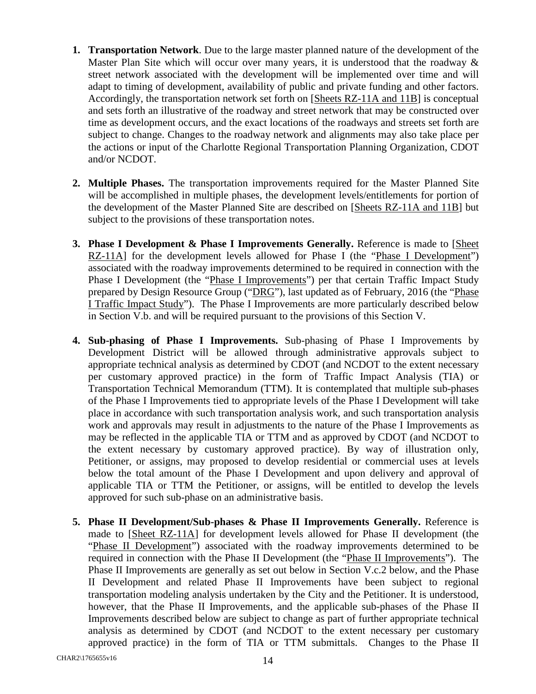- **1. Transportation Network**. Due to the large master planned nature of the development of the Master Plan Site which will occur over many years, it is understood that the roadway & street network associated with the development will be implemented over time and will adapt to timing of development, availability of public and private funding and other factors. Accordingly, the transportation network set forth on [Sheets RZ-11A and 11B] is conceptual and sets forth an illustrative of the roadway and street network that may be constructed over time as development occurs, and the exact locations of the roadways and streets set forth are subject to change. Changes to the roadway network and alignments may also take place per the actions or input of the Charlotte Regional Transportation Planning Organization, CDOT and/or NCDOT.
- **2. Multiple Phases.** The transportation improvements required for the Master Planned Site will be accomplished in multiple phases, the development levels/entitlements for portion of the development of the Master Planned Site are described on [Sheets RZ-11A and 11B] but subject to the provisions of these transportation notes.
- **3. Phase I Development & Phase I Improvements Generally.** Reference is made to [Sheet RZ-11A] for the development levels allowed for Phase I (the "Phase I Development") associated with the roadway improvements determined to be required in connection with the Phase I Development (the "Phase I Improvements") per that certain Traffic Impact Study prepared by Design Resource Group ("DRG"), last updated as of February, 2016 (the "Phase I Traffic Impact Study"). The Phase I Improvements are more particularly described below in Section V.b. and will be required pursuant to the provisions of this Section V.
- **4. Sub-phasing of Phase I Improvements.** Sub-phasing of Phase I Improvements by Development District will be allowed through administrative approvals subject to appropriate technical analysis as determined by CDOT (and NCDOT to the extent necessary per customary approved practice) in the form of Traffic Impact Analysis (TIA) or Transportation Technical Memorandum (TTM). It is contemplated that multiple sub-phases of the Phase I Improvements tied to appropriate levels of the Phase I Development will take place in accordance with such transportation analysis work, and such transportation analysis work and approvals may result in adjustments to the nature of the Phase I Improvements as may be reflected in the applicable TIA or TTM and as approved by CDOT (and NCDOT to the extent necessary by customary approved practice). By way of illustration only, Petitioner, or assigns, may proposed to develop residential or commercial uses at levels below the total amount of the Phase I Development and upon delivery and approval of applicable TIA or TTM the Petitioner, or assigns, will be entitled to develop the levels approved for such sub-phase on an administrative basis.
- **5. Phase II Development/Sub-phases & Phase II Improvements Generally.** Reference is made to [Sheet RZ-11A] for development levels allowed for Phase II development (the "Phase II Development") associated with the roadway improvements determined to be required in connection with the Phase II Development (the "Phase II Improvements"). The Phase II Improvements are generally as set out below in Section V.c.2 below, and the Phase II Development and related Phase II Improvements have been subject to regional transportation modeling analysis undertaken by the City and the Petitioner. It is understood, however, that the Phase II Improvements, and the applicable sub-phases of the Phase II Improvements described below are subject to change as part of further appropriate technical analysis as determined by CDOT (and NCDOT to the extent necessary per customary approved practice) in the form of TIA or TTM submittals. Changes to the Phase II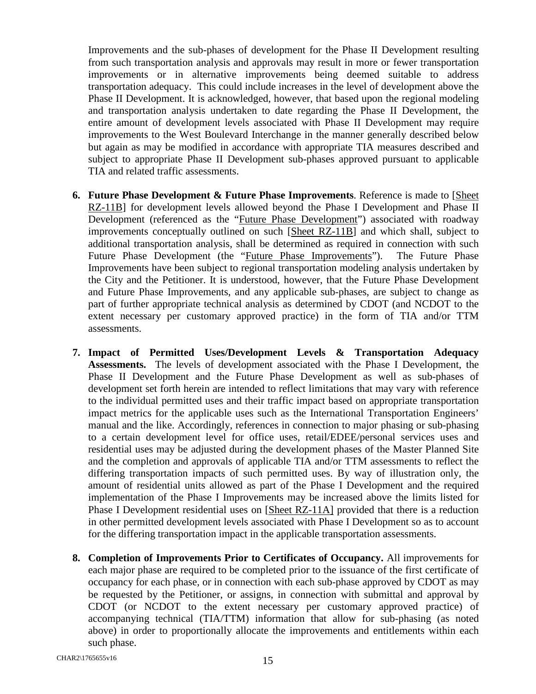Improvements and the sub-phases of development for the Phase II Development resulting from such transportation analysis and approvals may result in more or fewer transportation improvements or in alternative improvements being deemed suitable to address transportation adequacy. This could include increases in the level of development above the Phase II Development. It is acknowledged, however, that based upon the regional modeling and transportation analysis undertaken to date regarding the Phase II Development, the entire amount of development levels associated with Phase II Development may require improvements to the West Boulevard Interchange in the manner generally described below but again as may be modified in accordance with appropriate TIA measures described and subject to appropriate Phase II Development sub-phases approved pursuant to applicable TIA and related traffic assessments.

- **6. Future Phase Development & Future Phase Improvements**. Reference is made to [Sheet RZ-11B] for development levels allowed beyond the Phase I Development and Phase II Development (referenced as the "Future Phase Development") associated with roadway improvements conceptually outlined on such [Sheet RZ-11B] and which shall, subject to additional transportation analysis, shall be determined as required in connection with such Future Phase Development (the "Future Phase Improvements"). The Future Phase Improvements have been subject to regional transportation modeling analysis undertaken by the City and the Petitioner. It is understood, however, that the Future Phase Development and Future Phase Improvements, and any applicable sub-phases, are subject to change as part of further appropriate technical analysis as determined by CDOT (and NCDOT to the extent necessary per customary approved practice) in the form of TIA and/or TTM assessments.
- **7. Impact of Permitted Uses/Development Levels & Transportation Adequacy Assessments.** The levels of development associated with the Phase I Development, the Phase II Development and the Future Phase Development as well as sub-phases of development set forth herein are intended to reflect limitations that may vary with reference to the individual permitted uses and their traffic impact based on appropriate transportation impact metrics for the applicable uses such as the International Transportation Engineers' manual and the like. Accordingly, references in connection to major phasing or sub-phasing to a certain development level for office uses, retail/EDEE/personal services uses and residential uses may be adjusted during the development phases of the Master Planned Site and the completion and approvals of applicable TIA and/or TTM assessments to reflect the differing transportation impacts of such permitted uses. By way of illustration only, the amount of residential units allowed as part of the Phase I Development and the required implementation of the Phase I Improvements may be increased above the limits listed for Phase I Development residential uses on [Sheet RZ-11A] provided that there is a reduction in other permitted development levels associated with Phase I Development so as to account for the differing transportation impact in the applicable transportation assessments.
- **8. Completion of Improvements Prior to Certificates of Occupancy.** All improvements for each major phase are required to be completed prior to the issuance of the first certificate of occupancy for each phase, or in connection with each sub-phase approved by CDOT as may be requested by the Petitioner, or assigns, in connection with submittal and approval by CDOT (or NCDOT to the extent necessary per customary approved practice) of accompanying technical (TIA/TTM) information that allow for sub-phasing (as noted above) in order to proportionally allocate the improvements and entitlements within each such phase.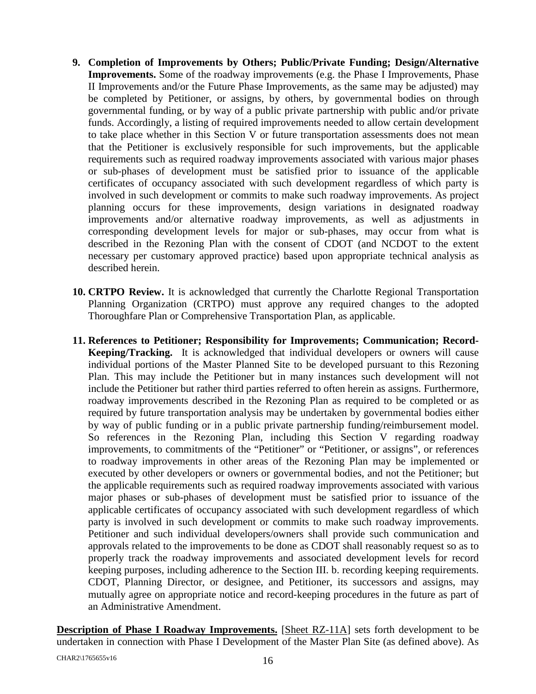- **9. Completion of Improvements by Others; Public/Private Funding; Design/Alternative Improvements.** Some of the roadway improvements (e.g. the Phase I Improvements, Phase II Improvements and/or the Future Phase Improvements, as the same may be adjusted) may be completed by Petitioner, or assigns, by others, by governmental bodies on through governmental funding, or by way of a public private partnership with public and/or private funds. Accordingly, a listing of required improvements needed to allow certain development to take place whether in this Section V or future transportation assessments does not mean that the Petitioner is exclusively responsible for such improvements, but the applicable requirements such as required roadway improvements associated with various major phases or sub-phases of development must be satisfied prior to issuance of the applicable certificates of occupancy associated with such development regardless of which party is involved in such development or commits to make such roadway improvements. As project planning occurs for these improvements, design variations in designated roadway improvements and/or alternative roadway improvements, as well as adjustments in corresponding development levels for major or sub-phases, may occur from what is described in the Rezoning Plan with the consent of CDOT (and NCDOT to the extent necessary per customary approved practice) based upon appropriate technical analysis as described herein.
- **10. CRTPO Review.** It is acknowledged that currently the Charlotte Regional Transportation Planning Organization (CRTPO) must approve any required changes to the adopted Thoroughfare Plan or Comprehensive Transportation Plan, as applicable.
- **11. References to Petitioner; Responsibility for Improvements; Communication; Record-Keeping/Tracking.** It is acknowledged that individual developers or owners will cause individual portions of the Master Planned Site to be developed pursuant to this Rezoning Plan. This may include the Petitioner but in many instances such development will not include the Petitioner but rather third parties referred to often herein as assigns. Furthermore, roadway improvements described in the Rezoning Plan as required to be completed or as required by future transportation analysis may be undertaken by governmental bodies either by way of public funding or in a public private partnership funding/reimbursement model. So references in the Rezoning Plan, including this Section V regarding roadway improvements, to commitments of the "Petitioner" or "Petitioner, or assigns", or references to roadway improvements in other areas of the Rezoning Plan may be implemented or executed by other developers or owners or governmental bodies, and not the Petitioner; but the applicable requirements such as required roadway improvements associated with various major phases or sub-phases of development must be satisfied prior to issuance of the applicable certificates of occupancy associated with such development regardless of which party is involved in such development or commits to make such roadway improvements. Petitioner and such individual developers/owners shall provide such communication and approvals related to the improvements to be done as CDOT shall reasonably request so as to properly track the roadway improvements and associated development levels for record keeping purposes, including adherence to the Section III. b. recording keeping requirements. CDOT, Planning Director, or designee, and Petitioner, its successors and assigns, may mutually agree on appropriate notice and record-keeping procedures in the future as part of an Administrative Amendment.

**Description of Phase I Roadway Improvements.** [Sheet RZ-11A] sets forth development to be undertaken in connection with Phase I Development of the Master Plan Site (as defined above). As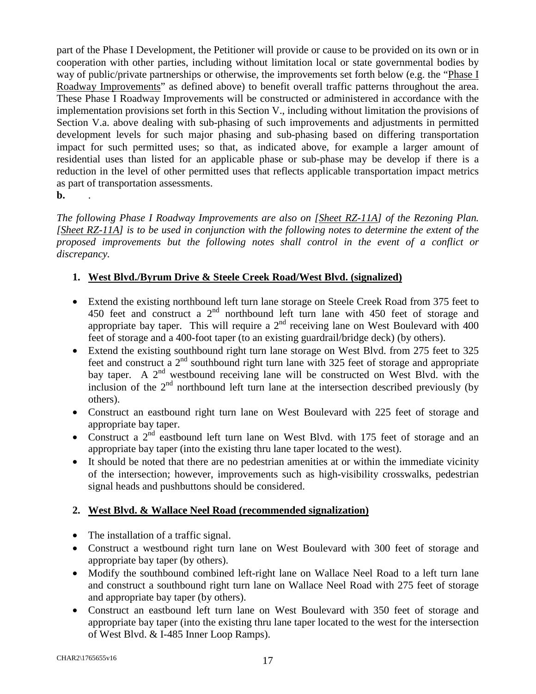part of the Phase I Development, the Petitioner will provide or cause to be provided on its own or in cooperation with other parties, including without limitation local or state governmental bodies by way of public/private partnerships or otherwise, the improvements set forth below (e.g. the "Phase I Roadway Improvements" as defined above) to benefit overall traffic patterns throughout the area. These Phase I Roadway Improvements will be constructed or administered in accordance with the implementation provisions set forth in this Section V., including without limitation the provisions of Section V.a. above dealing with sub-phasing of such improvements and adjustments in permitted development levels for such major phasing and sub-phasing based on differing transportation impact for such permitted uses; so that, as indicated above, for example a larger amount of residential uses than listed for an applicable phase or sub-phase may be develop if there is a reduction in the level of other permitted uses that reflects applicable transportation impact metrics as part of transportation assessments.

**b.** .

*The following Phase I Roadway Improvements are also on [Sheet RZ-11A] of the Rezoning Plan. [Sheet RZ-11A] is to be used in conjunction with the following notes to determine the extent of the proposed improvements but the following notes shall control in the event of a conflict or discrepancy.* 

## **1. West Blvd./Byrum Drive & Steele Creek Road/West Blvd. (signalized)**

- Extend the existing northbound left turn lane storage on Steele Creek Road from 375 feet to 450 feet and construct a 2<sup>nd</sup> northbound left turn lane with 450 feet of storage and appropriate bay taper. This will require a  $2<sup>nd</sup>$  receiving lane on West Boulevard with 400 feet of storage and a 400-foot taper (to an existing guardrail/bridge deck) (by others).
- Extend the existing southbound right turn lane storage on West Blvd. from 275 feet to 325 feet and construct a  $2<sup>nd</sup>$  southbound right turn lane with 325 feet of storage and appropriate bay taper. A 2<sup>nd</sup> westbound receiving lane will be constructed on West Blvd. with the inclusion of the  $2<sup>nd</sup>$  northbound left turn lane at the intersection described previously (by others).
- Construct an eastbound right turn lane on West Boulevard with 225 feet of storage and appropriate bay taper.
- Construct a  $2<sup>nd</sup>$  eastbound left turn lane on West Blvd. with 175 feet of storage and an appropriate bay taper (into the existing thru lane taper located to the west).
- It should be noted that there are no pedestrian amenities at or within the immediate vicinity of the intersection; however, improvements such as high-visibility crosswalks, pedestrian signal heads and pushbuttons should be considered.

## **2. West Blvd. & Wallace Neel Road (recommended signalization)**

- The installation of a traffic signal.
- Construct a westbound right turn lane on West Boulevard with 300 feet of storage and appropriate bay taper (by others).
- Modify the southbound combined left-right lane on Wallace Neel Road to a left turn lane and construct a southbound right turn lane on Wallace Neel Road with 275 feet of storage and appropriate bay taper (by others).
- Construct an eastbound left turn lane on West Boulevard with 350 feet of storage and appropriate bay taper (into the existing thru lane taper located to the west for the intersection of West Blvd. & I-485 Inner Loop Ramps).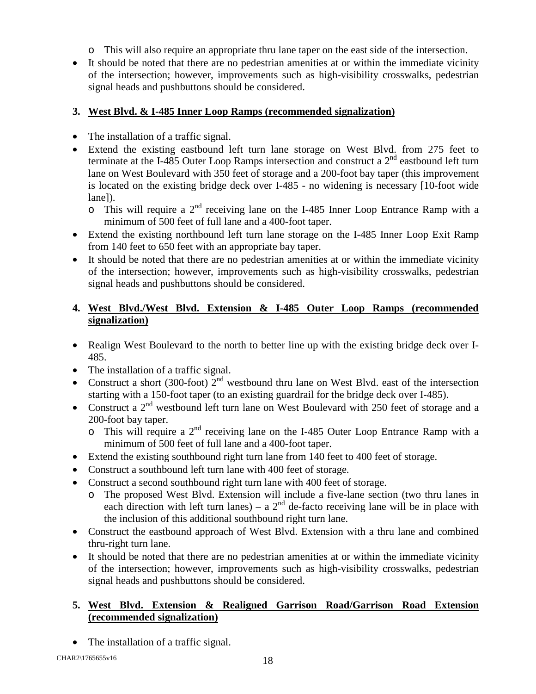- o This will also require an appropriate thru lane taper on the east side of the intersection.
- It should be noted that there are no pedestrian amenities at or within the immediate vicinity of the intersection; however, improvements such as high-visibility crosswalks, pedestrian signal heads and pushbuttons should be considered.

## **3. West Blvd. & I-485 Inner Loop Ramps (recommended signalization)**

- The installation of a traffic signal.
- Extend the existing eastbound left turn lane storage on West Blvd. from 275 feet to terminate at the I-485 Outer Loop Ramps intersection and construct a  $2<sup>nd</sup>$  eastbound left turn lane on West Boulevard with 350 feet of storage and a 200-foot bay taper (this improvement is located on the existing bridge deck over I-485 - no widening is necessary [10-foot wide lane]).
	- $\circ$  This will require a 2<sup>nd</sup> receiving lane on the I-485 Inner Loop Entrance Ramp with a minimum of 500 feet of full lane and a 400-foot taper.
- Extend the existing northbound left turn lane storage on the I-485 Inner Loop Exit Ramp from 140 feet to 650 feet with an appropriate bay taper.
- It should be noted that there are no pedestrian amenities at or within the immediate vicinity of the intersection; however, improvements such as high-visibility crosswalks, pedestrian signal heads and pushbuttons should be considered.

## **4. West Blvd./West Blvd. Extension & I-485 Outer Loop Ramps (recommended signalization)**

- Realign West Boulevard to the north to better line up with the existing bridge deck over I-485.
- The installation of a traffic signal.
- Construct a short (300-foot)  $2<sup>nd</sup>$  westbound thru lane on West Blvd. east of the intersection starting with a 150-foot taper (to an existing guardrail for the bridge deck over I-485).
- Construct a  $2<sup>nd</sup>$  westbound left turn lane on West Boulevard with 250 feet of storage and a 200-foot bay taper.
	- $\circ$  This will require a 2<sup>nd</sup> receiving lane on the I-485 Outer Loop Entrance Ramp with a minimum of 500 feet of full lane and a 400-foot taper.
- Extend the existing southbound right turn lane from 140 feet to 400 feet of storage.
- Construct a southbound left turn lane with 400 feet of storage.
- Construct a second southbound right turn lane with 400 feet of storage.
	- o The proposed West Blvd. Extension will include a five-lane section (two thru lanes in each direction with left turn lanes) – a  $2<sup>nd</sup>$  de-facto receiving lane will be in place with the inclusion of this additional southbound right turn lane.
- Construct the eastbound approach of West Blvd. Extension with a thru lane and combined thru-right turn lane.
- It should be noted that there are no pedestrian amenities at or within the immediate vicinity of the intersection; however, improvements such as high-visibility crosswalks, pedestrian signal heads and pushbuttons should be considered.

## **5. West Blvd. Extension & Realigned Garrison Road/Garrison Road Extension (recommended signalization)**

• The installation of a traffic signal.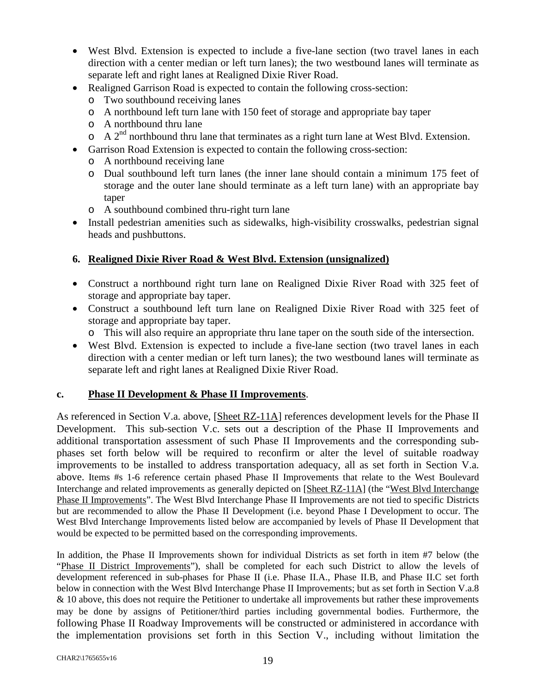- West Blvd. Extension is expected to include a five-lane section (two travel lanes in each direction with a center median or left turn lanes); the two westbound lanes will terminate as separate left and right lanes at Realigned Dixie River Road.
- Realigned Garrison Road is expected to contain the following cross-section:
	- o Two southbound receiving lanes
	- o A northbound left turn lane with 150 feet of storage and appropriate bay taper
	- o A northbound thru lane
	- $\circ$  A 2<sup>nd</sup> northbound thru lane that terminates as a right turn lane at West Blvd. Extension.
- Garrison Road Extension is expected to contain the following cross-section:
	- o A northbound receiving lane
	- o Dual southbound left turn lanes (the inner lane should contain a minimum 175 feet of storage and the outer lane should terminate as a left turn lane) with an appropriate bay taper
	- o A southbound combined thru-right turn lane
- Install pedestrian amenities such as sidewalks, high-visibility crosswalks, pedestrian signal heads and pushbuttons.

#### **6. Realigned Dixie River Road & West Blvd. Extension (unsignalized)**

- Construct a northbound right turn lane on Realigned Dixie River Road with 325 feet of storage and appropriate bay taper.
- Construct a southbound left turn lane on Realigned Dixie River Road with 325 feet of storage and appropriate bay taper.
	- o This will also require an appropriate thru lane taper on the south side of the intersection.
- West Blvd. Extension is expected to include a five-lane section (two travel lanes in each direction with a center median or left turn lanes); the two westbound lanes will terminate as separate left and right lanes at Realigned Dixie River Road.

#### **c. Phase II Development & Phase II Improvements**.

As referenced in Section V.a. above, [Sheet RZ-11A] references development levels for the Phase II Development. This sub-section V.c. sets out a description of the Phase II Improvements and additional transportation assessment of such Phase II Improvements and the corresponding subphases set forth below will be required to reconfirm or alter the level of suitable roadway improvements to be installed to address transportation adequacy, all as set forth in Section V.a. above. Items #s 1-6 reference certain phased Phase II Improvements that relate to the West Boulevard Interchange and related improvements as generally depicted on [Sheet RZ-11A] (the "West Blvd Interchange Phase II Improvements". The West Blvd Interchange Phase II Improvements are not tied to specific Districts but are recommended to allow the Phase II Development (i.e. beyond Phase I Development to occur. The West Blvd Interchange Improvements listed below are accompanied by levels of Phase II Development that would be expected to be permitted based on the corresponding improvements.

In addition, the Phase II Improvements shown for individual Districts as set forth in item #7 below (the "Phase II District Improvements"), shall be completed for each such District to allow the levels of development referenced in sub-phases for Phase II (i.e. Phase II.A., Phase II.B, and Phase II.C set forth below in connection with the West Blvd Interchange Phase II Improvements; but as set forth in Section V.a.8 & 10 above, this does not require the Petitioner to undertake all improvements but rather these improvements may be done by assigns of Petitioner/third parties including governmental bodies. Furthermore, the following Phase II Roadway Improvements will be constructed or administered in accordance with the implementation provisions set forth in this Section V., including without limitation the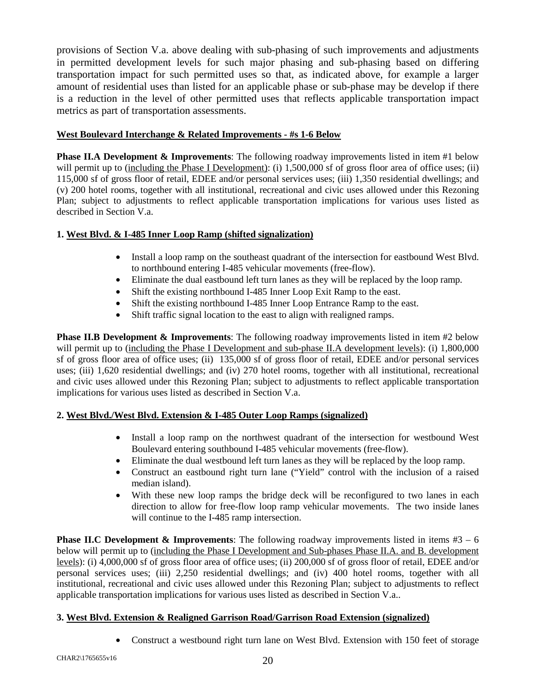provisions of Section V.a. above dealing with sub-phasing of such improvements and adjustments in permitted development levels for such major phasing and sub-phasing based on differing transportation impact for such permitted uses so that, as indicated above, for example a larger amount of residential uses than listed for an applicable phase or sub-phase may be develop if there is a reduction in the level of other permitted uses that reflects applicable transportation impact metrics as part of transportation assessments.

#### **West Boulevard Interchange & Related Improvements - #s 1-6 Below**

**Phase II.A Development & Improvements**: The following roadway improvements listed in item #1 below will permit up to (including the Phase I Development): (i) 1,500,000 sf of gross floor area of office uses; (ii) 115,000 sf of gross floor of retail, EDEE and/or personal services uses; (iii) 1,350 residential dwellings; and (v) 200 hotel rooms, together with all institutional, recreational and civic uses allowed under this Rezoning Plan; subject to adjustments to reflect applicable transportation implications for various uses listed as described in Section V.a.

#### **1. West Blvd. & I-485 Inner Loop Ramp (shifted signalization)**

- Install a loop ramp on the southeast quadrant of the intersection for eastbound West Blvd. to northbound entering I-485 vehicular movements (free-flow).
- Eliminate the dual eastbound left turn lanes as they will be replaced by the loop ramp.
- Shift the existing northbound I-485 Inner Loop Exit Ramp to the east.
- Shift the existing northbound I-485 Inner Loop Entrance Ramp to the east.
- Shift traffic signal location to the east to align with realigned ramps.

**Phase II.B Development & Improvements**: The following roadway improvements listed in item #2 below will permit up to (including the Phase I Development and sub-phase II.A development levels): (i) 1,800,000 sf of gross floor area of office uses; (ii) 135,000 sf of gross floor of retail, EDEE and/or personal services uses; (iii) 1,620 residential dwellings; and (iv) 270 hotel rooms, together with all institutional, recreational and civic uses allowed under this Rezoning Plan; subject to adjustments to reflect applicable transportation implications for various uses listed as described in Section V.a.

#### **2. West Blvd./West Blvd. Extension & I-485 Outer Loop Ramps (signalized)**

- Install a loop ramp on the northwest quadrant of the intersection for westbound West Boulevard entering southbound I-485 vehicular movements (free-flow).
- Eliminate the dual westbound left turn lanes as they will be replaced by the loop ramp.
- Construct an eastbound right turn lane ("Yield" control with the inclusion of a raised median island).
- With these new loop ramps the bridge deck will be reconfigured to two lanes in each direction to allow for free-flow loop ramp vehicular movements. The two inside lanes will continue to the I-485 ramp intersection.

**Phase II.C Development & Improvements**: The following roadway improvements listed in items  $#3 - 6$ below will permit up to (including the Phase I Development and Sub-phases Phase II.A. and B. development levels): (i) 4,000,000 sf of gross floor area of office uses; (ii) 200,000 sf of gross floor of retail, EDEE and/or personal services uses; (iii) 2,250 residential dwellings; and (iv) 400 hotel rooms, together with all institutional, recreational and civic uses allowed under this Rezoning Plan; subject to adjustments to reflect applicable transportation implications for various uses listed as described in Section V.a..

#### **3. West Blvd. Extension & Realigned Garrison Road/Garrison Road Extension (signalized)**

• Construct a westbound right turn lane on West Blvd. Extension with 150 feet of storage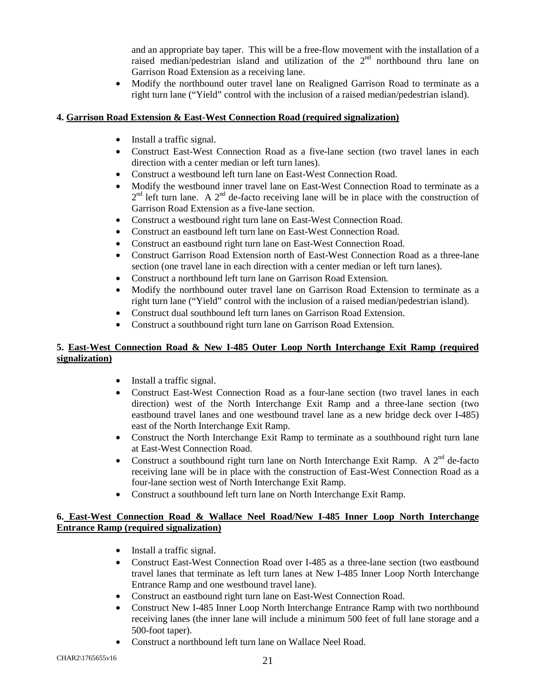and an appropriate bay taper. This will be a free-flow movement with the installation of a raised median/pedestrian island and utilization of the  $2<sup>nd</sup>$  northbound thru lane on Garrison Road Extension as a receiving lane.

• Modify the northbound outer travel lane on Realigned Garrison Road to terminate as a right turn lane ("Yield" control with the inclusion of a raised median/pedestrian island).

#### **4. Garrison Road Extension & East-West Connection Road (required signalization)**

- Install a traffic signal.
- Construct East-West Connection Road as a five-lane section (two travel lanes in each direction with a center median or left turn lanes).
- Construct a westbound left turn lane on East-West Connection Road.
- Modify the westbound inner travel lane on East-West Connection Road to terminate as a  $2<sup>nd</sup>$  left turn lane. A  $2<sup>nd</sup>$  de-facto receiving lane will be in place with the construction of Garrison Road Extension as a five-lane section.
- Construct a westbound right turn lane on East-West Connection Road.
- Construct an eastbound left turn lane on East-West Connection Road.
- Construct an eastbound right turn lane on East-West Connection Road.
- Construct Garrison Road Extension north of East-West Connection Road as a three-lane section (one travel lane in each direction with a center median or left turn lanes).
- Construct a northbound left turn lane on Garrison Road Extension.
- Modify the northbound outer travel lane on Garrison Road Extension to terminate as a right turn lane ("Yield" control with the inclusion of a raised median/pedestrian island).
- Construct dual southbound left turn lanes on Garrison Road Extension.
- Construct a southbound right turn lane on Garrison Road Extension.

#### **5. East-West Connection Road & New I-485 Outer Loop North Interchange Exit Ramp (required signalization)**

- Install a traffic signal.
- Construct East-West Connection Road as a four-lane section (two travel lanes in each direction) west of the North Interchange Exit Ramp and a three-lane section (two eastbound travel lanes and one westbound travel lane as a new bridge deck over I-485) east of the North Interchange Exit Ramp.
- Construct the North Interchange Exit Ramp to terminate as a southbound right turn lane at East-West Connection Road.
- Construct a southbound right turn lane on North Interchange Exit Ramp. A  $2^{nd}$  de-facto receiving lane will be in place with the construction of East-West Connection Road as a four-lane section west of North Interchange Exit Ramp.
- Construct a southbound left turn lane on North Interchange Exit Ramp.

#### **6. East-West Connection Road & Wallace Neel Road/New I-485 Inner Loop North Interchange Entrance Ramp (required signalization)**

- Install a traffic signal.
- Construct East-West Connection Road over I-485 as a three-lane section (two eastbound travel lanes that terminate as left turn lanes at New I-485 Inner Loop North Interchange Entrance Ramp and one westbound travel lane).
- Construct an eastbound right turn lane on East-West Connection Road.
- Construct New I-485 Inner Loop North Interchange Entrance Ramp with two northbound receiving lanes (the inner lane will include a minimum 500 feet of full lane storage and a 500-foot taper).
- Construct a northbound left turn lane on Wallace Neel Road.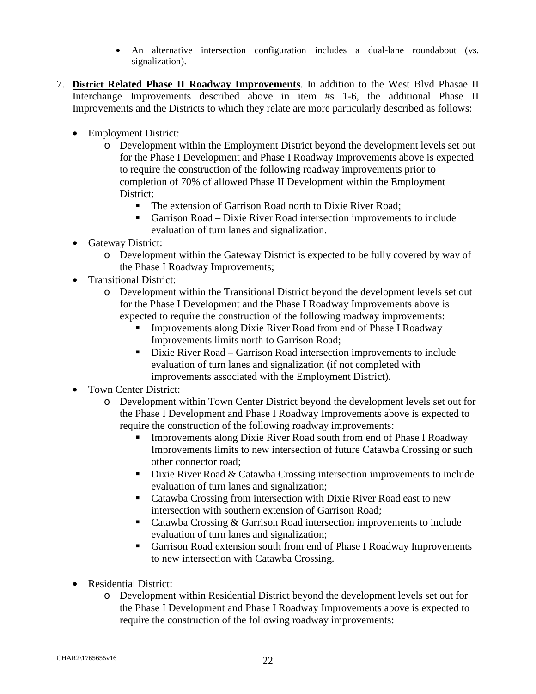- An alternative intersection configuration includes a dual-lane roundabout (vs. signalization).
- 7. **District Related Phase II Roadway Improvements**. In addition to the West Blvd Phasae II Interchange Improvements described above in item #s 1-6, the additional Phase II Improvements and the Districts to which they relate are more particularly described as follows:
	- Employment District:
		- o Development within the Employment District beyond the development levels set out for the Phase I Development and Phase I Roadway Improvements above is expected to require the construction of the following roadway improvements prior to completion of 70% of allowed Phase II Development within the Employment District:
			- The extension of Garrison Road north to Dixie River Road:
			- Garrison Road Dixie River Road intersection improvements to include evaluation of turn lanes and signalization.
	- Gateway District:
		- o Development within the Gateway District is expected to be fully covered by way of the Phase I Roadway Improvements;
	- Transitional District:
		- o Development within the Transitional District beyond the development levels set out for the Phase I Development and the Phase I Roadway Improvements above is expected to require the construction of the following roadway improvements:
			- **IMPROVEMENTS** Improvements along Dixie River Road from end of Phase I Roadway Improvements limits north to Garrison Road;
			- Dixie River Road Garrison Road intersection improvements to include evaluation of turn lanes and signalization (if not completed with improvements associated with the Employment District).
	- Town Center District:
		- o Development within Town Center District beyond the development levels set out for the Phase I Development and Phase I Roadway Improvements above is expected to require the construction of the following roadway improvements:
			- Improvements along Dixie River Road south from end of Phase I Roadway Improvements limits to new intersection of future Catawba Crossing or such other connector road;
			- $\blacksquare$  Dixie River Road & Catawba Crossing intersection improvements to include evaluation of turn lanes and signalization;
			- Catawba Crossing from intersection with Dixie River Road east to new intersection with southern extension of Garrison Road;
			- Catawba Crossing & Garrison Road intersection improvements to include evaluation of turn lanes and signalization;
			- Garrison Road extension south from end of Phase I Roadway Improvements to new intersection with Catawba Crossing.
	- Residential District:
		- o Development within Residential District beyond the development levels set out for the Phase I Development and Phase I Roadway Improvements above is expected to require the construction of the following roadway improvements: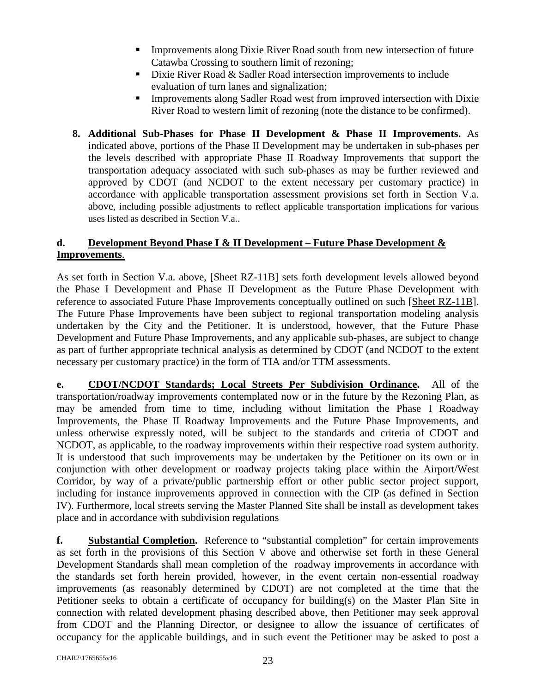- Improvements along Dixie River Road south from new intersection of future Catawba Crossing to southern limit of rezoning;
- Dixie River Road  $&$  Sadler Road intersection improvements to include evaluation of turn lanes and signalization;
- Improvements along Sadler Road west from improved intersection with Dixie River Road to western limit of rezoning (note the distance to be confirmed).
- **8. Additional Sub-Phases for Phase II Development & Phase II Improvements.** As indicated above, portions of the Phase II Development may be undertaken in sub-phases per the levels described with appropriate Phase II Roadway Improvements that support the transportation adequacy associated with such sub-phases as may be further reviewed and approved by CDOT (and NCDOT to the extent necessary per customary practice) in accordance with applicable transportation assessment provisions set forth in Section V.a. above, including possible adjustments to reflect applicable transportation implications for various uses listed as described in Section V.a..

## **d. Development Beyond Phase I & II Development – Future Phase Development & Improvements**.

As set forth in Section V.a. above, [Sheet RZ-11B] sets forth development levels allowed beyond the Phase I Development and Phase II Development as the Future Phase Development with reference to associated Future Phase Improvements conceptually outlined on such [Sheet RZ-11B]. The Future Phase Improvements have been subject to regional transportation modeling analysis undertaken by the City and the Petitioner. It is understood, however, that the Future Phase Development and Future Phase Improvements, and any applicable sub-phases, are subject to change as part of further appropriate technical analysis as determined by CDOT (and NCDOT to the extent necessary per customary practice) in the form of TIA and/or TTM assessments.

**e. CDOT/NCDOT Standards; Local Streets Per Subdivision Ordinance.** All of the transportation/roadway improvements contemplated now or in the future by the Rezoning Plan, as may be amended from time to time, including without limitation the Phase I Roadway Improvements, the Phase II Roadway Improvements and the Future Phase Improvements, and unless otherwise expressly noted, will be subject to the standards and criteria of CDOT and NCDOT, as applicable, to the roadway improvements within their respective road system authority. It is understood that such improvements may be undertaken by the Petitioner on its own or in conjunction with other development or roadway projects taking place within the Airport/West Corridor, by way of a private/public partnership effort or other public sector project support, including for instance improvements approved in connection with the CIP (as defined in Section IV). Furthermore, local streets serving the Master Planned Site shall be install as development takes place and in accordance with subdivision regulations

**f. Substantial Completion.** Reference to "substantial completion" for certain improvements as set forth in the provisions of this Section V above and otherwise set forth in these General Development Standards shall mean completion of the roadway improvements in accordance with the standards set forth herein provided, however, in the event certain non-essential roadway improvements (as reasonably determined by CDOT) are not completed at the time that the Petitioner seeks to obtain a certificate of occupancy for building(s) on the Master Plan Site in connection with related development phasing described above, then Petitioner may seek approval from CDOT and the Planning Director, or designee to allow the issuance of certificates of occupancy for the applicable buildings, and in such event the Petitioner may be asked to post a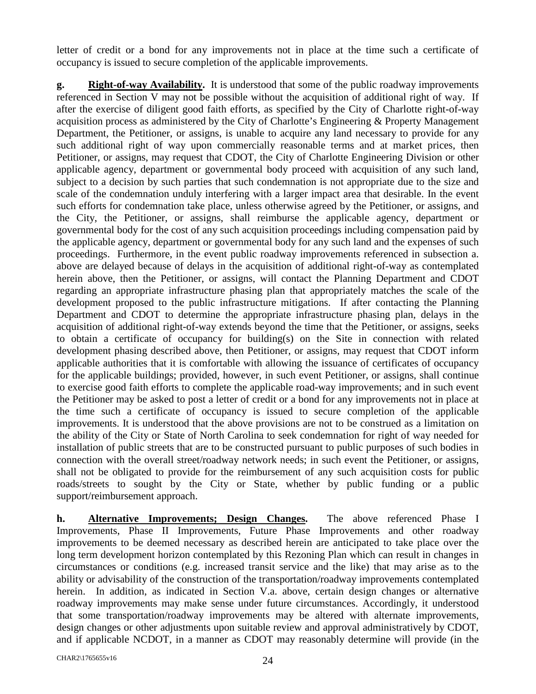letter of credit or a bond for any improvements not in place at the time such a certificate of occupancy is issued to secure completion of the applicable improvements.

**g. Right-of-way Availability.** It is understood that some of the public roadway improvements referenced in Section V may not be possible without the acquisition of additional right of way. If after the exercise of diligent good faith efforts, as specified by the City of Charlotte right-of-way acquisition process as administered by the City of Charlotte's Engineering & Property Management Department, the Petitioner, or assigns, is unable to acquire any land necessary to provide for any such additional right of way upon commercially reasonable terms and at market prices, then Petitioner, or assigns, may request that CDOT, the City of Charlotte Engineering Division or other applicable agency, department or governmental body proceed with acquisition of any such land, subject to a decision by such parties that such condemnation is not appropriate due to the size and scale of the condemnation unduly interfering with a larger impact area that desirable. In the event such efforts for condemnation take place, unless otherwise agreed by the Petitioner, or assigns, and the City, the Petitioner, or assigns, shall reimburse the applicable agency, department or governmental body for the cost of any such acquisition proceedings including compensation paid by the applicable agency, department or governmental body for any such land and the expenses of such proceedings. Furthermore, in the event public roadway improvements referenced in subsection a. above are delayed because of delays in the acquisition of additional right-of-way as contemplated herein above, then the Petitioner, or assigns, will contact the Planning Department and CDOT regarding an appropriate infrastructure phasing plan that appropriately matches the scale of the development proposed to the public infrastructure mitigations. If after contacting the Planning Department and CDOT to determine the appropriate infrastructure phasing plan, delays in the acquisition of additional right-of-way extends beyond the time that the Petitioner, or assigns, seeks to obtain a certificate of occupancy for building(s) on the Site in connection with related development phasing described above, then Petitioner, or assigns, may request that CDOT inform applicable authorities that it is comfortable with allowing the issuance of certificates of occupancy for the applicable buildings; provided, however, in such event Petitioner, or assigns, shall continue to exercise good faith efforts to complete the applicable road-way improvements; and in such event the Petitioner may be asked to post a letter of credit or a bond for any improvements not in place at the time such a certificate of occupancy is issued to secure completion of the applicable improvements. It is understood that the above provisions are not to be construed as a limitation on the ability of the City or State of North Carolina to seek condemnation for right of way needed for installation of public streets that are to be constructed pursuant to public purposes of such bodies in connection with the overall street/roadway network needs; in such event the Petitioner, or assigns, shall not be obligated to provide for the reimbursement of any such acquisition costs for public roads/streets to sought by the City or State, whether by public funding or a public support/reimbursement approach.

**h. Alternative Improvements; Design Changes.** The above referenced Phase I Improvements, Phase II Improvements, Future Phase Improvements and other roadway improvements to be deemed necessary as described herein are anticipated to take place over the long term development horizon contemplated by this Rezoning Plan which can result in changes in circumstances or conditions (e.g. increased transit service and the like) that may arise as to the ability or advisability of the construction of the transportation/roadway improvements contemplated herein. In addition, as indicated in Section V.a. above, certain design changes or alternative roadway improvements may make sense under future circumstances. Accordingly, it understood that some transportation/roadway improvements may be altered with alternate improvements, design changes or other adjustments upon suitable review and approval administratively by CDOT, and if applicable NCDOT, in a manner as CDOT may reasonably determine will provide (in the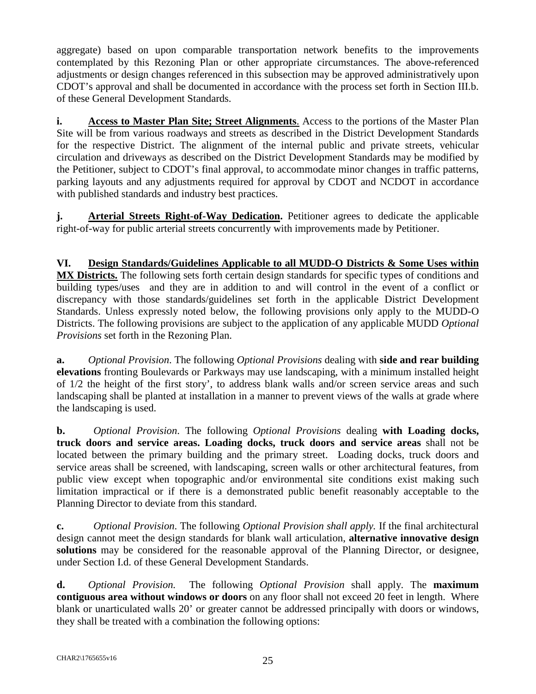aggregate) based on upon comparable transportation network benefits to the improvements contemplated by this Rezoning Plan or other appropriate circumstances. The above-referenced adjustments or design changes referenced in this subsection may be approved administratively upon CDOT's approval and shall be documented in accordance with the process set forth in Section III.b. of these General Development Standards.

**i. Access to Master Plan Site; Street Alignments**. Access to the portions of the Master Plan Site will be from various roadways and streets as described in the District Development Standards for the respective District. The alignment of the internal public and private streets, vehicular circulation and driveways as described on the District Development Standards may be modified by the Petitioner, subject to CDOT's final approval, to accommodate minor changes in traffic patterns, parking layouts and any adjustments required for approval by CDOT and NCDOT in accordance with published standards and industry best practices.

**j. Arterial Streets Right**-**of-Way Dedication.** Petitioner agrees to dedicate the applicable right-of-way for public arterial streets concurrently with improvements made by Petitioner.

**VI. Design Standards/Guidelines Applicable to all MUDD-O Districts & Some Uses within MX Districts.** The following sets forth certain design standards for specific types of conditions and building types/uses and they are in addition to and will control in the event of a conflict or discrepancy with those standards/guidelines set forth in the applicable District Development Standards. Unless expressly noted below, the following provisions only apply to the MUDD-O Districts. The following provisions are subject to the application of any applicable MUDD *Optional Provisions* set forth in the Rezoning Plan.

**a.** *Optional Provision*. The following *Optional Provisions* dealing with **side and rear building elevations** fronting Boulevards or Parkways may use landscaping, with a minimum installed height of 1/2 the height of the first story', to address blank walls and/or screen service areas and such landscaping shall be planted at installation in a manner to prevent views of the walls at grade where the landscaping is used.

**b.** *Optional Provision*. The following *Optional Provisions* dealing **with Loading docks, truck doors and service areas. Loading docks, truck doors and service areas** shall not be located between the primary building and the primary street. Loading docks, truck doors and service areas shall be screened, with landscaping, screen walls or other architectural features, from public view except when topographic and/or environmental site conditions exist making such limitation impractical or if there is a demonstrated public benefit reasonably acceptable to the Planning Director to deviate from this standard.

**c.** *Optional Provision*. The following *Optional Provision shall apply.* If the final architectural design cannot meet the design standards for blank wall articulation, **alternative innovative design solutions** may be considered for the reasonable approval of the Planning Director, or designee, under Section I.d. of these General Development Standards.

**d.** *Optional Provision.* The following *Optional Provision* shall apply. The **maximum contiguous area without windows or doors** on any floor shall not exceed 20 feet in length. Where blank or unarticulated walls 20' or greater cannot be addressed principally with doors or windows, they shall be treated with a combination the following options: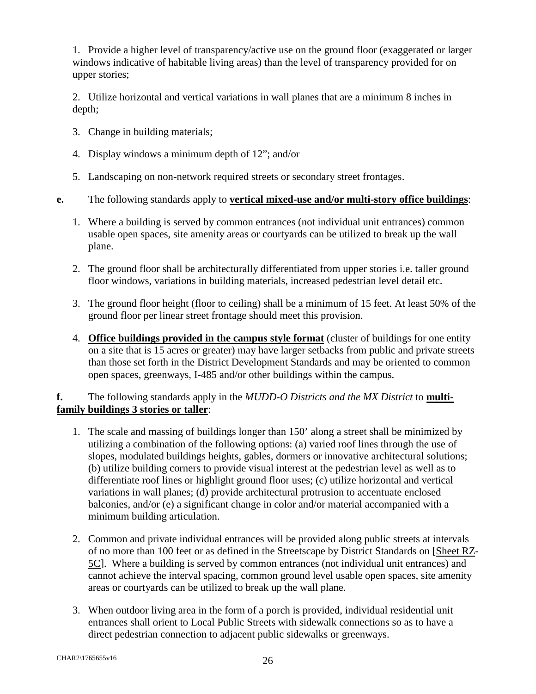1. Provide a higher level of transparency/active use on the ground floor (exaggerated or larger windows indicative of habitable living areas) than the level of transparency provided for on upper stories;

2. Utilize horizontal and vertical variations in wall planes that are a minimum 8 inches in depth;

- 3. Change in building materials;
- 4. Display windows a minimum depth of 12"; and/or
- 5. Landscaping on non-network required streets or secondary street frontages.
- **e.** The following standards apply to **vertical mixed-use and/or multi-story office buildings**:
	- 1. Where a building is served by common entrances (not individual unit entrances) common usable open spaces, site amenity areas or courtyards can be utilized to break up the wall plane.
	- 2. The ground floor shall be architecturally differentiated from upper stories i.e. taller ground floor windows, variations in building materials, increased pedestrian level detail etc.
	- 3. The ground floor height (floor to ceiling) shall be a minimum of 15 feet. At least 50% of the ground floor per linear street frontage should meet this provision.
	- 4. **Office buildings provided in the campus style format** (cluster of buildings for one entity on a site that is 15 acres or greater) may have larger setbacks from public and private streets than those set forth in the District Development Standards and may be oriented to common open spaces, greenways, I-485 and/or other buildings within the campus.

## **f.** The following standards apply in the *MUDD-O Districts and the MX District* to **multifamily buildings 3 stories or taller**:

- 1. The scale and massing of buildings longer than 150' along a street shall be minimized by utilizing a combination of the following options: (a) varied roof lines through the use of slopes, modulated buildings heights, gables, dormers or innovative architectural solutions; (b) utilize building corners to provide visual interest at the pedestrian level as well as to differentiate roof lines or highlight ground floor uses; (c) utilize horizontal and vertical variations in wall planes; (d) provide architectural protrusion to accentuate enclosed balconies, and/or (e) a significant change in color and/or material accompanied with a minimum building articulation.
- 2. Common and private individual entrances will be provided along public streets at intervals of no more than 100 feet or as defined in the Streetscape by District Standards on [Sheet RZ-5C]. Where a building is served by common entrances (not individual unit entrances) and cannot achieve the interval spacing, common ground level usable open spaces, site amenity areas or courtyards can be utilized to break up the wall plane.
- 3. When outdoor living area in the form of a porch is provided, individual residential unit entrances shall orient to Local Public Streets with sidewalk connections so as to have a direct pedestrian connection to adjacent public sidewalks or greenways.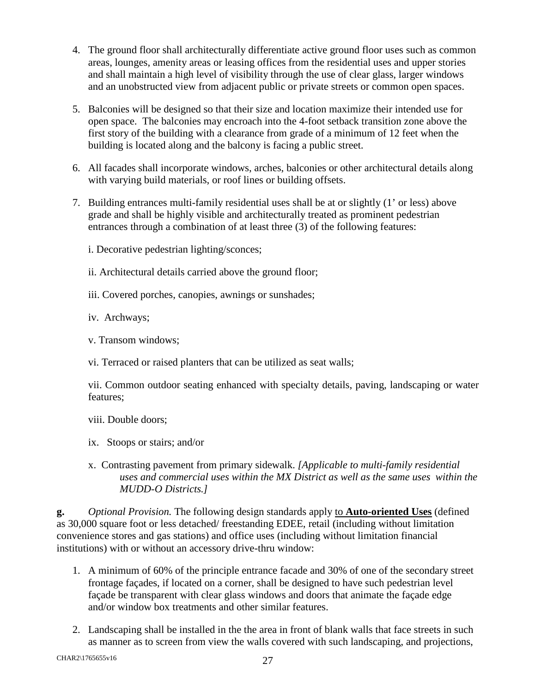- 4. The ground floor shall architecturally differentiate active ground floor uses such as common areas, lounges, amenity areas or leasing offices from the residential uses and upper stories and shall maintain a high level of visibility through the use of clear glass, larger windows and an unobstructed view from adjacent public or private streets or common open spaces.
- 5. Balconies will be designed so that their size and location maximize their intended use for open space. The balconies may encroach into the 4-foot setback transition zone above the first story of the building with a clearance from grade of a minimum of 12 feet when the building is located along and the balcony is facing a public street.
- 6. All facades shall incorporate windows, arches, balconies or other architectural details along with varying build materials, or roof lines or building offsets.
- 7. Building entrances multi-family residential uses shall be at or slightly (1' or less) above grade and shall be highly visible and architecturally treated as prominent pedestrian entrances through a combination of at least three (3) of the following features:
	- i. Decorative pedestrian lighting/sconces;
	- ii. Architectural details carried above the ground floor;
	- iii. Covered porches, canopies, awnings or sunshades;
	- iv. Archways;
	- v. Transom windows;
	- vi. Terraced or raised planters that can be utilized as seat walls;

vii. Common outdoor seating enhanced with specialty details, paving, landscaping or water features;

- viii. Double doors;
- ix. Stoops or stairs; and/or
- x. Contrasting pavement from primary sidewalk. *[Applicable to multi-family residential uses and commercial uses within the MX District as well as the same uses within the MUDD-O Districts.]*

**g.** *Optional Provision.* The following design standards apply to **Auto-oriented Uses** (defined as 30,000 square foot or less detached/ freestanding EDEE, retail (including without limitation convenience stores and gas stations) and office uses (including without limitation financial institutions) with or without an accessory drive-thru window:

- 1. A minimum of 60% of the principle entrance facade and 30% of one of the secondary street frontage façades, if located on a corner, shall be designed to have such pedestrian level façade be transparent with clear glass windows and doors that animate the façade edge and/or window box treatments and other similar features.
- 2. Landscaping shall be installed in the the area in front of blank walls that face streets in such as manner as to screen from view the walls covered with such landscaping, and projections,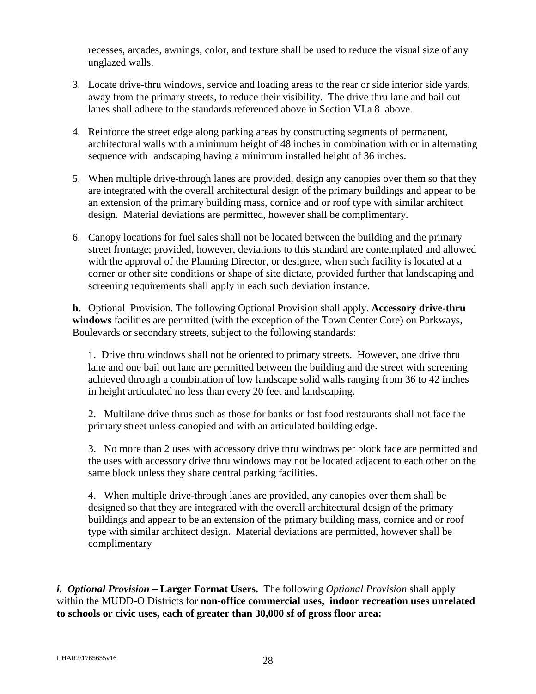recesses, arcades, awnings, color, and texture shall be used to reduce the visual size of any unglazed walls.

- 3. Locate drive-thru windows, service and loading areas to the rear or side interior side yards, away from the primary streets, to reduce their visibility. The drive thru lane and bail out lanes shall adhere to the standards referenced above in Section VI.a.8. above.
- 4. Reinforce the street edge along parking areas by constructing segments of permanent, architectural walls with a minimum height of 48 inches in combination with or in alternating sequence with landscaping having a minimum installed height of 36 inches.
- 5. When multiple drive-through lanes are provided, design any canopies over them so that they are integrated with the overall architectural design of the primary buildings and appear to be an extension of the primary building mass, cornice and or roof type with similar architect design. Material deviations are permitted, however shall be complimentary.
- 6. Canopy locations for fuel sales shall not be located between the building and the primary street frontage; provided, however, deviations to this standard are contemplated and allowed with the approval of the Planning Director, or designee, when such facility is located at a corner or other site conditions or shape of site dictate, provided further that landscaping and screening requirements shall apply in each such deviation instance.

**h.** Optional Provision. The following Optional Provision shall apply. **Accessory drive-thru windows** facilities are permitted (with the exception of the Town Center Core) on Parkways, Boulevards or secondary streets, subject to the following standards:

1. Drive thru windows shall not be oriented to primary streets. However, one drive thru lane and one bail out lane are permitted between the building and the street with screening achieved through a combination of low landscape solid walls ranging from 36 to 42 inches in height articulated no less than every 20 feet and landscaping.

2. Multilane drive thrus such as those for banks or fast food restaurants shall not face the primary street unless canopied and with an articulated building edge.

3. No more than 2 uses with accessory drive thru windows per block face are permitted and the uses with accessory drive thru windows may not be located adjacent to each other on the same block unless they share central parking facilities.

4. When multiple drive-through lanes are provided, any canopies over them shall be designed so that they are integrated with the overall architectural design of the primary buildings and appear to be an extension of the primary building mass, cornice and or roof type with similar architect design. Material deviations are permitted, however shall be complimentary

*i. Optional Provision* **– Larger Format Users.** The following *Optional Provision* shall apply within the MUDD-O Districts for **non-office commercial uses, indoor recreation uses unrelated to schools or civic uses, each of greater than 30,000 sf of gross floor area:**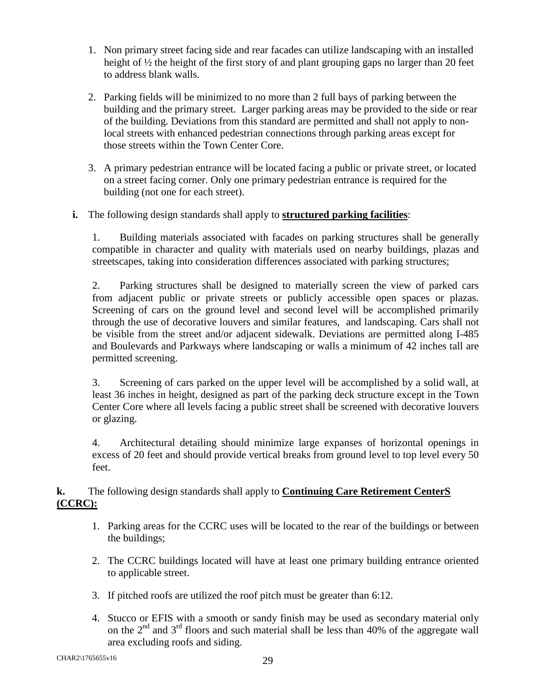- 1. Non primary street facing side and rear facades can utilize landscaping with an installed height of  $\frac{1}{2}$  the height of the first story of and plant grouping gaps no larger than 20 feet to address blank walls.
- 2. Parking fields will be minimized to no more than 2 full bays of parking between the building and the primary street. Larger parking areas may be provided to the side or rear of the building. Deviations from this standard are permitted and shall not apply to nonlocal streets with enhanced pedestrian connections through parking areas except for those streets within the Town Center Core.
- 3. A primary pedestrian entrance will be located facing a public or private street, or located on a street facing corner. Only one primary pedestrian entrance is required for the building (not one for each street).

## **i.** The following design standards shall apply to **structured parking facilities**:

1. Building materials associated with facades on parking structures shall be generally compatible in character and quality with materials used on nearby buildings, plazas and streetscapes, taking into consideration differences associated with parking structures;

2. Parking structures shall be designed to materially screen the view of parked cars from adjacent public or private streets or publicly accessible open spaces or plazas. Screening of cars on the ground level and second level will be accomplished primarily through the use of decorative louvers and similar features, and landscaping. Cars shall not be visible from the street and/or adjacent sidewalk. Deviations are permitted along I-485 and Boulevards and Parkways where landscaping or walls a minimum of 42 inches tall are permitted screening.

3. Screening of cars parked on the upper level will be accomplished by a solid wall, at least 36 inches in height, designed as part of the parking deck structure except in the Town Center Core where all levels facing a public street shall be screened with decorative louvers or glazing.

4. Architectural detailing should minimize large expanses of horizontal openings in excess of 20 feet and should provide vertical breaks from ground level to top level every 50 feet.

## **k.** The following design standards shall apply to **Continuing Care Retirement CenterS (CCRC):**

- 1. Parking areas for the CCRC uses will be located to the rear of the buildings or between the buildings;
- 2. The CCRC buildings located will have at least one primary building entrance oriented to applicable street.
- 3. If pitched roofs are utilized the roof pitch must be greater than 6:12.
- 4. Stucco or EFIS with a smooth or sandy finish may be used as secondary material only on the  $2<sup>nd</sup>$  and  $3<sup>rd</sup>$  floors and such material shall be less than 40% of the aggregate wall area excluding roofs and siding.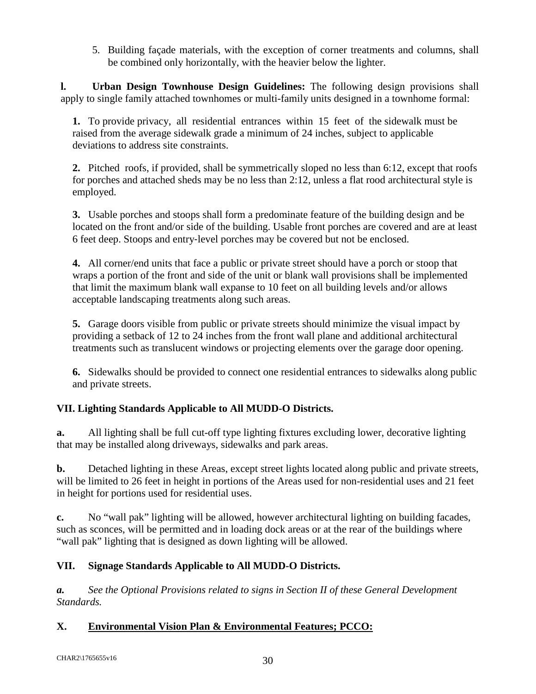5. Building façade materials, with the exception of corner treatments and columns, shall be combined only horizontally, with the heavier below the lighter.

**l. Urban Design Townhouse Design Guidelines:** The following design provisions shall apply to single family attached townhomes or multi-family units designed in a townhome formal:

**1.** To provide privacy, all residential entrances within 15 feet of the sidewalk must be raised from the average sidewalk grade a minimum of 24 inches, subject to applicable deviations to address site constraints.

**2.** Pitched roofs, if provided, shall be symmetrically sloped no less than 6:12, except that roofs for porches and attached sheds may be no less than 2:12, unless a flat rood architectural style is employed.

**3.** Usable porches and stoops shall form a predominate feature of the building design and be located on the front and/or side of the building. Usable front porches are covered and are at least 6 feet deep. Stoops and entry‐level porches may be covered but not be enclosed.

**4.** All corner/end units that face a public or private street should have a porch or stoop that wraps a portion of the front and side of the unit or blank wall provisions shall be implemented that limit the maximum blank wall expanse to 10 feet on all building levels and/or allows acceptable landscaping treatments along such areas.

**5.** Garage doors visible from public or private streets should minimize the visual impact by providing a setback of 12 to 24 inches from the front wall plane and additional architectural treatments such as translucent windows or projecting elements over the garage door opening.

**6.** Sidewalks should be provided to connect one residential entrances to sidewalks along public and private streets.

# **VII. Lighting Standards Applicable to All MUDD-O Districts.**

**a.** All lighting shall be full cut-off type lighting fixtures excluding lower, decorative lighting that may be installed along driveways, sidewalks and park areas.

**b.** Detached lighting in these Areas, except street lights located along public and private streets, will be limited to 26 feet in height in portions of the Areas used for non-residential uses and 21 feet in height for portions used for residential uses.

**c.** No "wall pak" lighting will be allowed, however architectural lighting on building facades, such as sconces, will be permitted and in loading dock areas or at the rear of the buildings where "wall pak" lighting that is designed as down lighting will be allowed.

# **VII. Signage Standards Applicable to All MUDD-O Districts.**

*a. See the Optional Provisions related to signs in Section II of these General Development Standards.* 

# **X. Environmental Vision Plan & Environmental Features; PCCO:**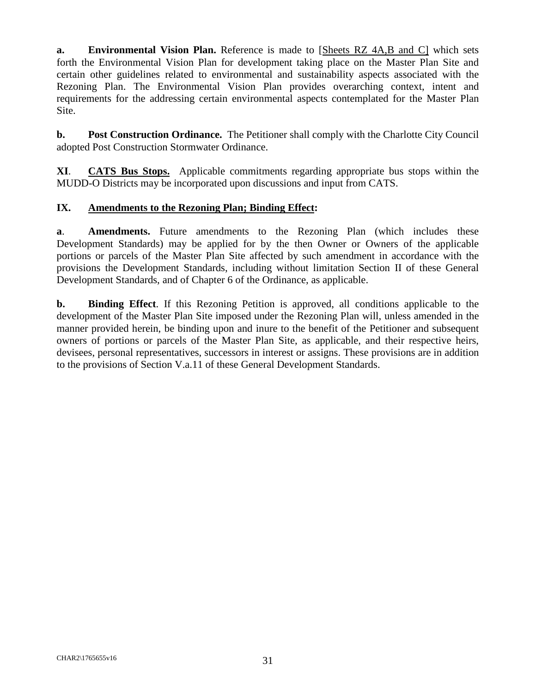**a. Environmental Vision Plan.** Reference is made to [Sheets RZ 4A,B and C] which sets forth the Environmental Vision Plan for development taking place on the Master Plan Site and certain other guidelines related to environmental and sustainability aspects associated with the Rezoning Plan. The Environmental Vision Plan provides overarching context, intent and requirements for the addressing certain environmental aspects contemplated for the Master Plan Site.

**b. Post Construction Ordinance.** The Petitioner shall comply with the Charlotte City Council adopted Post Construction Stormwater Ordinance.

**XI**. **CATS Bus Stops.** Applicable commitments regarding appropriate bus stops within the MUDD-O Districts may be incorporated upon discussions and input from CATS.

## **IX. Amendments to the Rezoning Plan; Binding Effect:**

**a**. **Amendments.** Future amendments to the Rezoning Plan (which includes these Development Standards) may be applied for by the then Owner or Owners of the applicable portions or parcels of the Master Plan Site affected by such amendment in accordance with the provisions the Development Standards, including without limitation Section II of these General Development Standards, and of Chapter 6 of the Ordinance, as applicable.

**b. Binding Effect**. If this Rezoning Petition is approved, all conditions applicable to the development of the Master Plan Site imposed under the Rezoning Plan will, unless amended in the manner provided herein, be binding upon and inure to the benefit of the Petitioner and subsequent owners of portions or parcels of the Master Plan Site, as applicable, and their respective heirs, devisees, personal representatives, successors in interest or assigns. These provisions are in addition to the provisions of Section V.a.11 of these General Development Standards.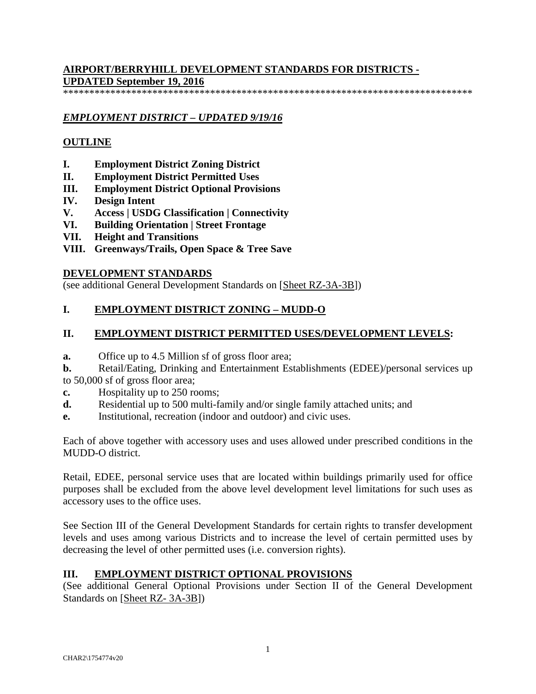## **AIRPORT/BERRYHILL DEVELOPMENT STANDARDS FOR DISTRICTS - UPDATED September 19, 2016**

\*\*\*\*\*\*\*\*\*\*\*\*\*\*\*\*\*\*\*\*\*\*\*\*\*\*\*\*\*\*\*\*\*\*\*\*\*\*\*\*\*\*\*\*\*\*\*\*\*\*\*\*\*\*\*\*\*\*\*\*\*\*\*\*\*\*\*\*\*\*\*\*\*\*\*\*\*\*

## *EMPLOYMENT DISTRICT – UPDATED 9/19/16*

## **OUTLINE**

- **I. Employment District Zoning District**
- **II. Employment District Permitted Uses**
- **III. Employment District Optional Provisions**
- **IV. Design Intent**
- **V. Access | USDG Classification | Connectivity**
- **VI. Building Orientation | Street Frontage**
- **VII. Height and Transitions**
- **VIII. Greenways/Trails, Open Space & Tree Save**

#### **DEVELOPMENT STANDARDS**

(see additional General Development Standards on [Sheet RZ-3A-3B])

## **I. EMPLOYMENT DISTRICT ZONING – MUDD-O**

#### **II. EMPLOYMENT DISTRICT PERMITTED USES/DEVELOPMENT LEVELS:**

- **a.** Office up to 4.5 Million sf of gross floor area;
- **b.** Retail/Eating, Drinking and Entertainment Establishments (EDEE)/personal services up to 50,000 sf of gross floor area;
- **c.** Hospitality up to 250 rooms;
- **d.** Residential up to 500 multi-family and/or single family attached units; and
- **e.** Institutional, recreation (indoor and outdoor) and civic uses.

Each of above together with accessory uses and uses allowed under prescribed conditions in the MUDD-O district.

Retail, EDEE, personal service uses that are located within buildings primarily used for office purposes shall be excluded from the above level development level limitations for such uses as accessory uses to the office uses.

See Section III of the General Development Standards for certain rights to transfer development levels and uses among various Districts and to increase the level of certain permitted uses by decreasing the level of other permitted uses (i.e. conversion rights).

## **III. EMPLOYMENT DISTRICT OPTIONAL PROVISIONS**

(See additional General Optional Provisions under Section II of the General Development Standards on [Sheet RZ- 3A-3B])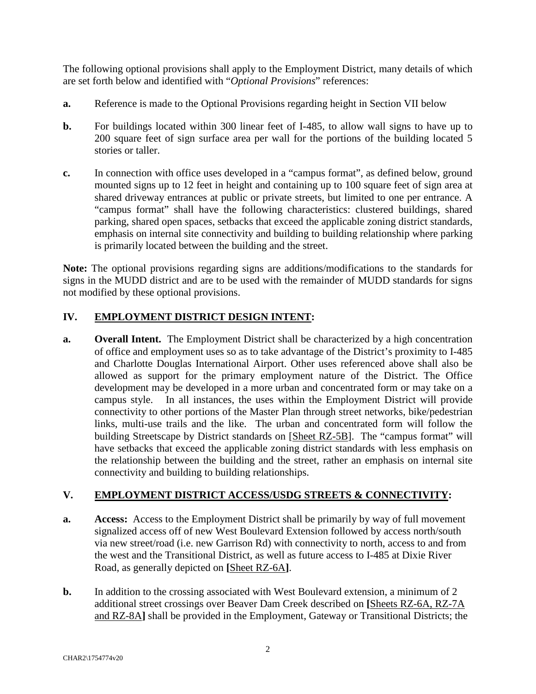The following optional provisions shall apply to the Employment District, many details of which are set forth below and identified with "*Optional Provisions*" references:

- **a.** Reference is made to the Optional Provisions regarding height in Section VII below
- **b.** For buildings located within 300 linear feet of I-485, to allow wall signs to have up to 200 square feet of sign surface area per wall for the portions of the building located 5 stories or taller.
- **c.** In connection with office uses developed in a "campus format", as defined below, ground mounted signs up to 12 feet in height and containing up to 100 square feet of sign area at shared driveway entrances at public or private streets, but limited to one per entrance. A "campus format" shall have the following characteristics: clustered buildings, shared parking, shared open spaces, setbacks that exceed the applicable zoning district standards, emphasis on internal site connectivity and building to building relationship where parking is primarily located between the building and the street.

**Note:** The optional provisions regarding signs are additions/modifications to the standards for signs in the MUDD district and are to be used with the remainder of MUDD standards for signs not modified by these optional provisions.

## **IV. EMPLOYMENT DISTRICT DESIGN INTENT:**

**a. Overall Intent.** The Employment District shall be characterized by a high concentration of office and employment uses so as to take advantage of the District's proximity to I-485 and Charlotte Douglas International Airport. Other uses referenced above shall also be allowed as support for the primary employment nature of the District. The Office development may be developed in a more urban and concentrated form or may take on a campus style. In all instances, the uses within the Employment District will provide connectivity to other portions of the Master Plan through street networks, bike/pedestrian links, multi-use trails and the like. The urban and concentrated form will follow the building Streetscape by District standards on [Sheet RZ-5B]. The "campus format" will have setbacks that exceed the applicable zoning district standards with less emphasis on the relationship between the building and the street, rather an emphasis on internal site connectivity and building to building relationships.

## **V. EMPLOYMENT DISTRICT ACCESS/USDG STREETS & CONNECTIVITY:**

- **a. Access:** Access to the Employment District shall be primarily by way of full movement signalized access off of new West Boulevard Extension followed by access north/south via new street/road (i.e. new Garrison Rd) with connectivity to north, access to and from the west and the Transitional District, as well as future access to I-485 at Dixie River Road, as generally depicted on **[**Sheet RZ-6A**]**.
- **b.** In addition to the crossing associated with West Boulevard extension, a minimum of 2 additional street crossings over Beaver Dam Creek described on **[**Sheets RZ-6A, RZ-7A and RZ-8A**]** shall be provided in the Employment, Gateway or Transitional Districts; the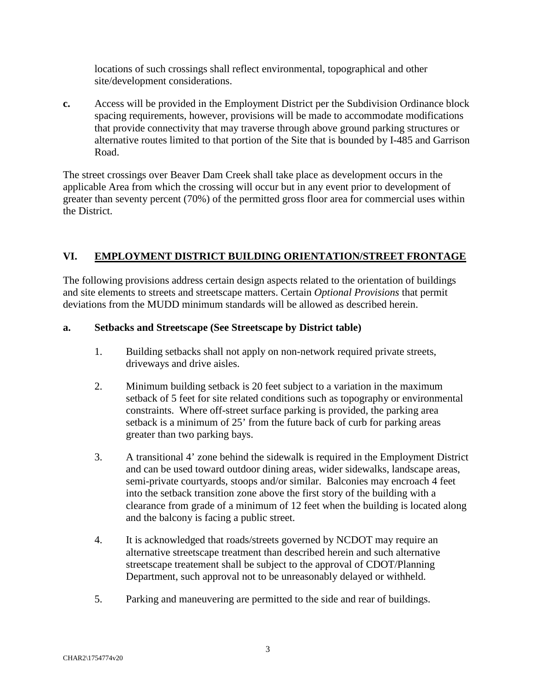locations of such crossings shall reflect environmental, topographical and other site/development considerations.

**c.** Access will be provided in the Employment District per the Subdivision Ordinance block spacing requirements, however, provisions will be made to accommodate modifications that provide connectivity that may traverse through above ground parking structures or alternative routes limited to that portion of the Site that is bounded by I-485 and Garrison Road.

The street crossings over Beaver Dam Creek shall take place as development occurs in the applicable Area from which the crossing will occur but in any event prior to development of greater than seventy percent (70%) of the permitted gross floor area for commercial uses within the District.

## **VI. EMPLOYMENT DISTRICT BUILDING ORIENTATION/STREET FRONTAGE**

The following provisions address certain design aspects related to the orientation of buildings and site elements to streets and streetscape matters. Certain *Optional Provisions* that permit deviations from the MUDD minimum standards will be allowed as described herein.

#### **a. Setbacks and Streetscape (See Streetscape by District table)**

- 1. Building setbacks shall not apply on non-network required private streets, driveways and drive aisles.
- 2. Minimum building setback is 20 feet subject to a variation in the maximum setback of 5 feet for site related conditions such as topography or environmental constraints. Where off-street surface parking is provided, the parking area setback is a minimum of 25' from the future back of curb for parking areas greater than two parking bays.
- 3. A transitional 4' zone behind the sidewalk is required in the Employment District and can be used toward outdoor dining areas, wider sidewalks, landscape areas, semi-private courtyards, stoops and/or similar. Balconies may encroach 4 feet into the setback transition zone above the first story of the building with a clearance from grade of a minimum of 12 feet when the building is located along and the balcony is facing a public street.
- 4. It is acknowledged that roads/streets governed by NCDOT may require an alternative streetscape treatment than described herein and such alternative streetscape treatement shall be subject to the approval of CDOT/Planning Department, such approval not to be unreasonably delayed or withheld.
- 5. Parking and maneuvering are permitted to the side and rear of buildings.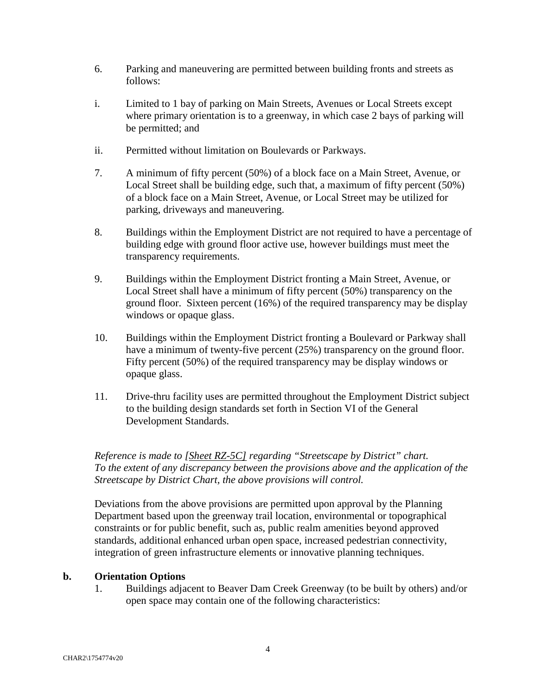- 6. Parking and maneuvering are permitted between building fronts and streets as follows:
- i. Limited to 1 bay of parking on Main Streets, Avenues or Local Streets except where primary orientation is to a greenway, in which case 2 bays of parking will be permitted; and
- ii. Permitted without limitation on Boulevards or Parkways.
- 7. A minimum of fifty percent (50%) of a block face on a Main Street, Avenue, or Local Street shall be building edge, such that, a maximum of fifty percent (50%) of a block face on a Main Street, Avenue, or Local Street may be utilized for parking, driveways and maneuvering.
- 8. Buildings within the Employment District are not required to have a percentage of building edge with ground floor active use, however buildings must meet the transparency requirements.
- 9. Buildings within the Employment District fronting a Main Street, Avenue, or Local Street shall have a minimum of fifty percent (50%) transparency on the ground floor. Sixteen percent (16%) of the required transparency may be display windows or opaque glass.
- 10. Buildings within the Employment District fronting a Boulevard or Parkway shall have a minimum of twenty-five percent (25%) transparency on the ground floor. Fifty percent (50%) of the required transparency may be display windows or opaque glass.
- 11. Drive-thru facility uses are permitted throughout the Employment District subject to the building design standards set forth in Section VI of the General Development Standards.

*Reference is made to [Sheet RZ-5C] regarding "Streetscape by District" chart. To the extent of any discrepancy between the provisions above and the application of the Streetscape by District Chart, the above provisions will control.* 

Deviations from the above provisions are permitted upon approval by the Planning Department based upon the greenway trail location, environmental or topographical constraints or for public benefit, such as, public realm amenities beyond approved standards, additional enhanced urban open space, increased pedestrian connectivity, integration of green infrastructure elements or innovative planning techniques.

#### **b. Orientation Options**

1. Buildings adjacent to Beaver Dam Creek Greenway (to be built by others) and/or open space may contain one of the following characteristics: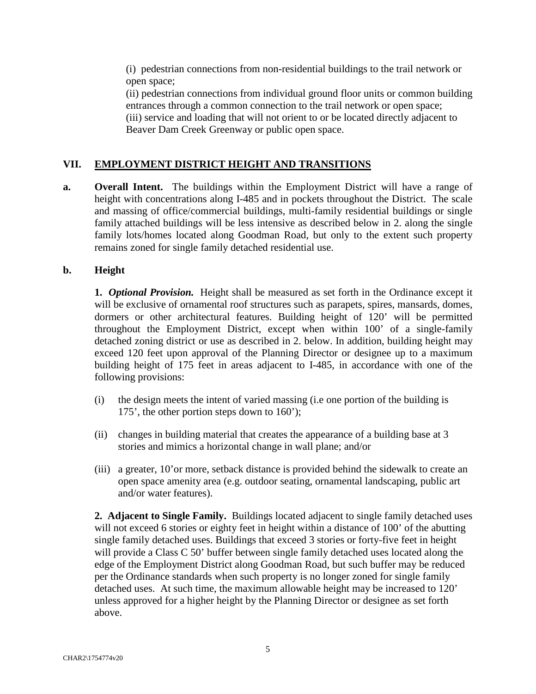(i) pedestrian connections from non-residential buildings to the trail network or open space;

(ii) pedestrian connections from individual ground floor units or common building entrances through a common connection to the trail network or open space; (iii) service and loading that will not orient to or be located directly adjacent to Beaver Dam Creek Greenway or public open space.

## **VII. EMPLOYMENT DISTRICT HEIGHT AND TRANSITIONS**

**a. Overall Intent.** The buildings within the Employment District will have a range of height with concentrations along I-485 and in pockets throughout the District. The scale and massing of office/commercial buildings, multi-family residential buildings or single family attached buildings will be less intensive as described below in 2. along the single family lots/homes located along Goodman Road, but only to the extent such property remains zoned for single family detached residential use.

#### **b. Height**

**1.** *Optional Provision.* Height shall be measured as set forth in the Ordinance except it will be exclusive of ornamental roof structures such as parapets, spires, mansards, domes, dormers or other architectural features. Building height of 120' will be permitted throughout the Employment District, except when within 100' of a single-family detached zoning district or use as described in 2. below. In addition, building height may exceed 120 feet upon approval of the Planning Director or designee up to a maximum building height of 175 feet in areas adjacent to I-485, in accordance with one of the following provisions:

- (i) the design meets the intent of varied massing (i.e one portion of the building is 175', the other portion steps down to 160');
- (ii) changes in building material that creates the appearance of a building base at 3 stories and mimics a horizontal change in wall plane; and/or
- (iii) a greater, 10'or more, setback distance is provided behind the sidewalk to create an open space amenity area (e.g. outdoor seating, ornamental landscaping, public art and/or water features).

**2. Adjacent to Single Family.** Buildings located adjacent to single family detached uses will not exceed 6 stories or eighty feet in height within a distance of 100' of the abutting single family detached uses. Buildings that exceed 3 stories or forty-five feet in height will provide a Class C 50' buffer between single family detached uses located along the edge of the Employment District along Goodman Road, but such buffer may be reduced per the Ordinance standards when such property is no longer zoned for single family detached uses. At such time, the maximum allowable height may be increased to 120' unless approved for a higher height by the Planning Director or designee as set forth above.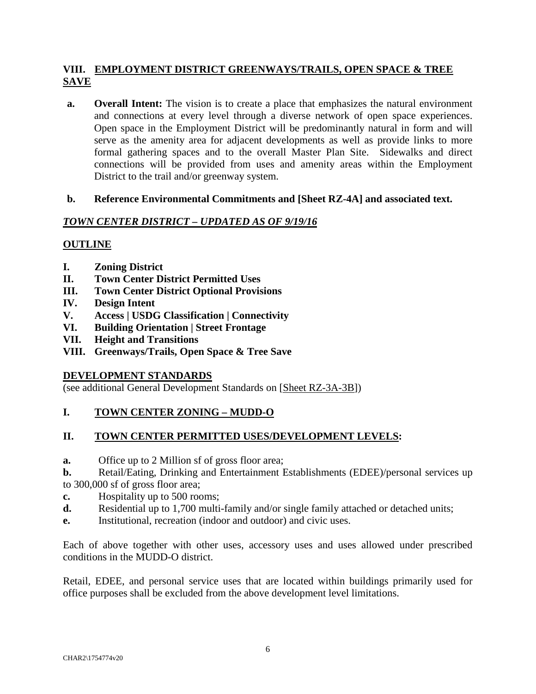## **VIII. EMPLOYMENT DISTRICT GREENWAYS/TRAILS, OPEN SPACE & TREE SAVE**

**a. Overall Intent:** The vision is to create a place that emphasizes the natural environment and connections at every level through a diverse network of open space experiences. Open space in the Employment District will be predominantly natural in form and will serve as the amenity area for adjacent developments as well as provide links to more formal gathering spaces and to the overall Master Plan Site. Sidewalks and direct connections will be provided from uses and amenity areas within the Employment District to the trail and/or greenway system.

## **b. Reference Environmental Commitments and [Sheet RZ-4A] and associated text.**

#### *TOWN CENTER DISTRICT – UPDATED AS OF 9/19/16*

## **OUTLINE**

- **I. Zoning District**
- **II. Town Center District Permitted Uses**
- **III. Town Center District Optional Provisions**
- **IV. Design Intent**
- **V. Access | USDG Classification | Connectivity**
- **VI. Building Orientation | Street Frontage**
- **VII. Height and Transitions**
- **VIII. Greenways/Trails, Open Space & Tree Save**

#### **DEVELOPMENT STANDARDS**

(see additional General Development Standards on [Sheet RZ-3A-3B])

## **I. TOWN CENTER ZONING – MUDD-O**

#### **II. TOWN CENTER PERMITTED USES/DEVELOPMENT LEVELS:**

**a.** Office up to 2 Million sf of gross floor area;

**b.** Retail/Eating, Drinking and Entertainment Establishments (EDEE)/personal services up to 300,000 sf of gross floor area;

- **c.** Hospitality up to 500 rooms;
- **d.** Residential up to 1,700 multi-family and/or single family attached or detached units;
- **e.** Institutional, recreation (indoor and outdoor) and civic uses.

Each of above together with other uses, accessory uses and uses allowed under prescribed conditions in the MUDD-O district.

Retail, EDEE, and personal service uses that are located within buildings primarily used for office purposes shall be excluded from the above development level limitations.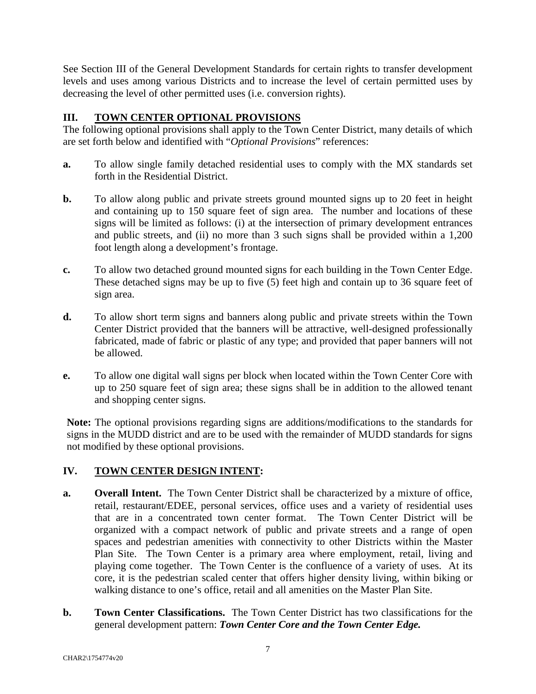See Section III of the General Development Standards for certain rights to transfer development levels and uses among various Districts and to increase the level of certain permitted uses by decreasing the level of other permitted uses (i.e. conversion rights).

## **III. TOWN CENTER OPTIONAL PROVISIONS**

The following optional provisions shall apply to the Town Center District, many details of which are set forth below and identified with "*Optional Provisions*" references:

- **a.** To allow single family detached residential uses to comply with the MX standards set forth in the Residential District.
- **b.** To allow along public and private streets ground mounted signs up to 20 feet in height and containing up to 150 square feet of sign area. The number and locations of these signs will be limited as follows: (i) at the intersection of primary development entrances and public streets, and (ii) no more than 3 such signs shall be provided within a 1,200 foot length along a development's frontage.
- **c.** To allow two detached ground mounted signs for each building in the Town Center Edge. These detached signs may be up to five (5) feet high and contain up to 36 square feet of sign area.
- **d.** To allow short term signs and banners along public and private streets within the Town Center District provided that the banners will be attractive, well-designed professionally fabricated, made of fabric or plastic of any type; and provided that paper banners will not be allowed.
- **e.** To allow one digital wall signs per block when located within the Town Center Core with up to 250 square feet of sign area; these signs shall be in addition to the allowed tenant and shopping center signs.

**Note:** The optional provisions regarding signs are additions/modifications to the standards for signs in the MUDD district and are to be used with the remainder of MUDD standards for signs not modified by these optional provisions.

## **IV. TOWN CENTER DESIGN INTENT:**

- **a. Overall Intent.** The Town Center District shall be characterized by a mixture of office, retail, restaurant/EDEE, personal services, office uses and a variety of residential uses that are in a concentrated town center format. The Town Center District will be organized with a compact network of public and private streets and a range of open spaces and pedestrian amenities with connectivity to other Districts within the Master Plan Site. The Town Center is a primary area where employment, retail, living and playing come together. The Town Center is the confluence of a variety of uses. At its core, it is the pedestrian scaled center that offers higher density living, within biking or walking distance to one's office, retail and all amenities on the Master Plan Site.
- **b. Town Center Classifications.**The Town Center District has two classifications for the general development pattern: *Town Center Core and the Town Center Edge.*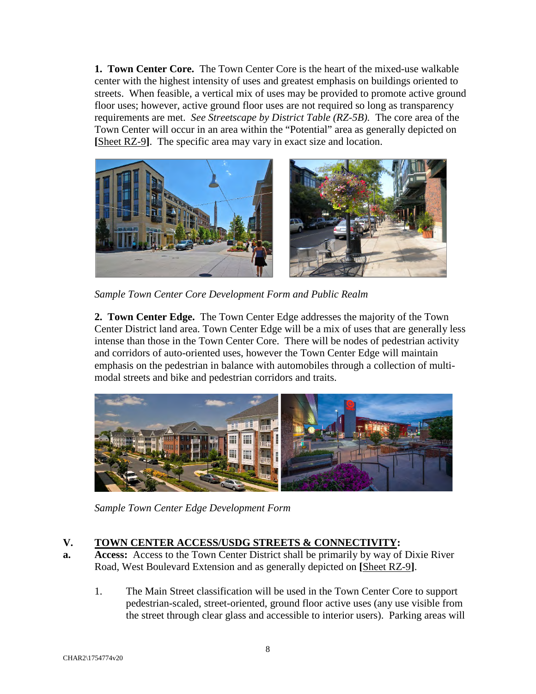**1. Town Center Core.** The Town Center Core is the heart of the mixed-use walkable center with the highest intensity of uses and greatest emphasis on buildings oriented to streets. When feasible, a vertical mix of uses may be provided to promote active ground floor uses; however, active ground floor uses are not required so long as transparency requirements are met. *See Streetscape by District Table (RZ-5B).* The core area of the Town Center will occur in an area within the "Potential" area as generally depicted on **[**Sheet RZ-9**]**. The specific area may vary in exact size and location.



*Sample Town Center Core Development Form and Public Realm* 

**2. Town Center Edge.** The Town Center Edge addresses the majority of the Town Center District land area. Town Center Edge will be a mix of uses that are generally less intense than those in the Town Center Core. There will be nodes of pedestrian activity and corridors of auto-oriented uses, however the Town Center Edge will maintain emphasis on the pedestrian in balance with automobiles through a collection of multimodal streets and bike and pedestrian corridors and traits.



*Sample Town Center Edge Development Form* 

## **V. TOWN CENTER ACCESS/USDG STREETS & CONNECTIVITY:**

- **a. Access:** Access to the Town Center District shall be primarily by way of Dixie River Road, West Boulevard Extension and as generally depicted on **[**Sheet RZ-9**]**.
	- 1. The Main Street classification will be used in the Town Center Core to support pedestrian-scaled, street-oriented, ground floor active uses (any use visible from the street through clear glass and accessible to interior users). Parking areas will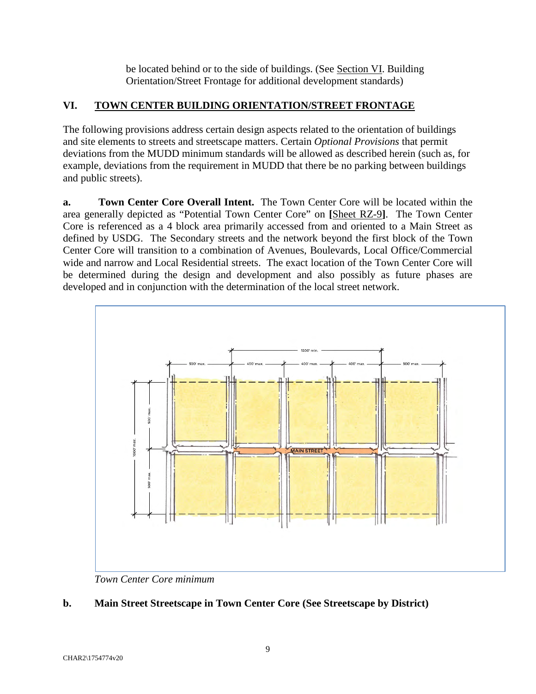be located behind or to the side of buildings. (See Section VI. Building Orientation/Street Frontage for additional development standards)

## **VI. TOWN CENTER BUILDING ORIENTATION/STREET FRONTAGE**

The following provisions address certain design aspects related to the orientation of buildings and site elements to streets and streetscape matters. Certain *Optional Provisions* that permit deviations from the MUDD minimum standards will be allowed as described herein (such as, for example, deviations from the requirement in MUDD that there be no parking between buildings and public streets).

**a. Town Center Core Overall Intent.** The Town Center Core will be located within the area generally depicted as "Potential Town Center Core" on **[**Sheet RZ-9**]**. The Town Center Core is referenced as a 4 block area primarily accessed from and oriented to a Main Street as defined by USDG. The Secondary streets and the network beyond the first block of the Town Center Core will transition to a combination of Avenues, Boulevards, Local Office/Commercial wide and narrow and Local Residential streets. The exact location of the Town Center Core will be determined during the design and development and also possibly as future phases are developed and in conjunction with the determination of the local street network.



*Town Center Core minimum* 

## **b. Main Street Streetscape in Town Center Core (See Streetscape by District)**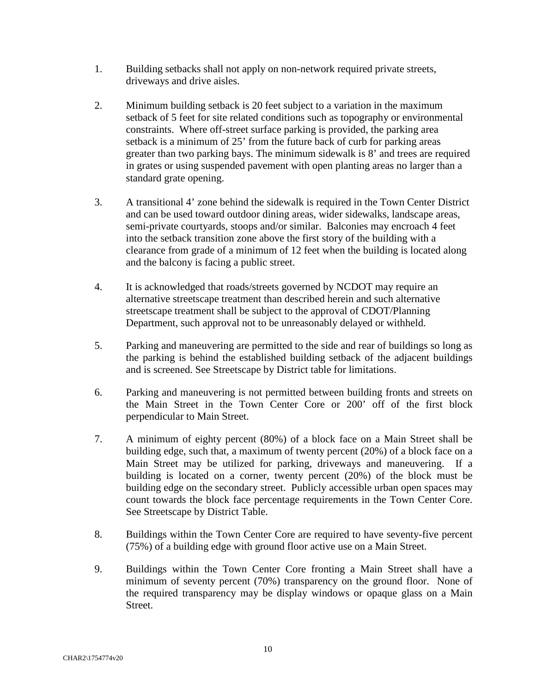- 1. Building setbacks shall not apply on non-network required private streets, driveways and drive aisles.
- 2. Minimum building setback is 20 feet subject to a variation in the maximum setback of 5 feet for site related conditions such as topography or environmental constraints. Where off-street surface parking is provided, the parking area setback is a minimum of 25' from the future back of curb for parking areas greater than two parking bays. The minimum sidewalk is 8' and trees are required in grates or using suspended pavement with open planting areas no larger than a standard grate opening.
- 3. A transitional 4' zone behind the sidewalk is required in the Town Center District and can be used toward outdoor dining areas, wider sidewalks, landscape areas, semi-private courtyards, stoops and/or similar. Balconies may encroach 4 feet into the setback transition zone above the first story of the building with a clearance from grade of a minimum of 12 feet when the building is located along and the balcony is facing a public street.
- 4. It is acknowledged that roads/streets governed by NCDOT may require an alternative streetscape treatment than described herein and such alternative streetscape treatment shall be subject to the approval of CDOT/Planning Department, such approval not to be unreasonably delayed or withheld.
- 5. Parking and maneuvering are permitted to the side and rear of buildings so long as the parking is behind the established building setback of the adjacent buildings and is screened. See Streetscape by District table for limitations.
- 6. Parking and maneuvering is not permitted between building fronts and streets on the Main Street in the Town Center Core or 200' off of the first block perpendicular to Main Street.
- 7. A minimum of eighty percent (80%) of a block face on a Main Street shall be building edge, such that, a maximum of twenty percent (20%) of a block face on a Main Street may be utilized for parking, driveways and maneuvering. If a building is located on a corner, twenty percent (20%) of the block must be building edge on the secondary street. Publicly accessible urban open spaces may count towards the block face percentage requirements in the Town Center Core. See Streetscape by District Table.
- 8. Buildings within the Town Center Core are required to have seventy-five percent (75%) of a building edge with ground floor active use on a Main Street.
- 9. Buildings within the Town Center Core fronting a Main Street shall have a minimum of seventy percent (70%) transparency on the ground floor. None of the required transparency may be display windows or opaque glass on a Main Street.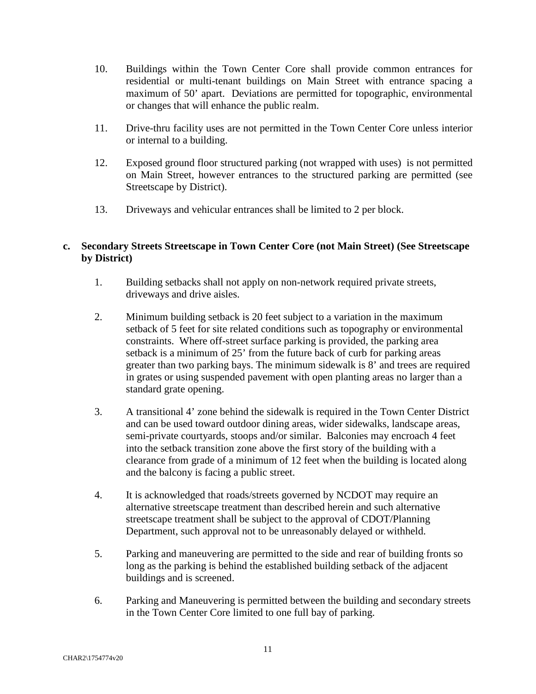- 10. Buildings within the Town Center Core shall provide common entrances for residential or multi-tenant buildings on Main Street with entrance spacing a maximum of 50' apart. Deviations are permitted for topographic, environmental or changes that will enhance the public realm.
- 11. Drive-thru facility uses are not permitted in the Town Center Core unless interior or internal to a building.
- 12. Exposed ground floor structured parking (not wrapped with uses) is not permitted on Main Street, however entrances to the structured parking are permitted (see Streetscape by District).
- 13. Driveways and vehicular entrances shall be limited to 2 per block.

## **c. Secondary Streets Streetscape in Town Center Core (not Main Street) (See Streetscape by District)**

- 1. Building setbacks shall not apply on non-network required private streets, driveways and drive aisles.
- 2. Minimum building setback is 20 feet subject to a variation in the maximum setback of 5 feet for site related conditions such as topography or environmental constraints. Where off-street surface parking is provided, the parking area setback is a minimum of 25' from the future back of curb for parking areas greater than two parking bays. The minimum sidewalk is 8' and trees are required in grates or using suspended pavement with open planting areas no larger than a standard grate opening.
- 3. A transitional 4' zone behind the sidewalk is required in the Town Center District and can be used toward outdoor dining areas, wider sidewalks, landscape areas, semi-private courtyards, stoops and/or similar. Balconies may encroach 4 feet into the setback transition zone above the first story of the building with a clearance from grade of a minimum of 12 feet when the building is located along and the balcony is facing a public street.
- 4. It is acknowledged that roads/streets governed by NCDOT may require an alternative streetscape treatment than described herein and such alternative streetscape treatment shall be subject to the approval of CDOT/Planning Department, such approval not to be unreasonably delayed or withheld.
- 5. Parking and maneuvering are permitted to the side and rear of building fronts so long as the parking is behind the established building setback of the adjacent buildings and is screened.
- 6. Parking and Maneuvering is permitted between the building and secondary streets in the Town Center Core limited to one full bay of parking.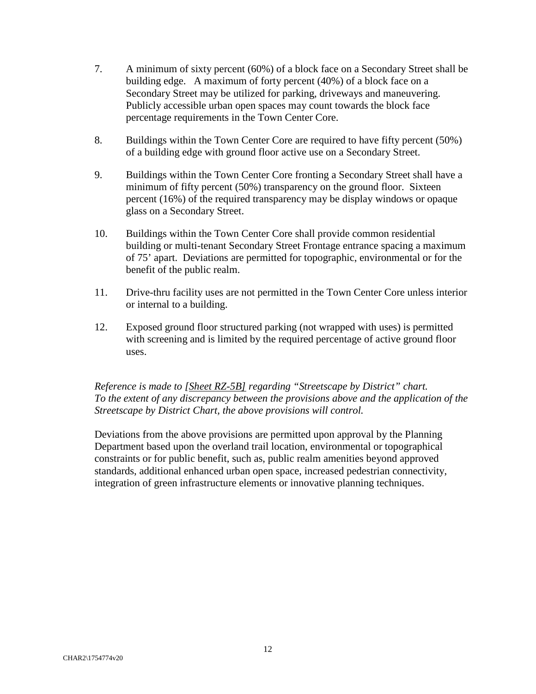- 7. A minimum of sixty percent (60%) of a block face on a Secondary Street shall be building edge. A maximum of forty percent (40%) of a block face on a Secondary Street may be utilized for parking, driveways and maneuvering. Publicly accessible urban open spaces may count towards the block face percentage requirements in the Town Center Core.
- 8. Buildings within the Town Center Core are required to have fifty percent (50%) of a building edge with ground floor active use on a Secondary Street.
- 9. Buildings within the Town Center Core fronting a Secondary Street shall have a minimum of fifty percent (50%) transparency on the ground floor. Sixteen percent (16%) of the required transparency may be display windows or opaque glass on a Secondary Street.
- 10. Buildings within the Town Center Core shall provide common residential building or multi-tenant Secondary Street Frontage entrance spacing a maximum of 75' apart. Deviations are permitted for topographic, environmental or for the benefit of the public realm.
- 11. Drive-thru facility uses are not permitted in the Town Center Core unless interior or internal to a building.
- 12. Exposed ground floor structured parking (not wrapped with uses) is permitted with screening and is limited by the required percentage of active ground floor uses.

*Reference is made to [Sheet RZ-5B] regarding "Streetscape by District" chart. To the extent of any discrepancy between the provisions above and the application of the Streetscape by District Chart, the above provisions will control.* 

Deviations from the above provisions are permitted upon approval by the Planning Department based upon the overland trail location, environmental or topographical constraints or for public benefit, such as, public realm amenities beyond approved standards, additional enhanced urban open space, increased pedestrian connectivity, integration of green infrastructure elements or innovative planning techniques.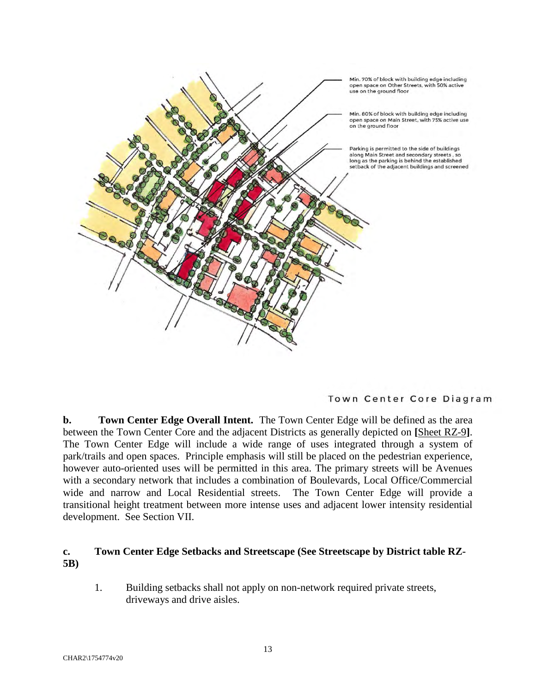

Town Center Core Diagram

**b. Town Center Edge Overall Intent.** The Town Center Edge will be defined as the area between the Town Center Core and the adjacent Districts as generally depicted on **[**Sheet RZ-9**]**. The Town Center Edge will include a wide range of uses integrated through a system of park/trails and open spaces. Principle emphasis will still be placed on the pedestrian experience, however auto-oriented uses will be permitted in this area. The primary streets will be Avenues with a secondary network that includes a combination of Boulevards, Local Office/Commercial wide and narrow and Local Residential streets. The Town Center Edge will provide a transitional height treatment between more intense uses and adjacent lower intensity residential development. See Section VII.

#### **c. Town Center Edge Setbacks and Streetscape (See Streetscape by District table RZ-5B)**

1. Building setbacks shall not apply on non-network required private streets, driveways and drive aisles.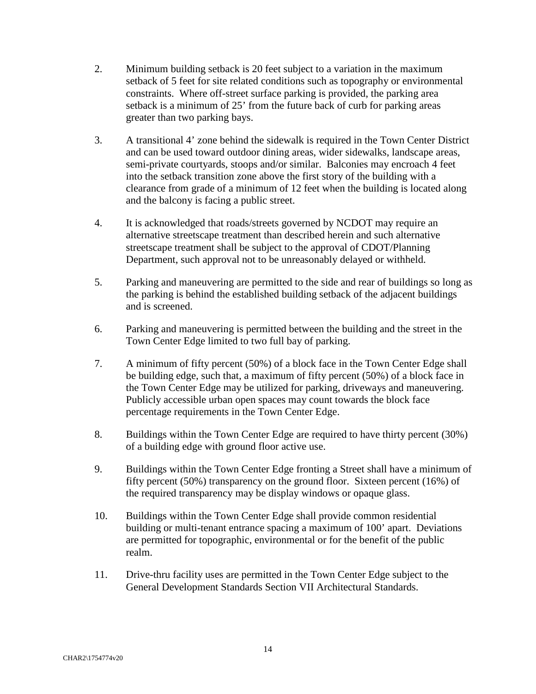- 2. Minimum building setback is 20 feet subject to a variation in the maximum setback of 5 feet for site related conditions such as topography or environmental constraints. Where off-street surface parking is provided, the parking area setback is a minimum of 25' from the future back of curb for parking areas greater than two parking bays.
- 3. A transitional 4' zone behind the sidewalk is required in the Town Center District and can be used toward outdoor dining areas, wider sidewalks, landscape areas, semi-private courtyards, stoops and/or similar. Balconies may encroach 4 feet into the setback transition zone above the first story of the building with a clearance from grade of a minimum of 12 feet when the building is located along and the balcony is facing a public street.
- 4. It is acknowledged that roads/streets governed by NCDOT may require an alternative streetscape treatment than described herein and such alternative streetscape treatment shall be subject to the approval of CDOT/Planning Department, such approval not to be unreasonably delayed or withheld.
- 5. Parking and maneuvering are permitted to the side and rear of buildings so long as the parking is behind the established building setback of the adjacent buildings and is screened.
- 6. Parking and maneuvering is permitted between the building and the street in the Town Center Edge limited to two full bay of parking.
- 7. A minimum of fifty percent (50%) of a block face in the Town Center Edge shall be building edge, such that, a maximum of fifty percent (50%) of a block face in the Town Center Edge may be utilized for parking, driveways and maneuvering. Publicly accessible urban open spaces may count towards the block face percentage requirements in the Town Center Edge.
- 8. Buildings within the Town Center Edge are required to have thirty percent (30%) of a building edge with ground floor active use.
- 9. Buildings within the Town Center Edge fronting a Street shall have a minimum of fifty percent (50%) transparency on the ground floor. Sixteen percent (16%) of the required transparency may be display windows or opaque glass.
- 10. Buildings within the Town Center Edge shall provide common residential building or multi-tenant entrance spacing a maximum of 100' apart. Deviations are permitted for topographic, environmental or for the benefit of the public realm.
- 11. Drive-thru facility uses are permitted in the Town Center Edge subject to the General Development Standards Section VII Architectural Standards.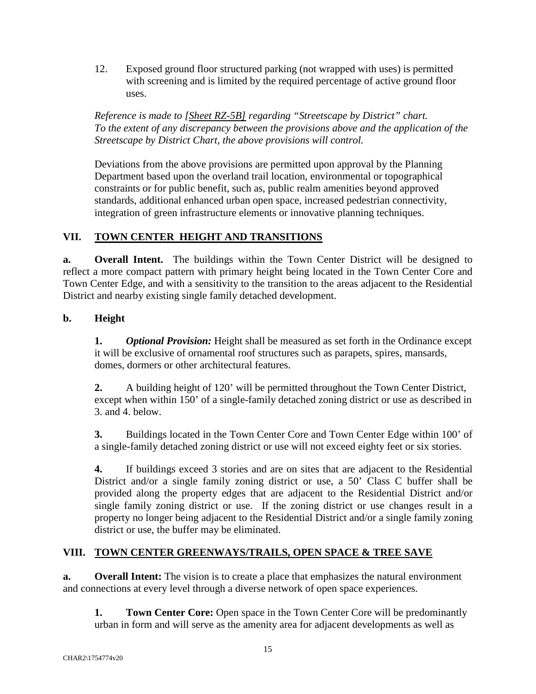12. Exposed ground floor structured parking (not wrapped with uses) is permitted with screening and is limited by the required percentage of active ground floor uses.

*Reference is made to [Sheet RZ-5B] regarding "Streetscape by District" chart. To the extent of any discrepancy between the provisions above and the application of the Streetscape by District Chart, the above provisions will control.* 

Deviations from the above provisions are permitted upon approval by the Planning Department based upon the overland trail location, environmental or topographical constraints or for public benefit, such as, public realm amenities beyond approved standards, additional enhanced urban open space, increased pedestrian connectivity, integration of green infrastructure elements or innovative planning techniques.

## **VII. TOWN CENTER HEIGHT AND TRANSITIONS**

**a.** Overall Intent. The buildings within the Town Center District will be designed to reflect a more compact pattern with primary height being located in the Town Center Core and Town Center Edge, and with a sensitivity to the transition to the areas adjacent to the Residential District and nearby existing single family detached development.

## **b. Height**

**1.** *Optional Provision:* Height shall be measured as set forth in the Ordinance except it will be exclusive of ornamental roof structures such as parapets, spires, mansards, domes, dormers or other architectural features.

**2.** A building height of 120' will be permitted throughout the Town Center District, except when within 150' of a single-family detached zoning district or use as described in 3. and 4. below.

**3.** Buildings located in the Town Center Core and Town Center Edge within 100' of a single-family detached zoning district or use will not exceed eighty feet or six stories.

**4.** If buildings exceed 3 stories and are on sites that are adjacent to the Residential District and/or a single family zoning district or use, a 50' Class C buffer shall be provided along the property edges that are adjacent to the Residential District and/or single family zoning district or use. If the zoning district or use changes result in a property no longer being adjacent to the Residential District and/or a single family zoning district or use, the buffer may be eliminated.

## **VIII. TOWN CENTER GREENWAYS/TRAILS, OPEN SPACE & TREE SAVE**

**a. Overall Intent:** The vision is to create a place that emphasizes the natural environment and connections at every level through a diverse network of open space experiences.

**1.** Town Center Core: Open space in the Town Center Core will be predominantly urban in form and will serve as the amenity area for adjacent developments as well as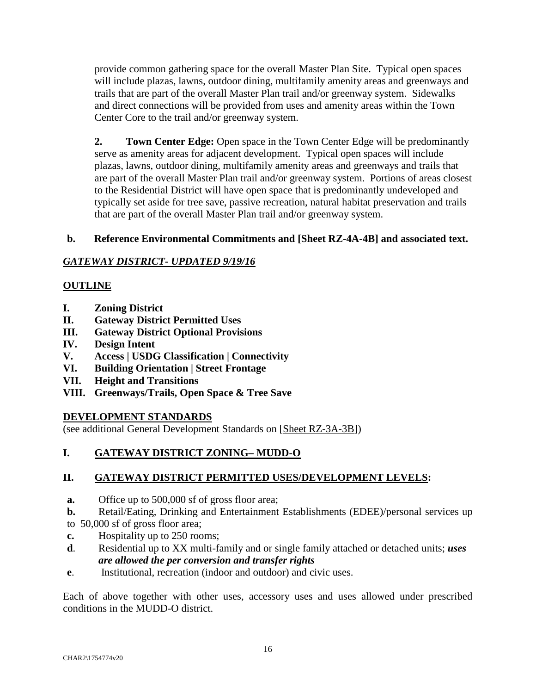provide common gathering space for the overall Master Plan Site. Typical open spaces will include plazas, lawns, outdoor dining, multifamily amenity areas and greenways and trails that are part of the overall Master Plan trail and/or greenway system. Sidewalks and direct connections will be provided from uses and amenity areas within the Town Center Core to the trail and/or greenway system.

**2.** Town Center Edge: Open space in the Town Center Edge will be predominantly serve as amenity areas for adjacent development. Typical open spaces will include plazas, lawns, outdoor dining, multifamily amenity areas and greenways and trails that are part of the overall Master Plan trail and/or greenway system. Portions of areas closest to the Residential District will have open space that is predominantly undeveloped and typically set aside for tree save, passive recreation, natural habitat preservation and trails that are part of the overall Master Plan trail and/or greenway system.

## **b. Reference Environmental Commitments and [Sheet RZ-4A-4B] and associated text.**

## *GATEWAY DISTRICT- UPDATED 9/19/16*

## **OUTLINE**

- **I. Zoning District**
- **II. Gateway District Permitted Uses**
- **III. Gateway District Optional Provisions**
- **IV. Design Intent**
- **V. Access | USDG Classification | Connectivity**
- **VI. Building Orientation | Street Frontage**
- **VII. Height and Transitions**
- **VIII. Greenways/Trails, Open Space & Tree Save**

## **DEVELOPMENT STANDARDS**

(see additional General Development Standards on [Sheet RZ-3A-3B])

## **I. GATEWAY DISTRICT ZONING– MUDD-O**

## **II. GATEWAY DISTRICT PERMITTED USES/DEVELOPMENT LEVELS:**

- **a.** Office up to 500,000 sf of gross floor area;
- **b.** Retail/Eating, Drinking and Entertainment Establishments (EDEE)/personal services up to 50,000 sf of gross floor area;
- **c.** Hospitality up to 250 rooms;
- **d**. Residential up to XX multi-family and or single family attached or detached units; *uses are allowed the per conversion and transfer rights*
- **e**. Institutional, recreation (indoor and outdoor) and civic uses.

Each of above together with other uses, accessory uses and uses allowed under prescribed conditions in the MUDD-O district.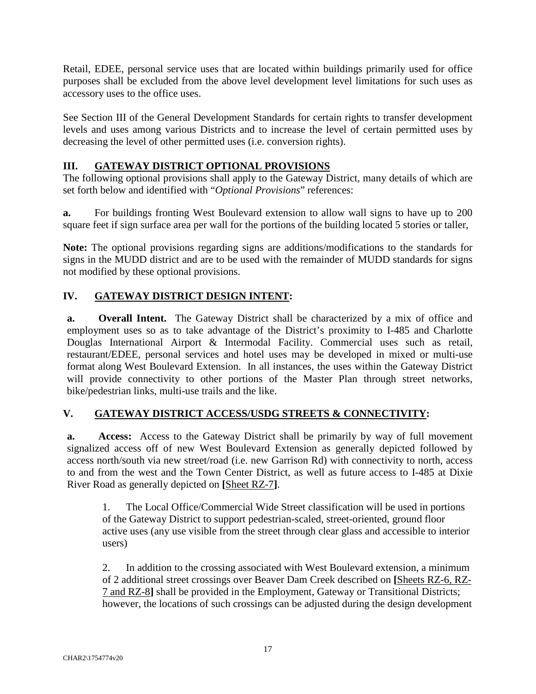Retail, EDEE, personal service uses that are located within buildings primarily used for office purposes shall be excluded from the above level development level limitations for such uses as accessory uses to the office uses.

See Section III of the General Development Standards for certain rights to transfer development levels and uses among various Districts and to increase the level of certain permitted uses by decreasing the level of other permitted uses (i.e. conversion rights).

## **III. GATEWAY DISTRICT OPTIONAL PROVISIONS**

The following optional provisions shall apply to the Gateway District, many details of which are set forth below and identified with "*Optional Provisions*" references:

**a.** For buildings fronting West Boulevard extension to allow wall signs to have up to 200 square feet if sign surface area per wall for the portions of the building located 5 stories or taller,

**Note:** The optional provisions regarding signs are additions/modifications to the standards for signs in the MUDD district and are to be used with the remainder of MUDD standards for signs not modified by these optional provisions.

## **IV. GATEWAY DISTRICT DESIGN INTENT:**

**a. Overall Intent.** The Gateway District shall be characterized by a mix of office and employment uses so as to take advantage of the District's proximity to I-485 and Charlotte Douglas International Airport & Intermodal Facility. Commercial uses such as retail, restaurant/EDEE, personal services and hotel uses may be developed in mixed or multi-use format along West Boulevard Extension. In all instances, the uses within the Gateway District will provide connectivity to other portions of the Master Plan through street networks, bike/pedestrian links, multi-use trails and the like.

## **V. GATEWAY DISTRICT ACCESS/USDG STREETS & CONNECTIVITY:**

**a. Access:** Access to the Gateway District shall be primarily by way of full movement signalized access off of new West Boulevard Extension as generally depicted followed by access north/south via new street/road (i.e. new Garrison Rd) with connectivity to north, access to and from the west and the Town Center District, as well as future access to I-485 at Dixie River Road as generally depicted on **[**Sheet RZ-7**]**.

1. The Local Office/Commercial Wide Street classification will be used in portions of the Gateway District to support pedestrian-scaled, street-oriented, ground floor active uses (any use visible from the street through clear glass and accessible to interior users)

2. In addition to the crossing associated with West Boulevard extension, a minimum of 2 additional street crossings over Beaver Dam Creek described on **[**Sheets RZ-6, RZ-7 and RZ-8**]** shall be provided in the Employment, Gateway or Transitional Districts; however, the locations of such crossings can be adjusted during the design development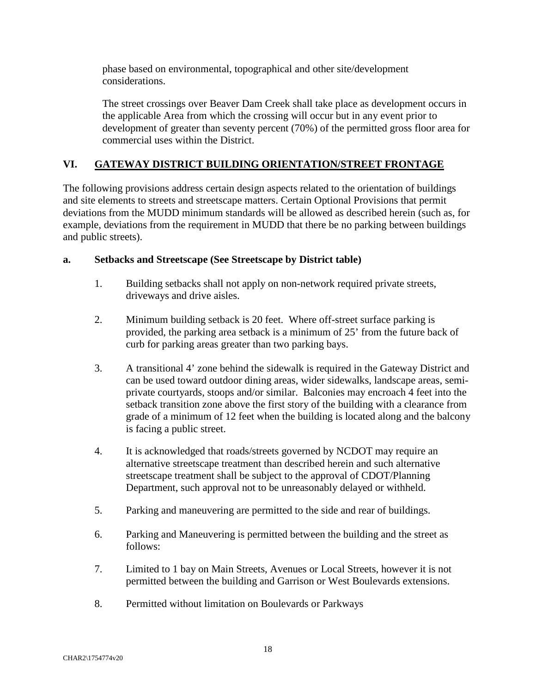phase based on environmental, topographical and other site/development considerations.

The street crossings over Beaver Dam Creek shall take place as development occurs in the applicable Area from which the crossing will occur but in any event prior to development of greater than seventy percent (70%) of the permitted gross floor area for commercial uses within the District.

## **VI. GATEWAY DISTRICT BUILDING ORIENTATION/STREET FRONTAGE**

The following provisions address certain design aspects related to the orientation of buildings and site elements to streets and streetscape matters. Certain Optional Provisions that permit deviations from the MUDD minimum standards will be allowed as described herein (such as, for example, deviations from the requirement in MUDD that there be no parking between buildings and public streets).

#### **a. Setbacks and Streetscape (See Streetscape by District table)**

- 1. Building setbacks shall not apply on non-network required private streets, driveways and drive aisles.
- 2. Minimum building setback is 20 feet. Where off-street surface parking is provided, the parking area setback is a minimum of 25' from the future back of curb for parking areas greater than two parking bays.
- 3. A transitional 4' zone behind the sidewalk is required in the Gateway District and can be used toward outdoor dining areas, wider sidewalks, landscape areas, semiprivate courtyards, stoops and/or similar. Balconies may encroach 4 feet into the setback transition zone above the first story of the building with a clearance from grade of a minimum of 12 feet when the building is located along and the balcony is facing a public street.
- 4. It is acknowledged that roads/streets governed by NCDOT may require an alternative streetscape treatment than described herein and such alternative streetscape treatment shall be subject to the approval of CDOT/Planning Department, such approval not to be unreasonably delayed or withheld.
- 5. Parking and maneuvering are permitted to the side and rear of buildings.
- 6. Parking and Maneuvering is permitted between the building and the street as follows:
- 7. Limited to 1 bay on Main Streets, Avenues or Local Streets, however it is not permitted between the building and Garrison or West Boulevards extensions.
- 8. Permitted without limitation on Boulevards or Parkways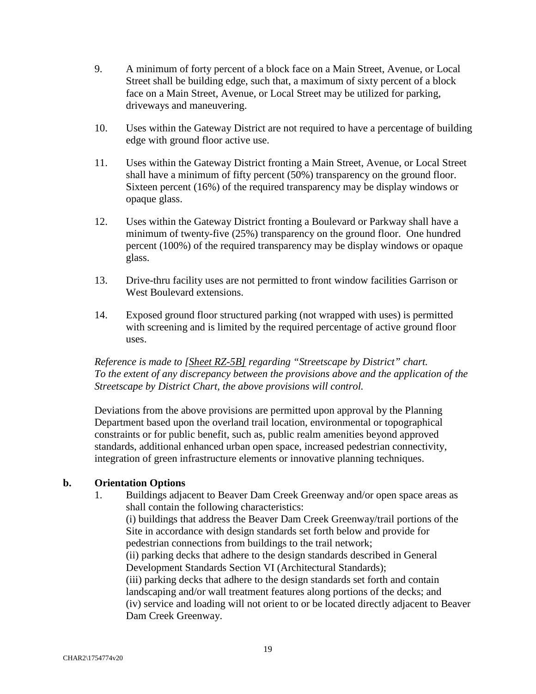- 9. A minimum of forty percent of a block face on a Main Street, Avenue, or Local Street shall be building edge, such that, a maximum of sixty percent of a block face on a Main Street, Avenue, or Local Street may be utilized for parking, driveways and maneuvering.
- 10. Uses within the Gateway District are not required to have a percentage of building edge with ground floor active use.
- 11. Uses within the Gateway District fronting a Main Street, Avenue, or Local Street shall have a minimum of fifty percent (50%) transparency on the ground floor. Sixteen percent (16%) of the required transparency may be display windows or opaque glass.
- 12. Uses within the Gateway District fronting a Boulevard or Parkway shall have a minimum of twenty-five (25%) transparency on the ground floor. One hundred percent (100%) of the required transparency may be display windows or opaque glass.
- 13. Drive-thru facility uses are not permitted to front window facilities Garrison or West Boulevard extensions.
- 14. Exposed ground floor structured parking (not wrapped with uses) is permitted with screening and is limited by the required percentage of active ground floor uses.

*Reference is made to [Sheet RZ-5B] regarding "Streetscape by District" chart. To the extent of any discrepancy between the provisions above and the application of the Streetscape by District Chart, the above provisions will control.* 

Deviations from the above provisions are permitted upon approval by the Planning Department based upon the overland trail location, environmental or topographical constraints or for public benefit, such as, public realm amenities beyond approved standards, additional enhanced urban open space, increased pedestrian connectivity, integration of green infrastructure elements or innovative planning techniques.

#### **b. Orientation Options**

1. Buildings adjacent to Beaver Dam Creek Greenway and/or open space areas as shall contain the following characteristics:

(i) buildings that address the Beaver Dam Creek Greenway/trail portions of the Site in accordance with design standards set forth below and provide for pedestrian connections from buildings to the trail network;

(ii) parking decks that adhere to the design standards described in General Development Standards Section VI (Architectural Standards);

(iii) parking decks that adhere to the design standards set forth and contain landscaping and/or wall treatment features along portions of the decks; and (iv) service and loading will not orient to or be located directly adjacent to Beaver Dam Creek Greenway.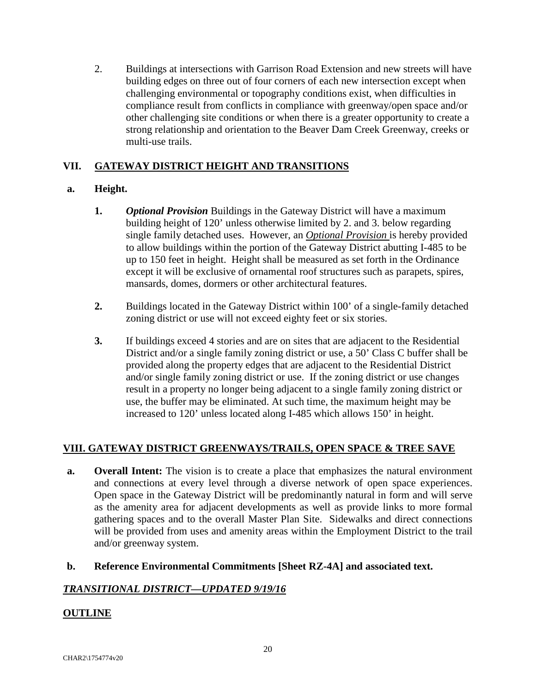2. Buildings at intersections with Garrison Road Extension and new streets will have building edges on three out of four corners of each new intersection except when challenging environmental or topography conditions exist, when difficulties in compliance result from conflicts in compliance with greenway/open space and/or other challenging site conditions or when there is a greater opportunity to create a strong relationship and orientation to the Beaver Dam Creek Greenway, creeks or multi-use trails.

## **VII. GATEWAY DISTRICT HEIGHT AND TRANSITIONS**

## **a. Height.**

- **1.** *Optional Provision* Buildings in the Gateway District will have a maximum building height of 120' unless otherwise limited by 2. and 3. below regarding single family detached uses. However, an *Optional Provision* is hereby provided to allow buildings within the portion of the Gateway District abutting I-485 to be up to 150 feet in height. Height shall be measured as set forth in the Ordinance except it will be exclusive of ornamental roof structures such as parapets, spires, mansards, domes, dormers or other architectural features.
- **2.** Buildings located in the Gateway District within 100' of a single-family detached zoning district or use will not exceed eighty feet or six stories.
- **3.** If buildings exceed 4 stories and are on sites that are adjacent to the Residential District and/or a single family zoning district or use, a 50' Class C buffer shall be provided along the property edges that are adjacent to the Residential District and/or single family zoning district or use. If the zoning district or use changes result in a property no longer being adjacent to a single family zoning district or use, the buffer may be eliminated. At such time, the maximum height may be increased to 120' unless located along I-485 which allows 150' in height.

## **VIII. GATEWAY DISTRICT GREENWAYS/TRAILS, OPEN SPACE & TREE SAVE**

**a. Overall Intent:** The vision is to create a place that emphasizes the natural environment and connections at every level through a diverse network of open space experiences. Open space in the Gateway District will be predominantly natural in form and will serve as the amenity area for adjacent developments as well as provide links to more formal gathering spaces and to the overall Master Plan Site. Sidewalks and direct connections will be provided from uses and amenity areas within the Employment District to the trail and/or greenway system.

## **b. Reference Environmental Commitments [Sheet RZ-4A] and associated text.**

## *TRANSITIONAL DISTRICT—UPDATED 9/19/16*

## **OUTLINE**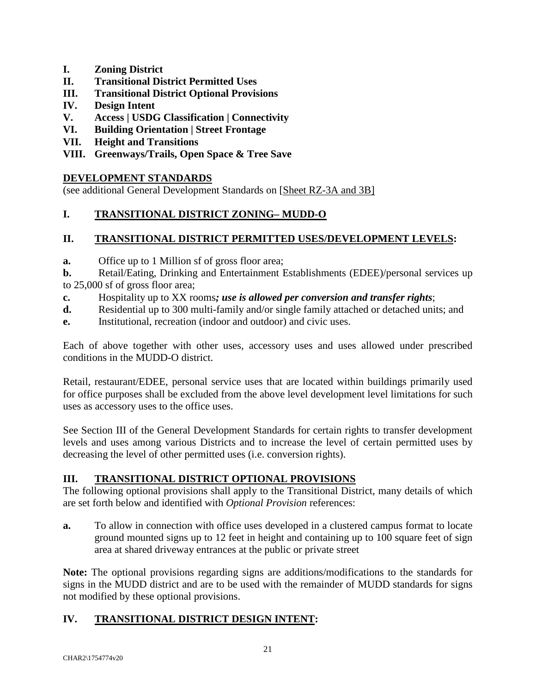- **I. Zoning District**
- **II. Transitional District Permitted Uses**
- **III. Transitional District Optional Provisions**
- **IV. Design Intent**
- **V. Access | USDG Classification | Connectivity**
- **VI. Building Orientation | Street Frontage**
- **VII. Height and Transitions**
- **VIII. Greenways/Trails, Open Space & Tree Save**

#### **DEVELOPMENT STANDARDS**

(see additional General Development Standards on [Sheet RZ-3A and 3B]

## **I. TRANSITIONAL DISTRICT ZONING– MUDD-O**

## **II. TRANSITIONAL DISTRICT PERMITTED USES/DEVELOPMENT LEVELS:**

**a.** Office up to 1 Million sf of gross floor area;

**b.** Retail/Eating, Drinking and Entertainment Establishments (EDEE)/personal services up to 25,000 sf of gross floor area;

- **c.** Hospitality up to XX rooms*; use is allowed per conversion and transfer rights*;
- **d.** Residential up to 300 multi-family and/or single family attached or detached units; and
- **e.** Institutional, recreation (indoor and outdoor) and civic uses.

Each of above together with other uses, accessory uses and uses allowed under prescribed conditions in the MUDD-O district.

Retail, restaurant/EDEE, personal service uses that are located within buildings primarily used for office purposes shall be excluded from the above level development level limitations for such uses as accessory uses to the office uses.

See Section III of the General Development Standards for certain rights to transfer development levels and uses among various Districts and to increase the level of certain permitted uses by decreasing the level of other permitted uses (i.e. conversion rights).

## **III. TRANSITIONAL DISTRICT OPTIONAL PROVISIONS**

The following optional provisions shall apply to the Transitional District, many details of which are set forth below and identified with *Optional Provision* references:

**a.** To allow in connection with office uses developed in a clustered campus format to locate ground mounted signs up to 12 feet in height and containing up to 100 square feet of sign area at shared driveway entrances at the public or private street

**Note:** The optional provisions regarding signs are additions/modifications to the standards for signs in the MUDD district and are to be used with the remainder of MUDD standards for signs not modified by these optional provisions.

## **IV. TRANSITIONAL DISTRICT DESIGN INTENT:**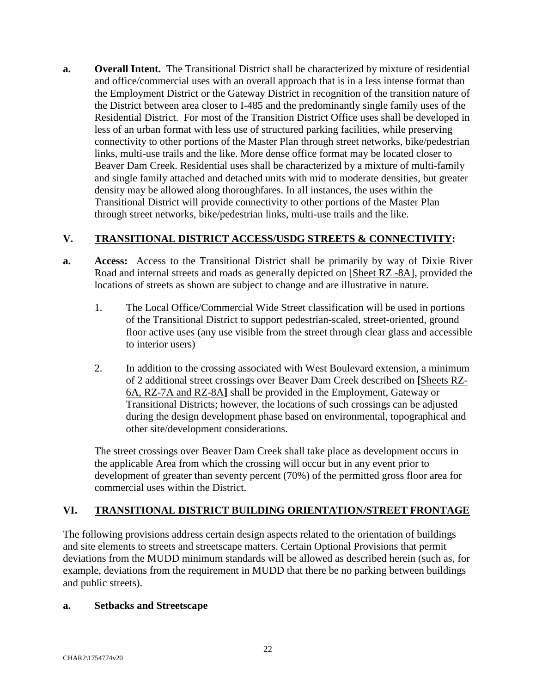**a.** Overall Intent. The Transitional District shall be characterized by mixture of residential and office/commercial uses with an overall approach that is in a less intense format than the Employment District or the Gateway District in recognition of the transition nature of the District between area closer to I-485 and the predominantly single family uses of the Residential District. For most of the Transition District Office uses shall be developed in less of an urban format with less use of structured parking facilities, while preserving connectivity to other portions of the Master Plan through street networks, bike/pedestrian links, multi-use trails and the like. More dense office format may be located closer to Beaver Dam Creek. Residential uses shall be characterized by a mixture of multi-family and single family attached and detached units with mid to moderate densities, but greater density may be allowed along thoroughfares. In all instances, the uses within the Transitional District will provide connectivity to other portions of the Master Plan through street networks, bike/pedestrian links, multi-use trails and the like.

## **V. TRANSITIONAL DISTRICT ACCESS/USDG STREETS & CONNECTIVITY:**

- **a. Access:** Access to the Transitional District shall be primarily by way of Dixie River Road and internal streets and roads as generally depicted on [Sheet RZ -8A], provided the locations of streets as shown are subject to change and are illustrative in nature.
	- 1. The Local Office/Commercial Wide Street classification will be used in portions of the Transitional District to support pedestrian-scaled, street-oriented, ground floor active uses (any use visible from the street through clear glass and accessible to interior users)
	- 2. In addition to the crossing associated with West Boulevard extension, a minimum of 2 additional street crossings over Beaver Dam Creek described on **[**Sheets RZ-6A, RZ-7A and RZ-8A**]** shall be provided in the Employment, Gateway or Transitional Districts; however, the locations of such crossings can be adjusted during the design development phase based on environmental, topographical and other site/development considerations.

The street crossings over Beaver Dam Creek shall take place as development occurs in the applicable Area from which the crossing will occur but in any event prior to development of greater than seventy percent (70%) of the permitted gross floor area for commercial uses within the District.

## **VI. TRANSITIONAL DISTRICT BUILDING ORIENTATION/STREET FRONTAGE**

The following provisions address certain design aspects related to the orientation of buildings and site elements to streets and streetscape matters. Certain Optional Provisions that permit deviations from the MUDD minimum standards will be allowed as described herein (such as, for example, deviations from the requirement in MUDD that there be no parking between buildings and public streets).

#### **a. Setbacks and Streetscape**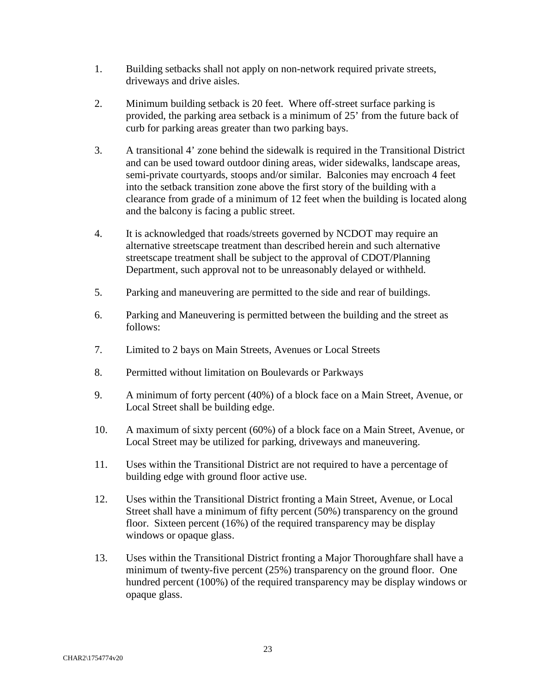- 1. Building setbacks shall not apply on non-network required private streets, driveways and drive aisles.
- 2. Minimum building setback is 20 feet. Where off-street surface parking is provided, the parking area setback is a minimum of 25' from the future back of curb for parking areas greater than two parking bays.
- 3. A transitional 4' zone behind the sidewalk is required in the Transitional District and can be used toward outdoor dining areas, wider sidewalks, landscape areas, semi-private courtyards, stoops and/or similar. Balconies may encroach 4 feet into the setback transition zone above the first story of the building with a clearance from grade of a minimum of 12 feet when the building is located along and the balcony is facing a public street.
- 4. It is acknowledged that roads/streets governed by NCDOT may require an alternative streetscape treatment than described herein and such alternative streetscape treatment shall be subject to the approval of CDOT/Planning Department, such approval not to be unreasonably delayed or withheld.
- 5. Parking and maneuvering are permitted to the side and rear of buildings.
- 6. Parking and Maneuvering is permitted between the building and the street as follows:
- 7. Limited to 2 bays on Main Streets, Avenues or Local Streets
- 8. Permitted without limitation on Boulevards or Parkways
- 9. A minimum of forty percent (40%) of a block face on a Main Street, Avenue, or Local Street shall be building edge.
- 10. A maximum of sixty percent (60%) of a block face on a Main Street, Avenue, or Local Street may be utilized for parking, driveways and maneuvering.
- 11. Uses within the Transitional District are not required to have a percentage of building edge with ground floor active use.
- 12. Uses within the Transitional District fronting a Main Street, Avenue, or Local Street shall have a minimum of fifty percent (50%) transparency on the ground floor. Sixteen percent (16%) of the required transparency may be display windows or opaque glass.
- 13. Uses within the Transitional District fronting a Major Thoroughfare shall have a minimum of twenty-five percent (25%) transparency on the ground floor. One hundred percent (100%) of the required transparency may be display windows or opaque glass.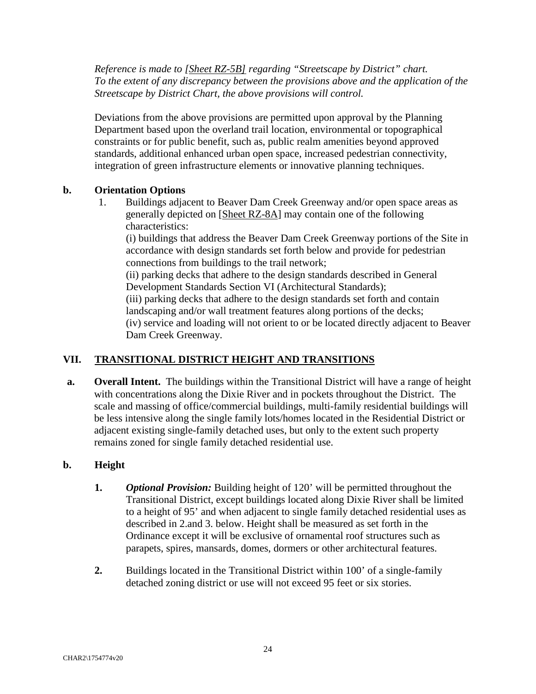*Reference is made to [Sheet RZ-5B] regarding "Streetscape by District" chart. To the extent of any discrepancy between the provisions above and the application of the Streetscape by District Chart, the above provisions will control.* 

Deviations from the above provisions are permitted upon approval by the Planning Department based upon the overland trail location, environmental or topographical constraints or for public benefit, such as, public realm amenities beyond approved standards, additional enhanced urban open space, increased pedestrian connectivity, integration of green infrastructure elements or innovative planning techniques.

## **b. Orientation Options**

1. Buildings adjacent to Beaver Dam Creek Greenway and/or open space areas as generally depicted on [Sheet RZ-8A] may contain one of the following characteristics:

(i) buildings that address the Beaver Dam Creek Greenway portions of the Site in accordance with design standards set forth below and provide for pedestrian connections from buildings to the trail network;

(ii) parking decks that adhere to the design standards described in General Development Standards Section VI (Architectural Standards);

(iii) parking decks that adhere to the design standards set forth and contain landscaping and/or wall treatment features along portions of the decks; (iv) service and loading will not orient to or be located directly adjacent to Beaver

Dam Creek Greenway.

## **VII. TRANSITIONAL DISTRICT HEIGHT AND TRANSITIONS**

**a.** Overall Intent. The buildings within the Transitional District will have a range of height with concentrations along the Dixie River and in pockets throughout the District. The scale and massing of office/commercial buildings, multi-family residential buildings will be less intensive along the single family lots/homes located in the Residential District or adjacent existing single-family detached uses, but only to the extent such property remains zoned for single family detached residential use.

## **b. Height**

- **1.** *Optional Provision:* Building height of 120' will be permitted throughout the Transitional District, except buildings located along Dixie River shall be limited to a height of 95' and when adjacent to single family detached residential uses as described in 2.and 3. below. Height shall be measured as set forth in the Ordinance except it will be exclusive of ornamental roof structures such as parapets, spires, mansards, domes, dormers or other architectural features.
- **2.** Buildings located in the Transitional District within 100' of a single-family detached zoning district or use will not exceed 95 feet or six stories.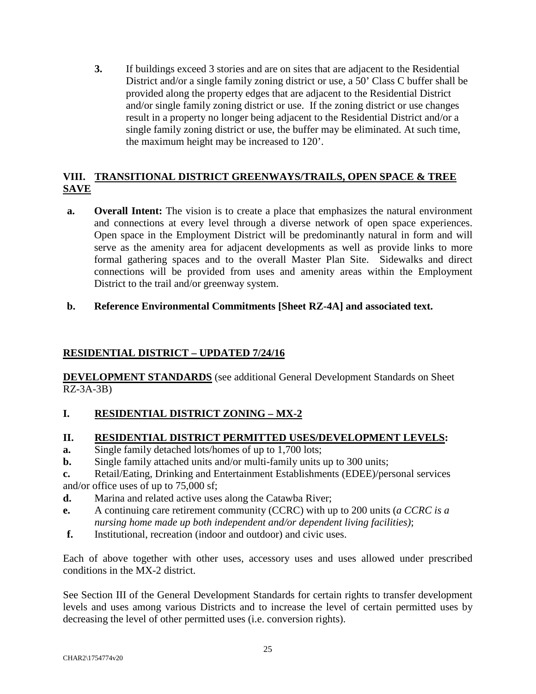**3.** If buildings exceed 3 stories and are on sites that are adjacent to the Residential District and/or a single family zoning district or use, a 50' Class C buffer shall be provided along the property edges that are adjacent to the Residential District and/or single family zoning district or use. If the zoning district or use changes result in a property no longer being adjacent to the Residential District and/or a single family zoning district or use, the buffer may be eliminated. At such time, the maximum height may be increased to 120'.

## **VIII. TRANSITIONAL DISTRICT GREENWAYS/TRAILS, OPEN SPACE & TREE SAVE**

- **a. Overall Intent:** The vision is to create a place that emphasizes the natural environment and connections at every level through a diverse network of open space experiences. Open space in the Employment District will be predominantly natural in form and will serve as the amenity area for adjacent developments as well as provide links to more formal gathering spaces and to the overall Master Plan Site. Sidewalks and direct connections will be provided from uses and amenity areas within the Employment District to the trail and/or greenway system.
- **b. Reference Environmental Commitments [Sheet RZ-4A] and associated text.**

## **RESIDENTIAL DISTRICT – UPDATED 7/24/16**

**DEVELOPMENT STANDARDS** (see additional General Development Standards on Sheet RZ-3A-3B)

## **I. RESIDENTIAL DISTRICT ZONING – MX-2**

## **II. RESIDENTIAL DISTRICT PERMITTED USES/DEVELOPMENT LEVELS:**

- **a.** Single family detached lots/homes of up to 1,700 lots;
- **b.** Single family attached units and/or multi-family units up to 300 units;
- **c.** Retail/Eating, Drinking and Entertainment Establishments (EDEE)/personal services and/or office uses of up to 75,000 sf;
- **d.** Marina and related active uses along the Catawba River;
- **e.** A continuing care retirement community (CCRC) with up to 200 units (*a CCRC is a nursing home made up both independent and/or dependent living facilities)*;
- **f.** Institutional, recreation (indoor and outdoor) and civic uses.

Each of above together with other uses, accessory uses and uses allowed under prescribed conditions in the MX-2 district.

See Section III of the General Development Standards for certain rights to transfer development levels and uses among various Districts and to increase the level of certain permitted uses by decreasing the level of other permitted uses (i.e. conversion rights).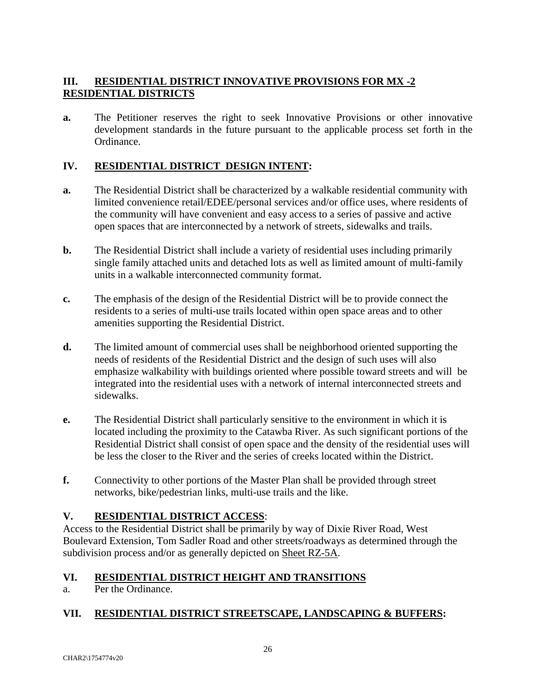## **III. RESIDENTIAL DISTRICT INNOVATIVE PROVISIONS FOR MX -2 RESIDENTIAL DISTRICTS**

**a.** The Petitioner reserves the right to seek Innovative Provisions or other innovative development standards in the future pursuant to the applicable process set forth in the Ordinance.

## **IV. RESIDENTIAL DISTRICT DESIGN INTENT:**

- **a.** The Residential District shall be characterized by a walkable residential community with limited convenience retail/EDEE/personal services and/or office uses, where residents of the community will have convenient and easy access to a series of passive and active open spaces that are interconnected by a network of streets, sidewalks and trails.
- **b.** The Residential District shall include a variety of residential uses including primarily single family attached units and detached lots as well as limited amount of multi-family units in a walkable interconnected community format.
- **c.** The emphasis of the design of the Residential District will be to provide connect the residents to a series of multi-use trails located within open space areas and to other amenities supporting the Residential District.
- **d.** The limited amount of commercial uses shall be neighborhood oriented supporting the needs of residents of the Residential District and the design of such uses will also emphasize walkability with buildings oriented where possible toward streets and will be integrated into the residential uses with a network of internal interconnected streets and sidewalks.
- **e.** The Residential District shall particularly sensitive to the environment in which it is located including the proximity to the Catawba River. As such significant portions of the Residential District shall consist of open space and the density of the residential uses will be less the closer to the River and the series of creeks located within the District.
- **f.** Connectivity to other portions of the Master Plan shall be provided through street networks, bike/pedestrian links, multi-use trails and the like.

## **V. RESIDENTIAL DISTRICT ACCESS**:

Access to the Residential District shall be primarily by way of Dixie River Road, West Boulevard Extension, Tom Sadler Road and other streets/roadways as determined through the subdivision process and/or as generally depicted on Sheet RZ-5A.

## **VI. RESIDENTIAL DISTRICT HEIGHT AND TRANSITIONS**

a. Per the Ordinance.

## **VII. RESIDENTIAL DISTRICT STREETSCAPE, LANDSCAPING & BUFFERS:**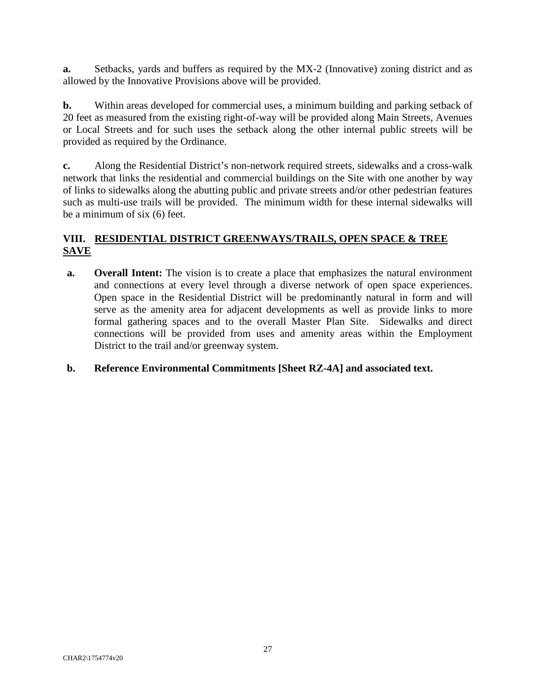**a.** Setbacks, yards and buffers as required by the MX-2 (Innovative) zoning district and as allowed by the Innovative Provisions above will be provided.

**b.** Within areas developed for commercial uses, a minimum building and parking setback of 20 feet as measured from the existing right-of-way will be provided along Main Streets, Avenues or Local Streets and for such uses the setback along the other internal public streets will be provided as required by the Ordinance.

**c.** Along the Residential District's non-network required streets, sidewalks and a cross-walk network that links the residential and commercial buildings on the Site with one another by way of links to sidewalks along the abutting public and private streets and/or other pedestrian features such as multi-use trails will be provided. The minimum width for these internal sidewalks will be a minimum of six (6) feet.

## **VIII. RESIDENTIAL DISTRICT GREENWAYS/TRAILS, OPEN SPACE & TREE SAVE**

**a.** Overall Intent: The vision is to create a place that emphasizes the natural environment and connections at every level through a diverse network of open space experiences. Open space in the Residential District will be predominantly natural in form and will serve as the amenity area for adjacent developments as well as provide links to more formal gathering spaces and to the overall Master Plan Site. Sidewalks and direct connections will be provided from uses and amenity areas within the Employment District to the trail and/or greenway system.

## **b. Reference Environmental Commitments [Sheet RZ-4A] and associated text.**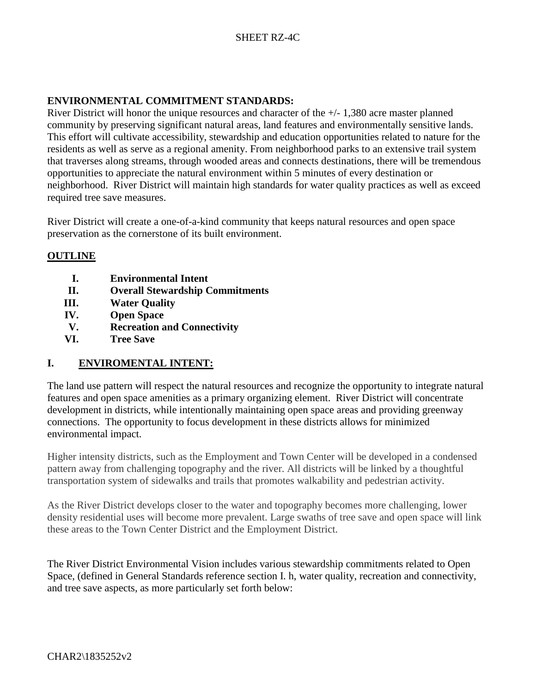## SHEET RZ-4C

## **ENVIRONMENTAL COMMITMENT STANDARDS:**

River District will honor the unique resources and character of the +/- 1,380 acre master planned community by preserving significant natural areas, land features and environmentally sensitive lands. This effort will cultivate accessibility, stewardship and education opportunities related to nature for the residents as well as serve as a regional amenity. From neighborhood parks to an extensive trail system that traverses along streams, through wooded areas and connects destinations, there will be tremendous opportunities to appreciate the natural environment within 5 minutes of every destination or neighborhood. River District will maintain high standards for water quality practices as well as exceed required tree save measures.

River District will create a one-of-a-kind community that keeps natural resources and open space preservation as the cornerstone of its built environment.

#### **OUTLINE**

- **I. Environmental Intent**
- **II. Overall Stewardship Commitments**
- **III. Water Quality**
- **IV. Open Space**
- **V. Recreation and Connectivity**
- **VI. Tree Save**

## **I. ENVIROMENTAL INTENT:**

The land use pattern will respect the natural resources and recognize the opportunity to integrate natural features and open space amenities as a primary organizing element. River District will concentrate development in districts, while intentionally maintaining open space areas and providing greenway connections. The opportunity to focus development in these districts allows for minimized environmental impact.

Higher intensity districts, such as the Employment and Town Center will be developed in a condensed pattern away from challenging topography and the river. All districts will be linked by a thoughtful transportation system of sidewalks and trails that promotes walkability and pedestrian activity.

As the River District develops closer to the water and topography becomes more challenging, lower density residential uses will become more prevalent. Large swaths of tree save and open space will link these areas to the Town Center District and the Employment District.

The River District Environmental Vision includes various stewardship commitments related to Open Space, (defined in General Standards reference section I. h, water quality, recreation and connectivity, and tree save aspects, as more particularly set forth below: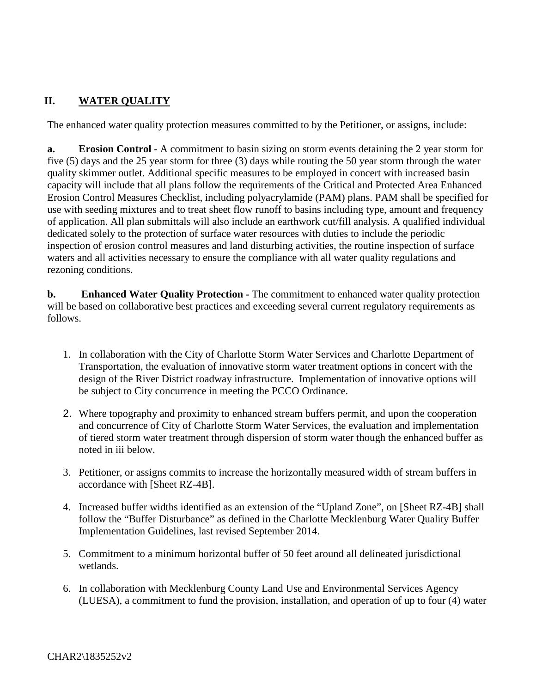# **II. WATER QUALITY**

The enhanced water quality protection measures committed to by the Petitioner, or assigns, include:

**a. Erosion Control** - A commitment to basin sizing on storm events detaining the 2 year storm for five (5) days and the 25 year storm for three (3) days while routing the 50 year storm through the water quality skimmer outlet. Additional specific measures to be employed in concert with increased basin capacity will include that all plans follow the requirements of the Critical and Protected Area Enhanced Erosion Control Measures Checklist, including polyacrylamide (PAM) plans. PAM shall be specified for use with seeding mixtures and to treat sheet flow runoff to basins including type, amount and frequency of application. All plan submittals will also include an earthwork cut/fill analysis. A qualified individual dedicated solely to the protection of surface water resources with duties to include the periodic inspection of erosion control measures and land disturbing activities, the routine inspection of surface waters and all activities necessary to ensure the compliance with all water quality regulations and rezoning conditions.

**b. Enhanced Water Quality Protection -** The commitment to enhanced water quality protection will be based on collaborative best practices and exceeding several current regulatory requirements as follows.

- 1. In collaboration with the City of Charlotte Storm Water Services and Charlotte Department of Transportation, the evaluation of innovative storm water treatment options in concert with the design of the River District roadway infrastructure. Implementation of innovative options will be subject to City concurrence in meeting the PCCO Ordinance.
- 2. Where topography and proximity to enhanced stream buffers permit, and upon the cooperation and concurrence of City of Charlotte Storm Water Services, the evaluation and implementation of tiered storm water treatment through dispersion of storm water though the enhanced buffer as noted in iii below.
- 3. Petitioner, or assigns commits to increase the horizontally measured width of stream buffers in accordance with [Sheet RZ-4B].
- 4. Increased buffer widths identified as an extension of the "Upland Zone", on [Sheet RZ-4B] shall follow the "Buffer Disturbance" as defined in the Charlotte Mecklenburg Water Quality Buffer Implementation Guidelines, last revised September 2014.
- 5. Commitment to a minimum horizontal buffer of 50 feet around all delineated jurisdictional wetlands.
- 6. In collaboration with Mecklenburg County Land Use and Environmental Services Agency (LUESA), a commitment to fund the provision, installation, and operation of up to four (4) water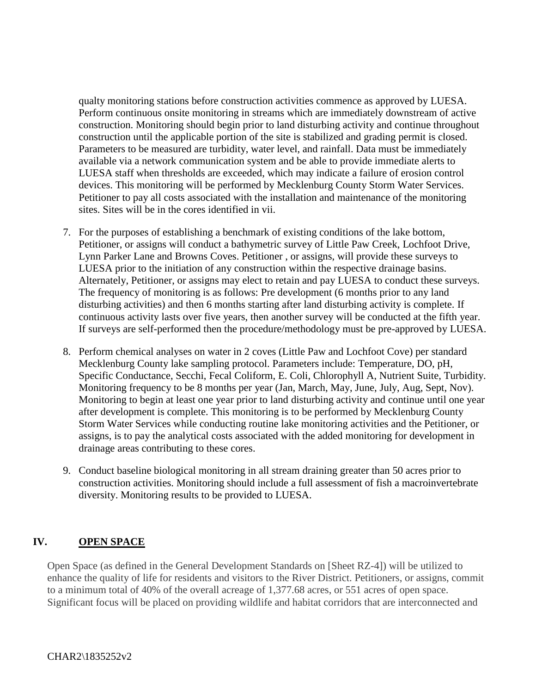qualty monitoring stations before construction activities commence as approved by LUESA. Perform continuous onsite monitoring in streams which are immediately downstream of active construction. Monitoring should begin prior to land disturbing activity and continue throughout construction until the applicable portion of the site is stabilized and grading permit is closed. Parameters to be measured are turbidity, water level, and rainfall. Data must be immediately available via a network communication system and be able to provide immediate alerts to LUESA staff when thresholds are exceeded, which may indicate a failure of erosion control devices. This monitoring will be performed by Mecklenburg County Storm Water Services. Petitioner to pay all costs associated with the installation and maintenance of the monitoring sites. Sites will be in the cores identified in vii.

- 7. For the purposes of establishing a benchmark of existing conditions of the lake bottom, Petitioner, or assigns will conduct a bathymetric survey of Little Paw Creek, Lochfoot Drive, Lynn Parker Lane and Browns Coves. Petitioner , or assigns, will provide these surveys to LUESA prior to the initiation of any construction within the respective drainage basins. Alternately, Petitioner, or assigns may elect to retain and pay LUESA to conduct these surveys. The frequency of monitoring is as follows: Pre development (6 months prior to any land disturbing activities) and then 6 months starting after land disturbing activity is complete. If continuous activity lasts over five years, then another survey will be conducted at the fifth year. If surveys are self-performed then the procedure/methodology must be pre-approved by LUESA.
- 8. Perform chemical analyses on water in 2 coves (Little Paw and Lochfoot Cove) per standard Mecklenburg County lake sampling protocol. Parameters include: Temperature, DO, pH, Specific Conductance, Secchi, Fecal Coliform, E. Coli, Chlorophyll A, Nutrient Suite, Turbidity. Monitoring frequency to be 8 months per year (Jan, March, May, June, July, Aug, Sept, Nov). Monitoring to begin at least one year prior to land disturbing activity and continue until one year after development is complete. This monitoring is to be performed by Mecklenburg County Storm Water Services while conducting routine lake monitoring activities and the Petitioner, or assigns, is to pay the analytical costs associated with the added monitoring for development in drainage areas contributing to these cores.
- 9. Conduct baseline biological monitoring in all stream draining greater than 50 acres prior to construction activities. Monitoring should include a full assessment of fish a macroinvertebrate diversity. Monitoring results to be provided to LUESA.

## **IV. OPEN SPACE**

Open Space (as defined in the General Development Standards on [Sheet RZ-4]) will be utilized to enhance the quality of life for residents and visitors to the River District. Petitioners, or assigns, commit to a minimum total of 40% of the overall acreage of 1,377.68 acres, or 551 acres of open space. Significant focus will be placed on providing wildlife and habitat corridors that are interconnected and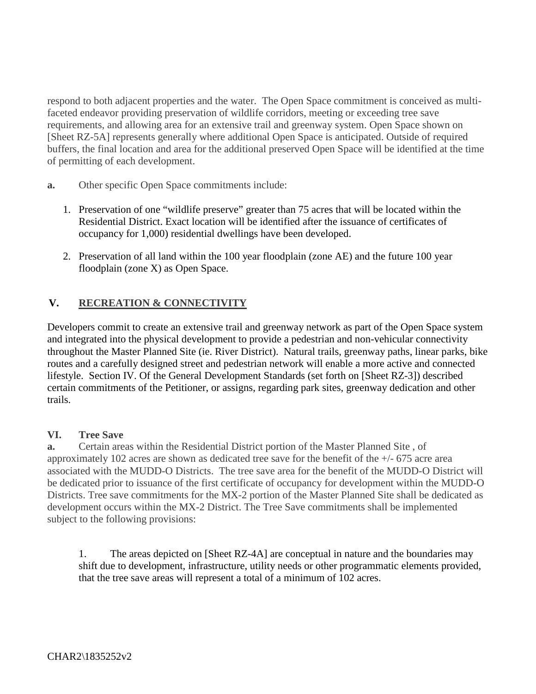respond to both adjacent properties and the water. The Open Space commitment is conceived as multifaceted endeavor providing preservation of wildlife corridors, meeting or exceeding tree save requirements, and allowing area for an extensive trail and greenway system. Open Space shown on [Sheet RZ-5A] represents generally where additional Open Space is anticipated. Outside of required buffers, the final location and area for the additional preserved Open Space will be identified at the time of permitting of each development.

- **a.** Other specific Open Space commitments include:
	- 1. Preservation of one "wildlife preserve" greater than 75 acres that will be located within the Residential District. Exact location will be identified after the issuance of certificates of occupancy for 1,000) residential dwellings have been developed.
	- 2. Preservation of all land within the 100 year floodplain (zone AE) and the future 100 year floodplain (zone X) as Open Space.

## **V. RECREATION & CONNECTIVITY**

Developers commit to create an extensive trail and greenway network as part of the Open Space system and integrated into the physical development to provide a pedestrian and non-vehicular connectivity throughout the Master Planned Site (ie. River District). Natural trails, greenway paths, linear parks, bike routes and a carefully designed street and pedestrian network will enable a more active and connected lifestyle. Section IV. Of the General Development Standards (set forth on [Sheet RZ-3]) described certain commitments of the Petitioner, or assigns, regarding park sites, greenway dedication and other trails.

#### **VI. Tree Save**

**a.** Certain areas within the Residential District portion of the Master Planned Site , of approximately 102 acres are shown as dedicated tree save for the benefit of the +/- 675 acre area associated with the MUDD-O Districts. The tree save area for the benefit of the MUDD-O District will be dedicated prior to issuance of the first certificate of occupancy for development within the MUDD-O Districts. Tree save commitments for the MX-2 portion of the Master Planned Site shall be dedicated as development occurs within the MX-2 District. The Tree Save commitments shall be implemented subject to the following provisions:

1. The areas depicted on [Sheet RZ-4A] are conceptual in nature and the boundaries may shift due to development, infrastructure, utility needs or other programmatic elements provided, that the tree save areas will represent a total of a minimum of 102 acres.